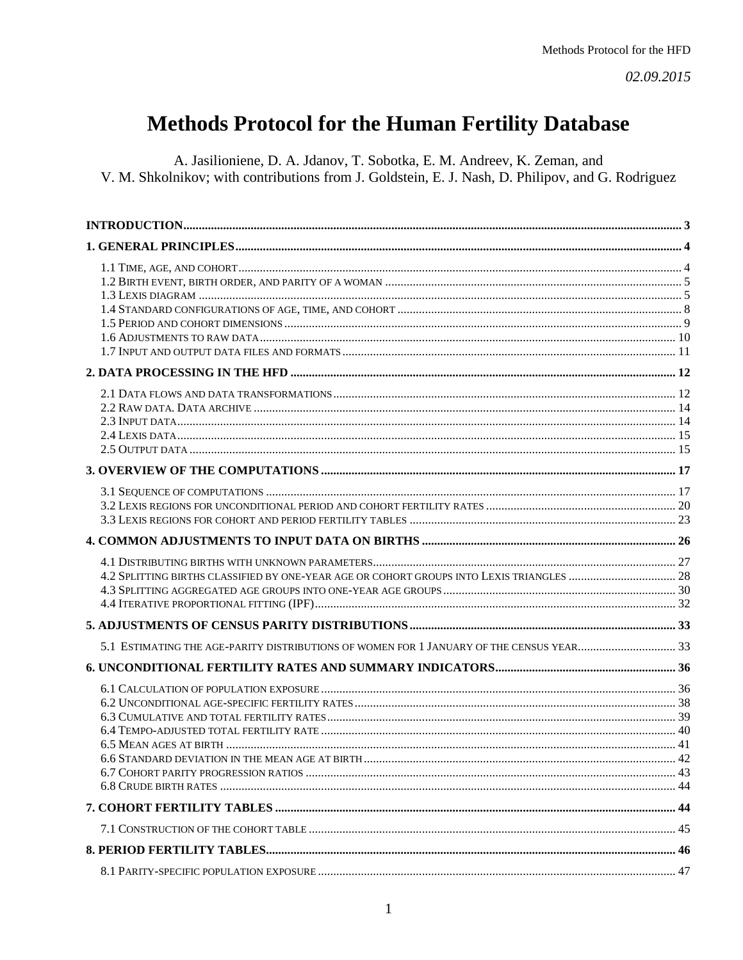# **Methods Protocol for the Human Fertility Database**

A. Jasilioniene, D. A. Jdanov, T. Sobotka, E. M. Andreev, K. Zeman, and V. M. Shkolnikov; with contributions from J. Goldstein, E. J. Nash, D. Philipov, and G. Rodriguez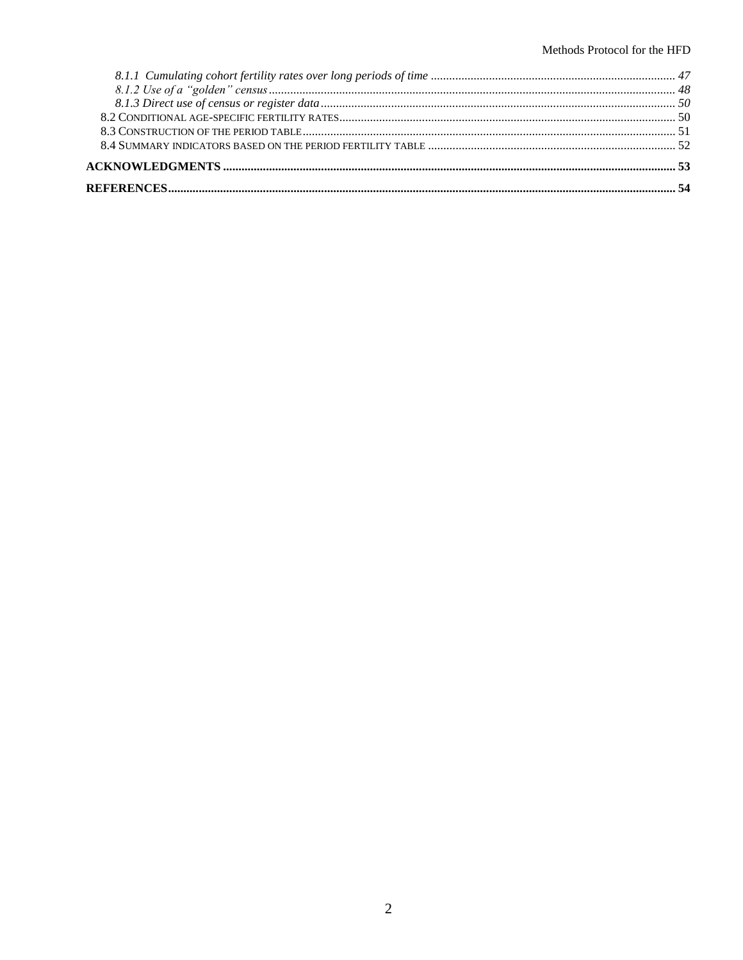#### Methods Protocol for the HFD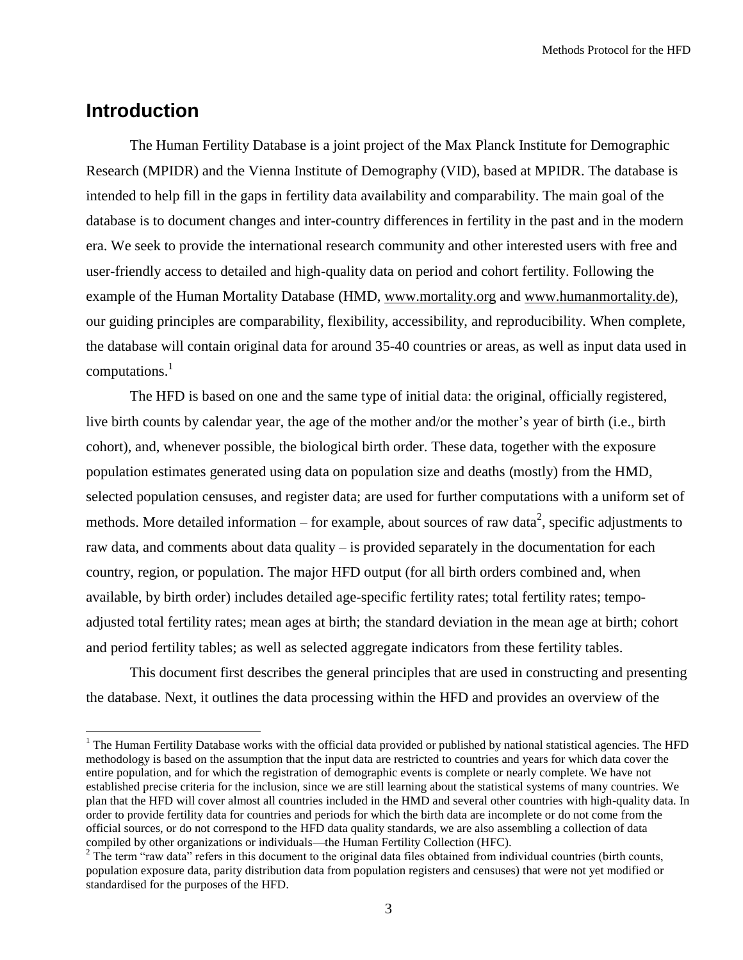Methods Protocol for the HFD

## <span id="page-2-0"></span>**Introduction**

 $\overline{a}$ 

The Human Fertility Database is a joint project of the Max Planck Institute for Demographic Research (MPIDR) and the Vienna Institute of Demography (VID), based at MPIDR. The database is intended to help fill in the gaps in fertility data availability and comparability. The main goal of the database is to document changes and inter-country differences in fertility in the past and in the modern era. We seek to provide the international research community and other interested users with free and user-friendly access to detailed and high-quality data on period and cohort fertility. Following the example of the Human Mortality Database (HMD, [www.mortality.org](http://www.mortality.org/) and [www.humanmortality.de\)](http://www.humanmortality.de/), our guiding principles are comparability, flexibility, accessibility, and reproducibility. When complete, the database will contain original data for around 35-40 countries or areas, as well as input data used in computations.<sup>1</sup>

The HFD is based on one and the same type of initial data: the original, officially registered, live birth counts by calendar year, the age of the mother and/or the mother's year of birth (i.e., birth cohort), and, whenever possible, the biological birth order. These data, together with the exposure population estimates generated using data on population size and deaths (mostly) from the HMD, selected population censuses, and register data; are used for further computations with a uniform set of methods. More detailed information – for example, about sources of raw data<sup>2</sup>, specific adjustments to raw data, and comments about data quality – is provided separately in the documentation for each country, region, or population. The major HFD output (for all birth orders combined and, when available, by birth order) includes detailed age-specific fertility rates; total fertility rates; tempoadjusted total fertility rates; mean ages at birth; the standard deviation in the mean age at birth; cohort and period fertility tables; as well as selected aggregate indicators from these fertility tables.

This document first describes the general principles that are used in constructing and presenting the database. Next, it outlines the data processing within the HFD and provides an overview of the

 $<sup>1</sup>$  The Human Fertility Database works with the official data provided or published by national statistical agencies. The HFD</sup> methodology is based on the assumption that the input data are restricted to countries and years for which data cover the entire population, and for which the registration of demographic events is complete or nearly complete. We have not established precise criteria for the inclusion, since we are still learning about the statistical systems of many countries. We plan that the HFD will cover almost all countries included in the HMD and several other countries with high-quality data. In order to provide fertility data for countries and periods for which the birth data are incomplete or do not come from the official sources, or do not correspond to the HFD data quality standards, we are also assembling a collection of data compiled by other organizations or individuals—the Human Fertility Collection (HFC).

 $2$  The term "raw data" refers in this document to the original data files obtained from individual countries (birth counts, population exposure data, parity distribution data from population registers and censuses) that were not yet modified or standardised for the purposes of the HFD.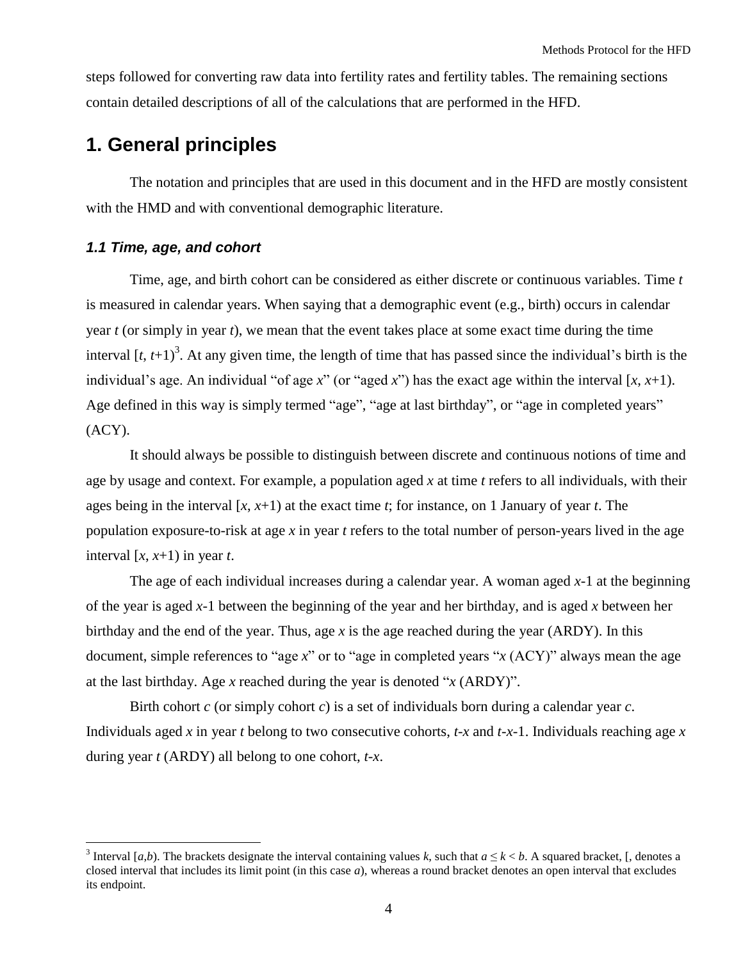steps followed for converting raw data into fertility rates and fertility tables. The remaining sections contain detailed descriptions of all of the calculations that are performed in the HFD.

## <span id="page-3-0"></span>**1. General principles**

The notation and principles that are used in this document and in the HFD are mostly consistent with the HMD and with conventional demographic literature.

## <span id="page-3-1"></span>*1.1 Time, age, and cohort*

 $\overline{a}$ 

Time, age, and birth cohort can be considered as either discrete or continuous variables. Time *t* is measured in calendar years. When saying that a demographic event (e.g., birth) occurs in calendar year *t* (or simply in year *t*), we mean that the event takes place at some exact time during the time interval  $[t, t+1)^3$ . At any given time, the length of time that has passed since the individual's birth is the individual's age. An individual "of age  $x$ " (or "aged  $x$ ") has the exact age within the interval [x, x+1). Age defined in this way is simply termed "age", "age at last birthday", or "age in completed years"  $(ACY).$ 

It should always be possible to distinguish between discrete and continuous notions of time and age by usage and context. For example, a population aged *x* at time *t* refers to all individuals, with their ages being in the interval [*x*, *x*+1) at the exact time *t*; for instance, on 1 January of year *t*. The population exposure-to-risk at age *x* in year *t* refers to the total number of person-years lived in the age interval  $[x, x+1)$  in year *t*.

The age of each individual increases during a calendar year. A woman aged *x*-1 at the beginning of the year is aged *x*-1 between the beginning of the year and her birthday, and is aged *x* between her birthday and the end of the year. Thus, age *x* is the age reached during the year (ARDY). In this document, simple references to "age  $x$ " or to "age in completed years "x (ACY)" always mean the age at the last birthday. Age *x* reached during the year is denoted " $x$  (ARDY)".

Birth cohort *c* (or simply cohort *c*) is a set of individuals born during a calendar year *c*. Individuals aged *x* in year *t* belong to two consecutive cohorts, *t-x* and *t-x-*1. Individuals reaching age *x* during year *t* (ARDY) all belong to one cohort, *t*-*x*.

<sup>&</sup>lt;sup>3</sup> Interval [*a*,*b*). The brackets designate the interval containing values *k*, such that  $a \le k < b$ . A squared bracket, [, denotes a closed interval that includes its limit point (in this case *a*), whereas a round bracket denotes an open interval that excludes its endpoint.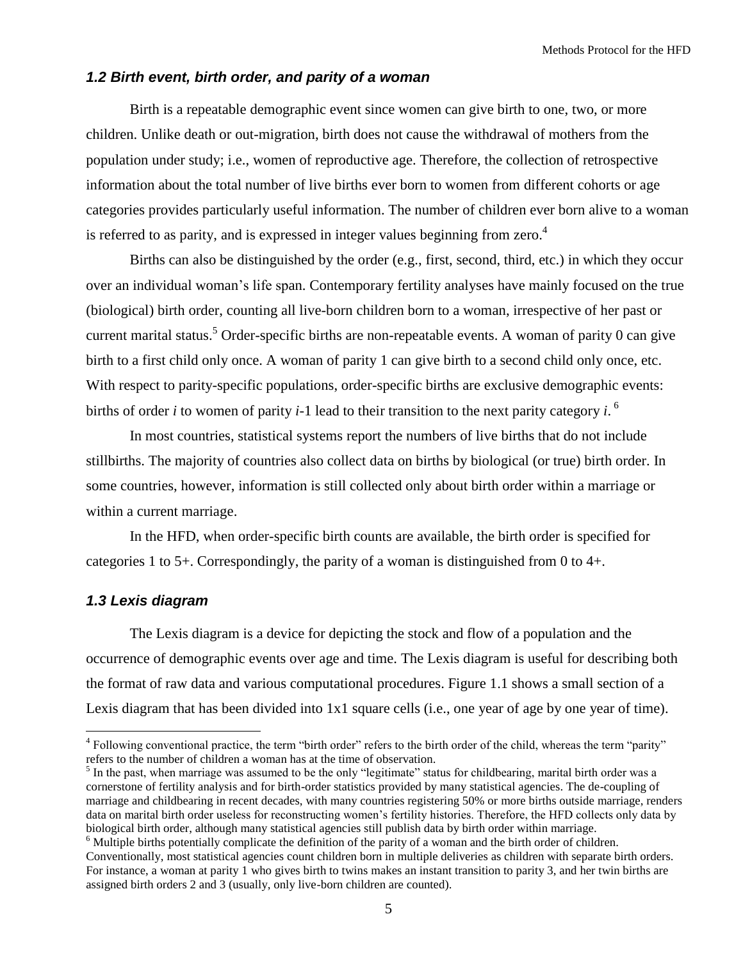#### <span id="page-4-0"></span>*1.2 Birth event, birth order, and parity of a woman*

Birth is a repeatable demographic event since women can give birth to one, two, or more children. Unlike death or out-migration, birth does not cause the withdrawal of mothers from the population under study; i.e., women of reproductive age. Therefore, the collection of retrospective information about the total number of live births ever born to women from different cohorts or age categories provides particularly useful information. The number of children ever born alive to a woman is referred to as parity, and is expressed in integer values beginning from zero.<sup>4</sup>

Births can also be distinguished by the order (e.g., first, second, third, etc.) in which they occur over an individual woman's life span. Contemporary fertility analyses have mainly focused on the true (biological) birth order, counting all live-born children born to a woman, irrespective of her past or current marital status.<sup>5</sup> Order-specific births are non-repeatable events. A woman of parity 0 can give birth to a first child only once. A woman of parity 1 can give birth to a second child only once, etc. With respect to parity-specific populations, order-specific births are exclusive demographic events: births of order *i* to women of parity *i*-1 lead to their transition to the next parity category *i*. 6

In most countries, statistical systems report the numbers of live births that do not include stillbirths. The majority of countries also collect data on births by biological (or true) birth order. In some countries, however, information is still collected only about birth order within a marriage or within a current marriage.

In the HFD, when order-specific birth counts are available, the birth order is specified for categories 1 to 5+. Correspondingly, the parity of a woman is distinguished from 0 to 4+.

## <span id="page-4-1"></span>*1.3 Lexis diagram*

 $\overline{a}$ 

The Lexis diagram is a device for depicting the stock and flow of a population and the occurrence of demographic events over age and time. The Lexis diagram is useful for describing both the format of raw data and various computational procedures. Figure 1.1 shows a small section of a Lexis diagram that has been divided into 1x1 square cells (i.e., one year of age by one year of time).

<sup>6</sup> Multiple births potentially complicate the definition of the parity of a woman and the birth order of children.

 $4$  Following conventional practice, the term "birth order" refers to the birth order of the child, whereas the term "parity" refers to the number of children a woman has at the time of observation.

 $<sup>5</sup>$  In the past, when marriage was assumed to be the only "legitimate" status for childbearing, marital birth order was a</sup> cornerstone of fertility analysis and for birth-order statistics provided by many statistical agencies. The de-coupling of marriage and childbearing in recent decades, with many countries registering 50% or more births outside marriage, renders data on marital birth order useless for reconstructing women's fertility histories. Therefore, the HFD collects only data by biological birth order, although many statistical agencies still publish data by birth order within marriage.

Conventionally, most statistical agencies count children born in multiple deliveries as children with separate birth orders. For instance, a woman at parity 1 who gives birth to twins makes an instant transition to parity 3, and her twin births are assigned birth orders 2 and 3 (usually, only live-born children are counted).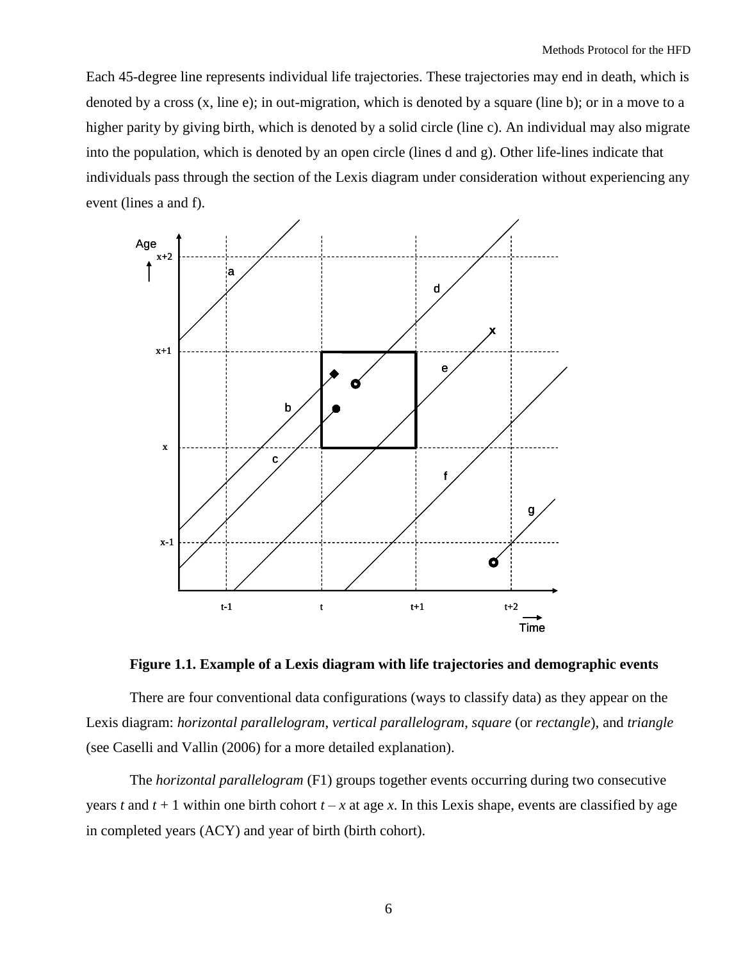Each 45-degree line represents individual life trajectories. These trajectories may end in death, which is denoted by a cross (x, line e); in out-migration, which is denoted by a square (line b); or in a move to a higher parity by giving birth, which is denoted by a solid circle (line c). An individual may also migrate into the population, which is denoted by an open circle (lines d and g). Other life-lines indicate that individuals pass through the section of the Lexis diagram under consideration without experiencing any event (lines a and f).



**Figure 1.1. Example of a Lexis diagram with life trajectories and demographic events**

There are four conventional data configurations (ways to classify data) as they appear on the Lexis diagram: *horizontal parallelogram*, *vertical parallelogram*, *square* (or *rectangle*), and *triangle* (see Caselli and Vallin (2006) for a more detailed explanation).

The *horizontal parallelogram* (F1) groups together events occurring during two consecutive years *t* and  $t + 1$  within one birth cohort  $t - x$  at age *x*. In this Lexis shape, events are classified by age in completed years (ACY) and year of birth (birth cohort).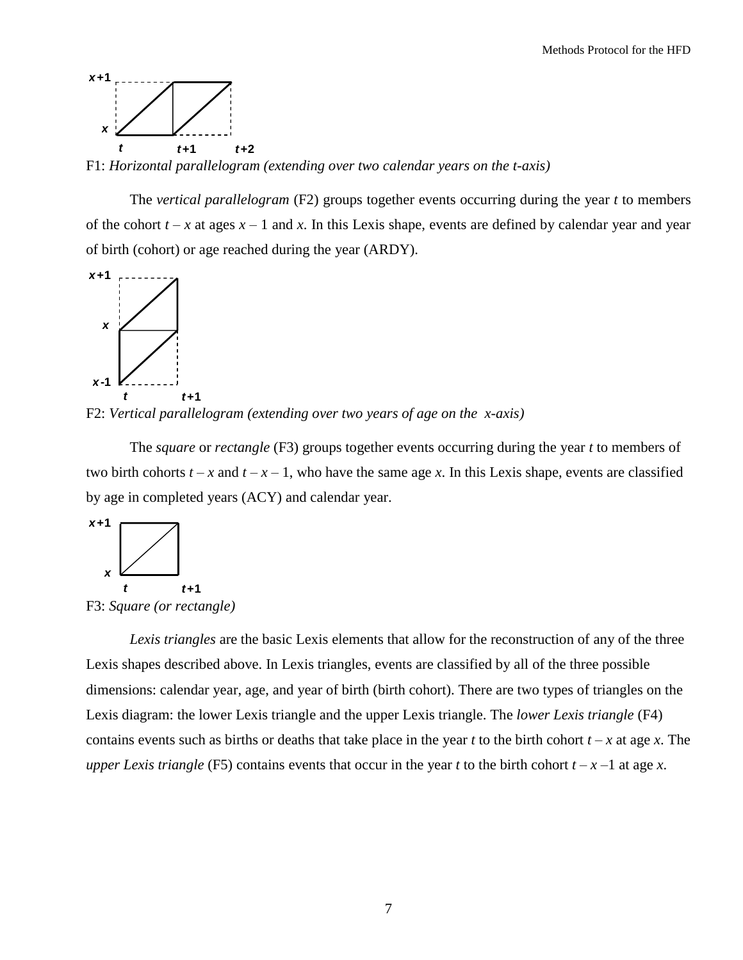

F1: *Horizontal parallelogram (extending over two calendar years on the t-axis)*

The *vertical parallelogram* (F2) groups together events occurring during the year *t* to members of the cohort  $t - x$  at ages  $x - 1$  and  $x$ . In this Lexis shape, events are defined by calendar year and year of birth (cohort) or age reached during the year (ARDY).



F2: *Vertical parallelogram (extending over two years of age on the x-axis)*

The *square* or *rectangle* (F3) groups together events occurring during the year *t* to members of two birth cohorts  $t - x$  and  $t - x - 1$ , who have the same age *x*. In this Lexis shape, events are classified by age in completed years (ACY) and calendar year.



F3: *Square (or rectangle)*

*Lexis triangles* are the basic Lexis elements that allow for the reconstruction of any of the three Lexis shapes described above. In Lexis triangles, events are classified by all of the three possible dimensions: calendar year, age, and year of birth (birth cohort). There are two types of triangles on the Lexis diagram: the lower Lexis triangle and the upper Lexis triangle. The *lower Lexis triangle* (F4) contains events such as births or deaths that take place in the year *t* to the birth cohort  $t - x$  at age *x*. The *upper Lexis triangle* (F5) contains events that occur in the year *t* to the birth cohort  $t - x - 1$  at age *x*.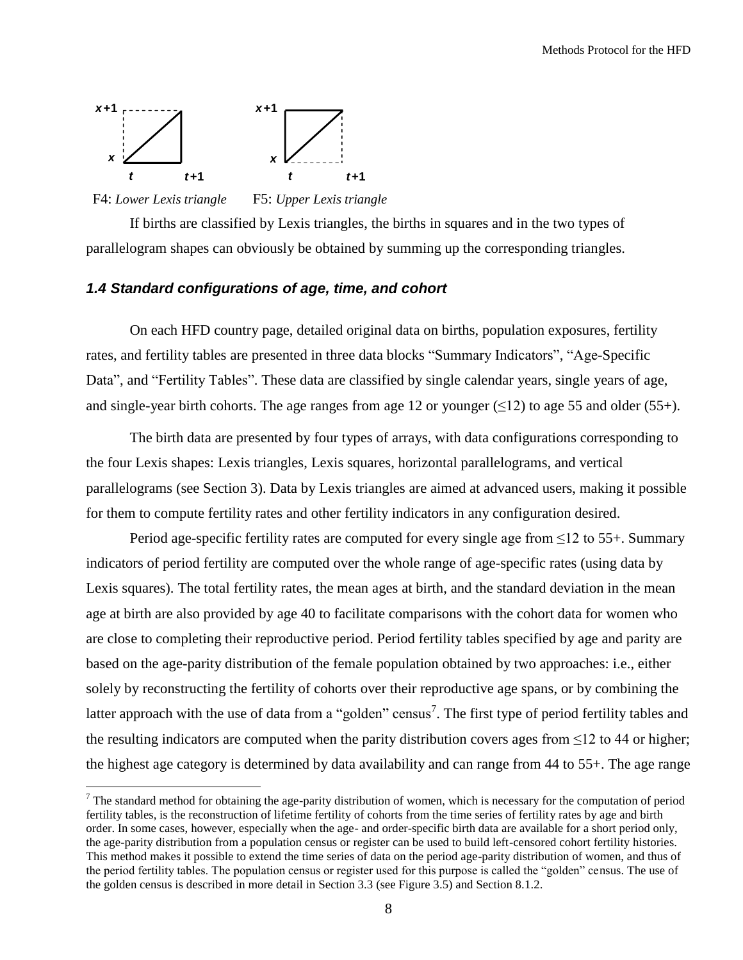

F4: *Lower Lexis triangle* F5: *Upper Lexis triangle*

 $\overline{a}$ 

If births are classified by Lexis triangles, the births in squares and in the two types of parallelogram shapes can obviously be obtained by summing up the corresponding triangles.

## <span id="page-7-0"></span>*1.4 Standard configurations of age, time, and cohort*

On each HFD country page, detailed original data on births, population exposures, fertility rates, and fertility tables are presented in three data blocks "Summary Indicators", "Age-Specific Data", and "Fertility Tables". These data are classified by single calendar years, single years of age, and single-year birth cohorts. The age ranges from age 12 or younger ( $\leq$ 12) to age 55 and older (55+).

The birth data are presented by four types of arrays, with data configurations corresponding to the four Lexis shapes: Lexis triangles, Lexis squares, horizontal parallelograms, and vertical parallelograms (see Section 3). Data by Lexis triangles are aimed at advanced users, making it possible for them to compute fertility rates and other fertility indicators in any configuration desired.

Period age-specific fertility rates are computed for every single age from  $\leq 12$  to 55+. Summary indicators of period fertility are computed over the whole range of age-specific rates (using data by Lexis squares). The total fertility rates, the mean ages at birth, and the standard deviation in the mean age at birth are also provided by age 40 to facilitate comparisons with the cohort data for women who are close to completing their reproductive period. Period fertility tables specified by age and parity are based on the age-parity distribution of the female population obtained by two approaches: i.e., either solely by reconstructing the fertility of cohorts over their reproductive age spans, or by combining the latter approach with the use of data from a "golden" census<sup>7</sup>. The first type of period fertility tables and the resulting indicators are computed when the parity distribution covers ages from  $\leq 12$  to 44 or higher; the highest age category is determined by data availability and can range from 44 to 55+. The age range

 $<sup>7</sup>$  The standard method for obtaining the age-parity distribution of women, which is necessary for the computation of period</sup> fertility tables, is the reconstruction of lifetime fertility of cohorts from the time series of fertility rates by age and birth order. In some cases, however, especially when the age- and order-specific birth data are available for a short period only, the age-parity distribution from a population census or register can be used to build left-censored cohort fertility histories. This method makes it possible to extend the time series of data on the period age-parity distribution of women, and thus of the period fertility tables. The population census or register used for this purpose is called the "golden" census. The use of the golden census is described in more detail in Section 3.3 (see Figure 3.5) and Section 8.1.2.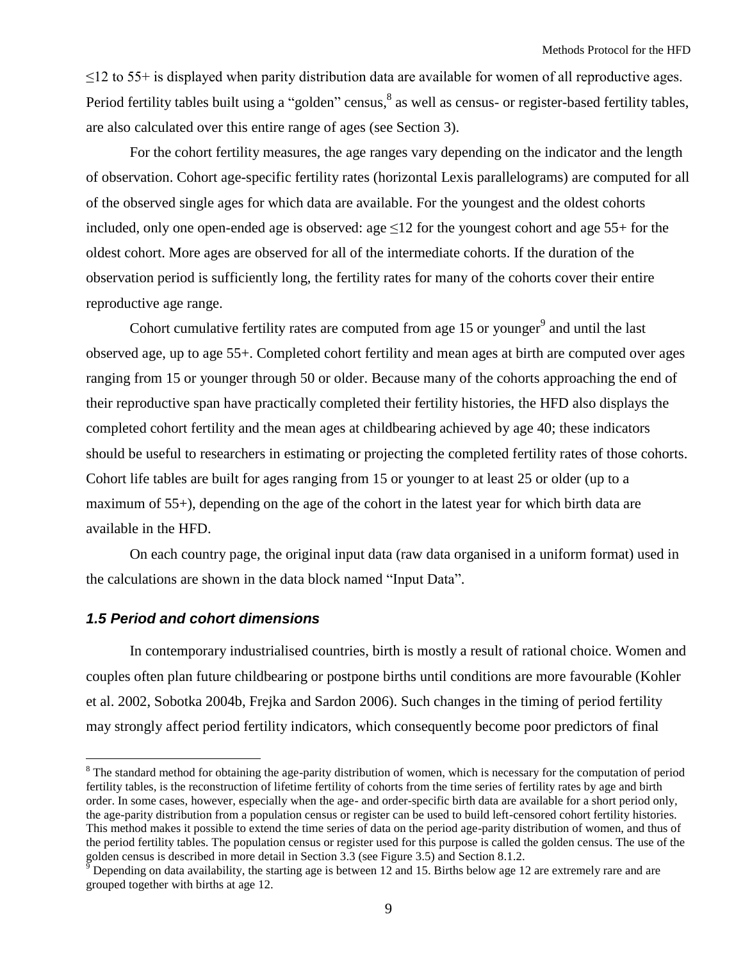$\leq$ 12 to 55+ is displayed when parity distribution data are available for women of all reproductive ages. Period fertility tables built using a "golden" census,  $\delta$  as well as census- or register-based fertility tables, are also calculated over this entire range of ages (see Section 3).

For the cohort fertility measures, the age ranges vary depending on the indicator and the length of observation. Cohort age-specific fertility rates (horizontal Lexis parallelograms) are computed for all of the observed single ages for which data are available. For the youngest and the oldest cohorts included, only one open-ended age is observed: age  $\leq 12$  for the youngest cohort and age 55+ for the oldest cohort. More ages are observed for all of the intermediate cohorts. If the duration of the observation period is sufficiently long, the fertility rates for many of the cohorts cover their entire reproductive age range.

Cohort cumulative fertility rates are computed from age 15 or younger<sup>9</sup> and until the last observed age, up to age 55+. Completed cohort fertility and mean ages at birth are computed over ages ranging from 15 or younger through 50 or older. Because many of the cohorts approaching the end of their reproductive span have practically completed their fertility histories, the HFD also displays the completed cohort fertility and the mean ages at childbearing achieved by age 40; these indicators should be useful to researchers in estimating or projecting the completed fertility rates of those cohorts. Cohort life tables are built for ages ranging from 15 or younger to at least 25 or older (up to a maximum of 55+), depending on the age of the cohort in the latest year for which birth data are available in the HFD.

On each country page, the original input data (raw data organised in a uniform format) used in the calculations are shown in the data block named "Input Data".

#### <span id="page-8-0"></span>*1.5 Period and cohort dimensions*

 $\overline{a}$ 

In contemporary industrialised countries, birth is mostly a result of rational choice. Women and couples often plan future childbearing or postpone births until conditions are more favourable (Kohler et al. 2002, Sobotka 2004b, Frejka and Sardon 2006). Such changes in the timing of period fertility may strongly affect period fertility indicators, which consequently become poor predictors of final

<sup>&</sup>lt;sup>8</sup> The standard method for obtaining the age-parity distribution of women, which is necessary for the computation of period fertility tables, is the reconstruction of lifetime fertility of cohorts from the time series of fertility rates by age and birth order. In some cases, however, especially when the age- and order-specific birth data are available for a short period only, the age-parity distribution from a population census or register can be used to build left-censored cohort fertility histories. This method makes it possible to extend the time series of data on the period age-parity distribution of women, and thus of the period fertility tables. The population census or register used for this purpose is called the golden census. The use of the golden census is described in more detail in Section 3.3 (see Figure 3.5) and Section 8.1.2.

Depending on data availability, the starting age is between 12 and 15. Births below age 12 are extremely rare and are grouped together with births at age 12.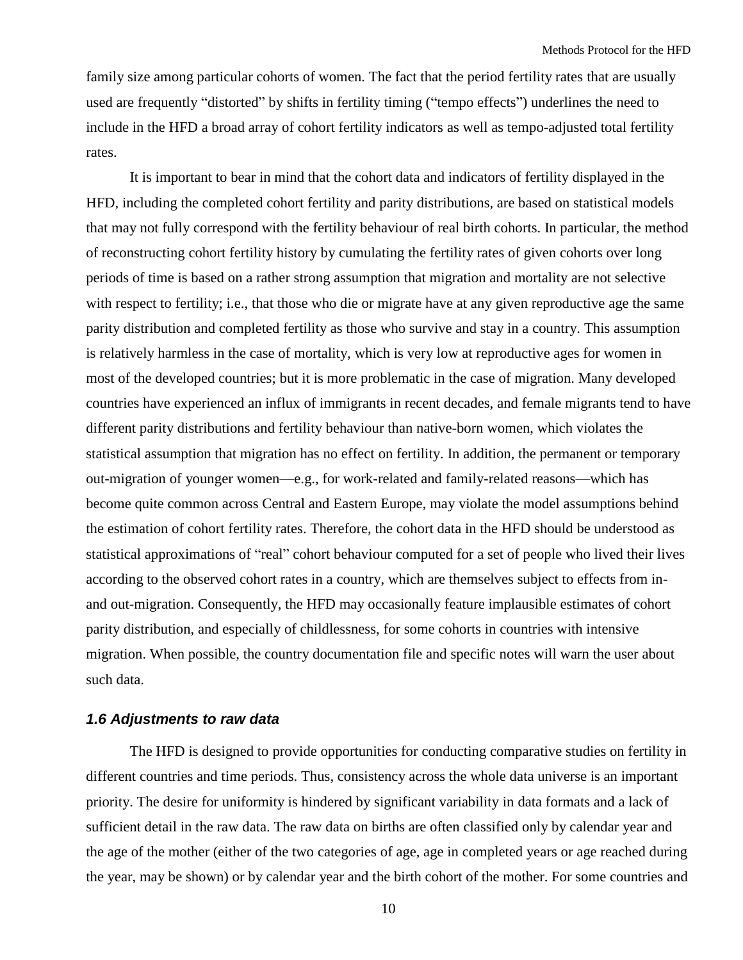family size among particular cohorts of women. The fact that the period fertility rates that are usually used are frequently "distorted" by shifts in fertility timing ("tempo effects") underlines the need to include in the HFD a broad array of cohort fertility indicators as well as tempo-adjusted total fertility rates.

It is important to bear in mind that the cohort data and indicators of fertility displayed in the HFD, including the completed cohort fertility and parity distributions, are based on statistical models that may not fully correspond with the fertility behaviour of real birth cohorts. In particular, the method of reconstructing cohort fertility history by cumulating the fertility rates of given cohorts over long periods of time is based on a rather strong assumption that migration and mortality are not selective with respect to fertility; i.e., that those who die or migrate have at any given reproductive age the same parity distribution and completed fertility as those who survive and stay in a country. This assumption is relatively harmless in the case of mortality, which is very low at reproductive ages for women in most of the developed countries; but it is more problematic in the case of migration. Many developed countries have experienced an influx of immigrants in recent decades, and female migrants tend to have different parity distributions and fertility behaviour than native-born women, which violates the statistical assumption that migration has no effect on fertility. In addition, the permanent or temporary out-migration of younger women—e.g., for work-related and family-related reasons—which has become quite common across Central and Eastern Europe, may violate the model assumptions behind the estimation of cohort fertility rates. Therefore, the cohort data in the HFD should be understood as statistical approximations of "real" cohort behaviour computed for a set of people who lived their lives according to the observed cohort rates in a country, which are themselves subject to effects from inand out-migration. Consequently, the HFD may occasionally feature implausible estimates of cohort parity distribution, and especially of childlessness, for some cohorts in countries with intensive migration. When possible, the country documentation file and specific notes will warn the user about such data.

## <span id="page-9-0"></span>*1.6 Adjustments to raw data*

The HFD is designed to provide opportunities for conducting comparative studies on fertility in different countries and time periods. Thus, consistency across the whole data universe is an important priority. The desire for uniformity is hindered by significant variability in data formats and a lack of sufficient detail in the raw data. The raw data on births are often classified only by calendar year and the age of the mother (either of the two categories of age, age in completed years or age reached during the year, may be shown) or by calendar year and the birth cohort of the mother. For some countries and

10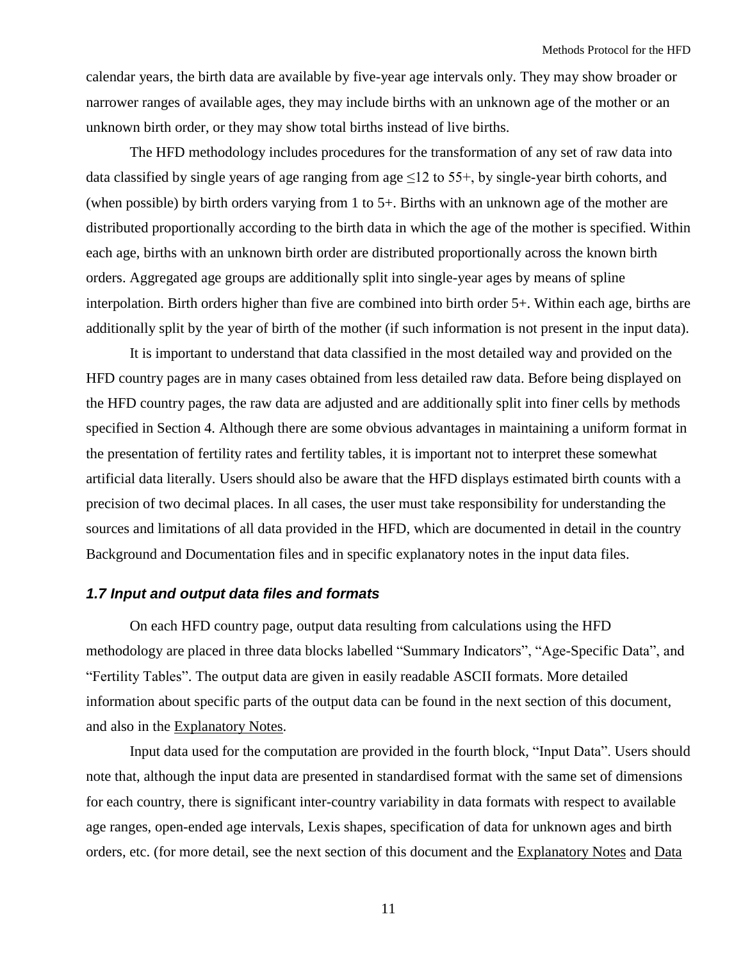calendar years, the birth data are available by five-year age intervals only. They may show broader or narrower ranges of available ages, they may include births with an unknown age of the mother or an unknown birth order, or they may show total births instead of live births.

The HFD methodology includes procedures for the transformation of any set of raw data into data classified by single years of age ranging from age  $\leq 12$  to 55+, by single-year birth cohorts, and (when possible) by birth orders varying from 1 to 5+. Births with an unknown age of the mother are distributed proportionally according to the birth data in which the age of the mother is specified. Within each age, births with an unknown birth order are distributed proportionally across the known birth orders. Aggregated age groups are additionally split into single-year ages by means of spline interpolation. Birth orders higher than five are combined into birth order 5+. Within each age, births are additionally split by the year of birth of the mother (if such information is not present in the input data).

It is important to understand that data classified in the most detailed way and provided on the HFD country pages are in many cases obtained from less detailed raw data. Before being displayed on the HFD country pages, the raw data are adjusted and are additionally split into finer cells by methods specified in Section 4. Although there are some obvious advantages in maintaining a uniform format in the presentation of fertility rates and fertility tables, it is important not to interpret these somewhat artificial data literally. Users should also be aware that the HFD displays estimated birth counts with a precision of two decimal places. In all cases, the user must take responsibility for understanding the sources and limitations of all data provided in the HFD, which are documented in detail in the country Background and Documentation files and in specific explanatory notes in the input data files.

## <span id="page-10-0"></span>*1.7 Input and output data files and formats*

On each HFD country page, output data resulting from calculations using the HFD methodology are placed in three data blocks labelled "Summary Indicators", "Age-Specific Data", and ―Fertility Tables‖. The output data are given in easily readable ASCII formats. More detailed information about specific parts of the output data can be found in the next section of this document, and also in the [Explanatory Notes.](http://www.humanfertility.org/cgi-bin/explan.php?menu=1)

Input data used for the computation are provided in the fourth block, "Input Data". Users should note that, although the input data are presented in standardised format with the same set of dimensions for each country, there is significant inter-country variability in data formats with respect to available age ranges, open-ended age intervals, Lexis shapes, specification of data for unknown ages and birth orders, etc. (for more detail, see the next section of this document and the [Explanatory Notes](http://www.humanfertility.org/cgi-bin/explan.php?menu=1) and [Data](http://www.humanfertility.org/Docs/formats.pdf) 

11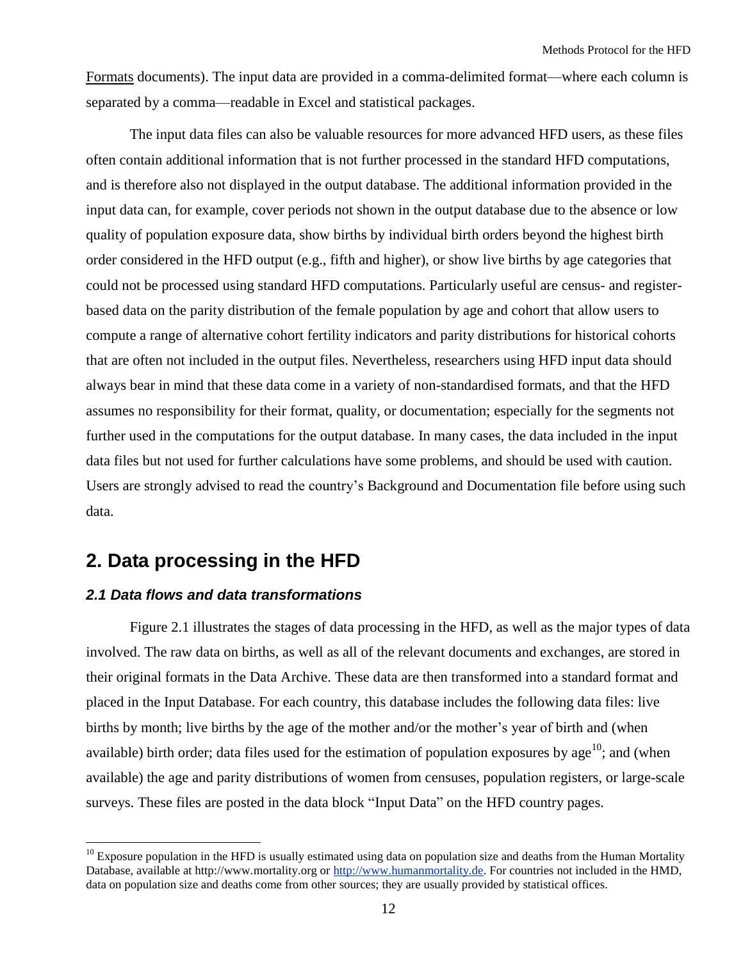[Formats](http://www.humanfertility.org/Docs/formats.pdf) documents). The input data are provided in a comma-delimited format—where each column is separated by a comma—readable in Excel and statistical packages.

The input data files can also be valuable resources for more advanced HFD users, as these files often contain additional information that is not further processed in the standard HFD computations, and is therefore also not displayed in the output database. The additional information provided in the input data can, for example, cover periods not shown in the output database due to the absence or low quality of population exposure data, show births by individual birth orders beyond the highest birth order considered in the HFD output (e.g., fifth and higher), or show live births by age categories that could not be processed using standard HFD computations. Particularly useful are census- and registerbased data on the parity distribution of the female population by age and cohort that allow users to compute a range of alternative cohort fertility indicators and parity distributions for historical cohorts that are often not included in the output files. Nevertheless, researchers using HFD input data should always bear in mind that these data come in a variety of non-standardised formats, and that the HFD assumes no responsibility for their format, quality, or documentation; especially for the segments not further used in the computations for the output database. In many cases, the data included in the input data files but not used for further calculations have some problems, and should be used with caution. Users are strongly advised to read the country's Background and Documentation file before using such data.

## <span id="page-11-0"></span>**2. Data processing in the HFD**

## <span id="page-11-1"></span>*2.1 Data flows and data transformations*

 $\overline{a}$ 

Figure 2.1 illustrates the stages of data processing in the HFD, as well as the major types of data involved. The raw data on births, as well as all of the relevant documents and exchanges, are stored in their original formats in the Data Archive. These data are then transformed into a [standard format](http://www-t.humanfertility.org/Docs/formats.pdf) and placed in the Input Database. For each country, this database includes the following data files: live births by month; live births by the age of the mother and/or the mother's year of birth and (when available) birth order; data files used for the estimation of population exposures by age<sup>10</sup>; and (when available) the age and parity distributions of women from censuses, population registers, or large-scale surveys. These files are posted in the data block "Input Data" on the HFD country pages.

 $10$  Exposure population in the HFD is usually estimated using data on population size and deaths from the Human Mortality Database, available at http://www.mortality.org o[r http://www.humanmortality.de.](http://www.humanmortality.de/) For countries not included in the HMD, data on population size and deaths come from other sources; they are usually provided by statistical offices.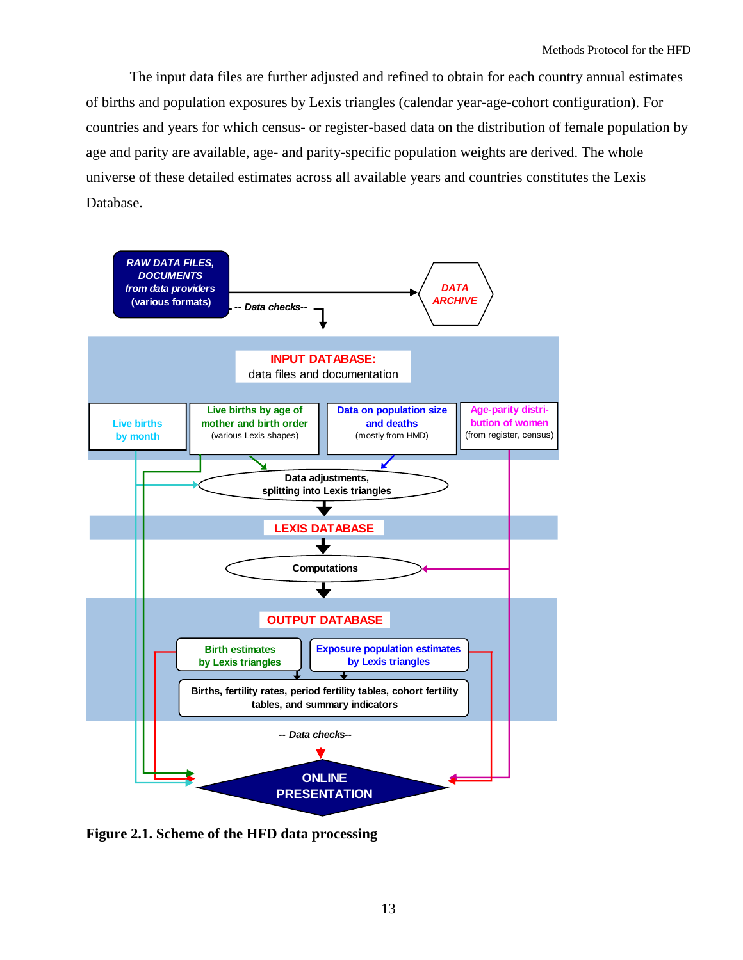The input data files are further adjusted and refined to obtain for each country annual estimates of births and population exposures by Lexis triangles (calendar year-age-cohort configuration). For countries and years for which census- or register-based data on the distribution of female population by age and parity are available, age- and parity-specific population weights are derived. The whole universe of these detailed estimates across all available years and countries constitutes the Lexis Database.



**Figure 2.1. Scheme of the HFD data processing**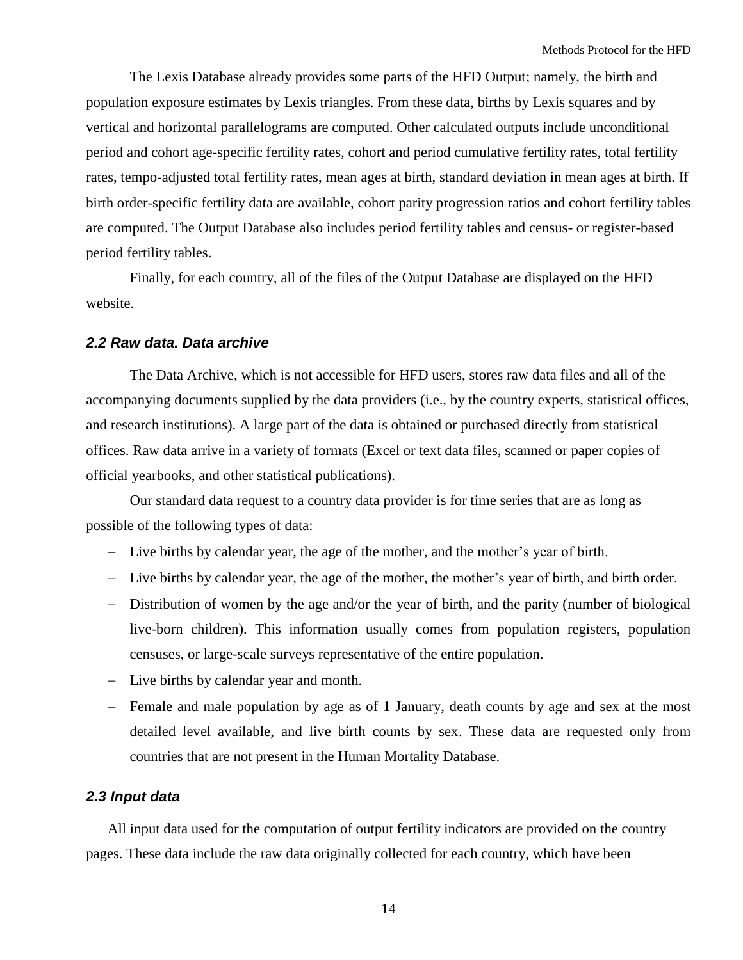The Lexis Database already provides some parts of the HFD Output; namely, the birth and population exposure estimates by Lexis triangles. From these data, births by Lexis squares and by vertical and horizontal parallelograms are computed. Other calculated outputs include unconditional period and cohort age-specific fertility rates, cohort and period cumulative fertility rates, total fertility rates, tempo-adjusted total fertility rates, mean ages at birth, standard deviation in mean ages at birth. If birth order-specific fertility data are available, cohort parity progression ratios and cohort fertility tables are computed. The Output Database also includes period fertility tables and census- or register-based period fertility tables.

Finally, for each country, all of the files of the Output Database are displayed on the HFD website.

### <span id="page-13-0"></span>*2.2 Raw data. Data archive*

The Data Archive, which is not accessible for HFD users, stores raw data files and all of the accompanying documents supplied by the data providers (i.e., by the country experts, statistical offices, and research institutions). A large part of the data is obtained or purchased directly from statistical offices. Raw data arrive in a variety of formats (Excel or text data files, scanned or paper copies of official yearbooks, and other statistical publications).

Our standard data request to a country data provider is for time series that are as long as possible of the following types of data:

- Live births by calendar year, the age of the mother, and the mother's year of birth.
- Live births by calendar year, the age of the mother, the mother's year of birth, and birth order.
- Distribution of women by the age and/or the year of birth, and the parity (number of biological live-born children). This information usually comes from population registers, population censuses, or large-scale surveys representative of the entire population.
- Live births by calendar year and month.
- Female and male population by age as of 1 January, death counts by age and sex at the most detailed level available, and live birth counts by sex. These data are requested only from countries that are not present in the Human Mortality Database.

#### <span id="page-13-1"></span>*2.3 Input data*

All input data used for the computation of output fertility indicators are provided on the country pages. These data include the raw data originally collected for each country, which have been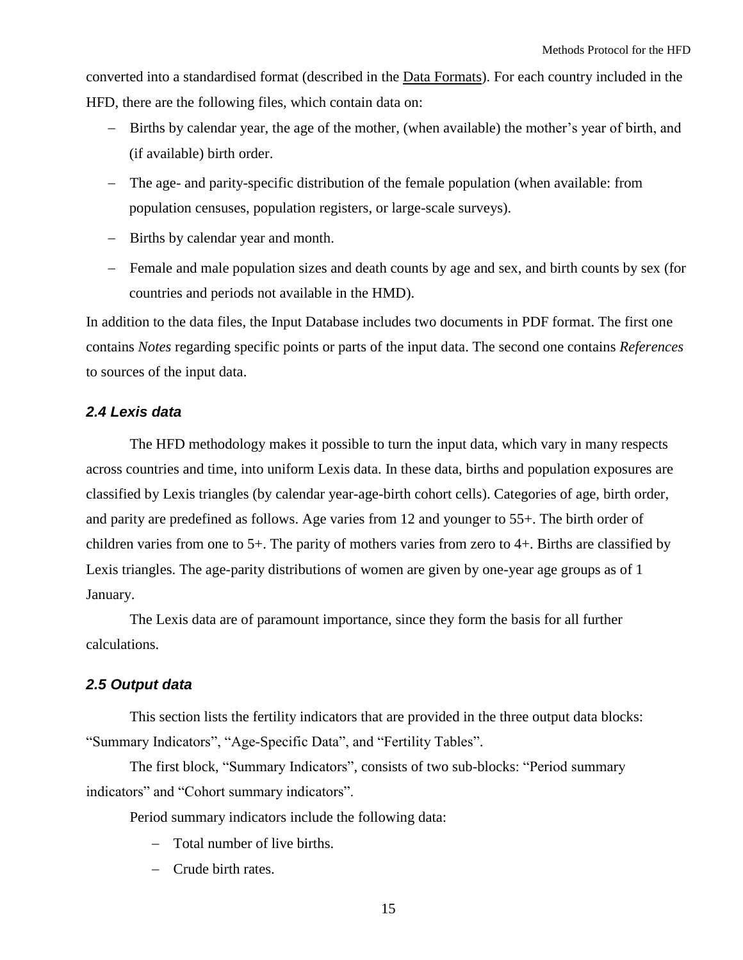converted into a standardised format (described in the [Data Formats\)](http://www.humanfertility.org/Docs/formats.pdf). For each country included in the HFD, there are the following files, which contain data on:

- Births by calendar year, the age of the mother, (when available) the mother's year of birth, and (if available) birth order.
- The age- and parity-specific distribution of the female population (when available: from population censuses, population registers, or large-scale surveys).
- Births by calendar year and month.
- Female and male population sizes and death counts by age and sex, and birth counts by sex (for countries and periods not available in the HMD).

In addition to the data files, the Input Database includes two documents in PDF format. The first one contains *Notes* regarding specific points or parts of the input data. The second one contains *References* to sources of the input data.

## <span id="page-14-0"></span>*2.4 Lexis data*

The HFD methodology makes it possible to turn the input data, which vary in many respects across countries and time, into uniform Lexis data. In these data, births and population exposures are classified by Lexis triangles (by calendar year-age-birth cohort cells). Categories of age, birth order, and parity are predefined as follows. Age varies from 12 and younger to 55+. The birth order of children varies from one to 5+. The parity of mothers varies from zero to 4+. Births are classified by Lexis triangles. The age-parity distributions of women are given by one-year age groups as of 1 January.

The Lexis data are of paramount importance, since they form the basis for all further calculations.

## <span id="page-14-1"></span>*2.5 Output data*

This section lists the fertility indicators that are provided in the three output data blocks: "Summary Indicators", "Age-Specific Data", and "Fertility Tables".

The first block, "Summary Indicators", consists of two sub-blocks: "Period summary indicators" and "Cohort summary indicators".

Period summary indicators include the following data:

- Total number of live births.
- Crude birth rates.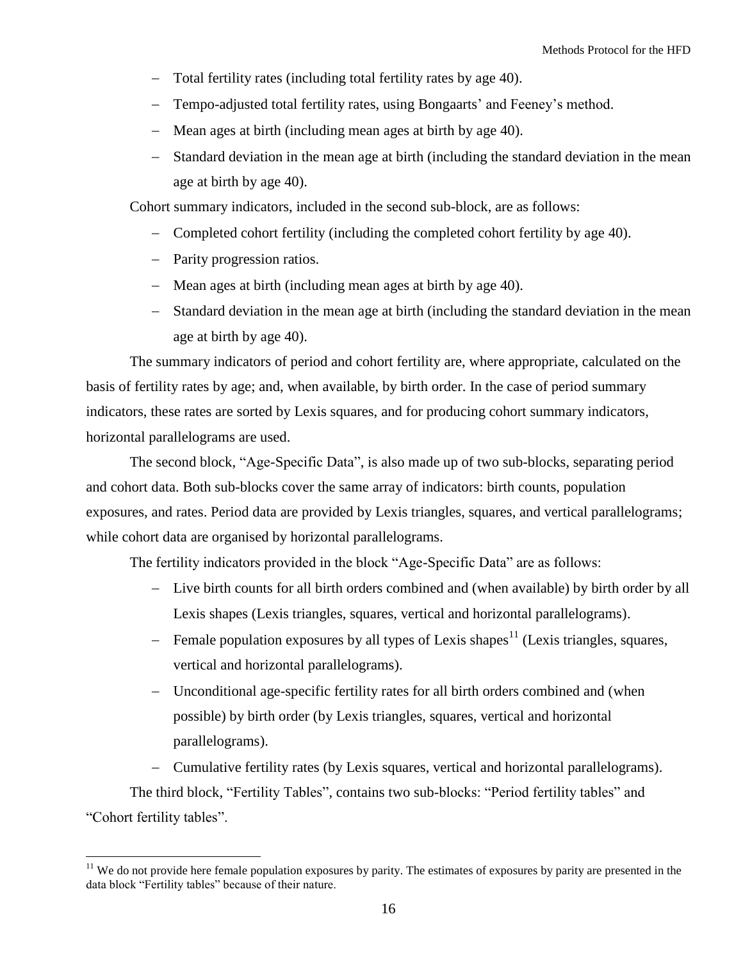- Total fertility rates (including total fertility rates by age 40).
- Tempo-adjusted total fertility rates, using Bongaarts' and Feeney's method.
- Mean ages at birth (including mean ages at birth by age 40).
- Standard deviation in the mean age at birth (including the standard deviation in the mean age at birth by age 40).

Cohort summary indicators, included in the second sub-block, are as follows:

- Completed cohort fertility (including the completed cohort fertility by age 40).
- Parity progression ratios.

 $\overline{a}$ 

- Mean ages at birth (including mean ages at birth by age 40).
- Standard deviation in the mean age at birth (including the standard deviation in the mean age at birth by age 40).

The summary indicators of period and cohort fertility are, where appropriate, calculated on the basis of fertility rates by age; and, when available, by birth order. In the case of period summary indicators, these rates are sorted by Lexis squares, and for producing cohort summary indicators, horizontal parallelograms are used.

The second block, "Age-Specific Data", is also made up of two sub-blocks, separating period and cohort data. Both sub-blocks cover the same array of indicators: birth counts, population exposures, and rates. Period data are provided by Lexis triangles, squares, and vertical parallelograms; while cohort data are organised by horizontal parallelograms.

The fertility indicators provided in the block "Age-Specific Data" are as follows:

- Live birth counts for all birth orders combined and (when available) by birth order by all Lexis shapes (Lexis triangles, squares, vertical and horizontal parallelograms).
- Female population exposures by all types of Lexis shapes<sup>11</sup> (Lexis triangles, squares, vertical and horizontal parallelograms).
- Unconditional age-specific fertility rates for all birth orders combined and (when possible) by birth order (by Lexis triangles, squares, vertical and horizontal parallelograms).

 Cumulative fertility rates (by Lexis squares, vertical and horizontal parallelograms). The third block, "Fertility Tables", contains two sub-blocks: "Period fertility tables" and "Cohort fertility tables".

 $11$  We do not provide here female population exposures by parity. The estimates of exposures by parity are presented in the data block "Fertility tables" because of their nature.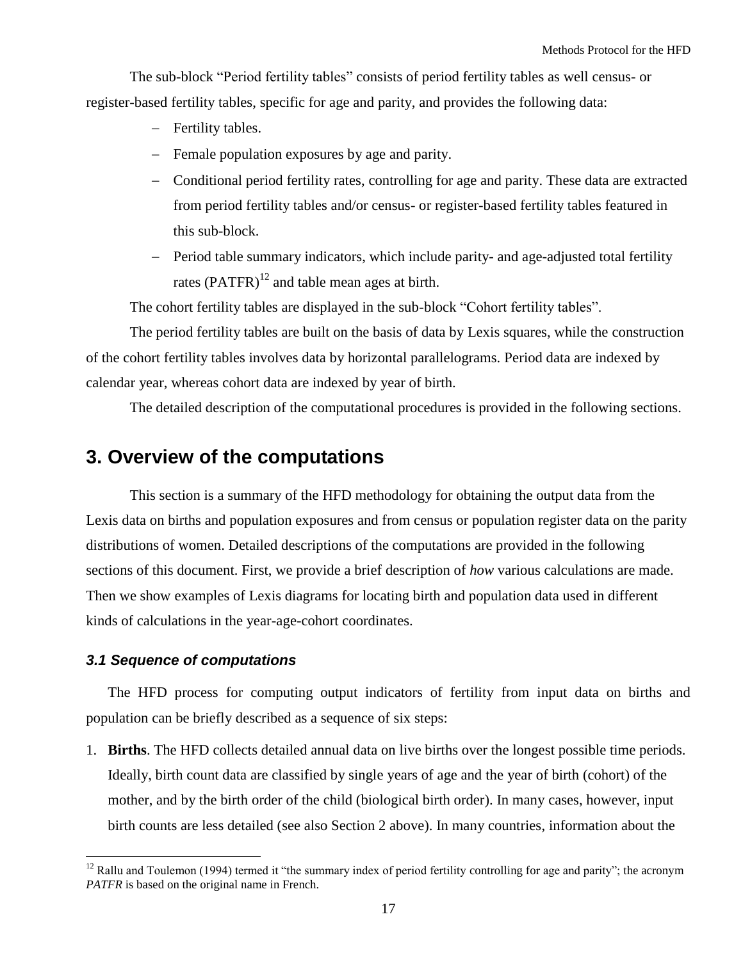The sub-block "Period fertility tables" consists of period fertility tables as well census- or register-based fertility tables, specific for age and parity, and provides the following data:

- Fertility tables.
- Female population exposures by age and parity.
- Conditional period fertility rates, controlling for age and parity. These data are extracted from period fertility tables and/or census- or register-based fertility tables featured in this sub-block.
- Period table summary indicators, which include parity- and age-adjusted total fertility rates  $(PATFR)^{12}$  and table mean ages at birth.

The cohort fertility tables are displayed in the sub-block "Cohort fertility tables".

The period fertility tables are built on the basis of data by Lexis squares, while the construction of the cohort fertility tables involves data by horizontal parallelograms. Period data are indexed by calendar year, whereas cohort data are indexed by year of birth.

The detailed description of the computational procedures is provided in the following sections.

## <span id="page-16-0"></span>**3. Overview of the computations**

This section is a summary of the HFD methodology for obtaining the output data from the Lexis data on births and population exposures and from census or population register data on the parity distributions of women. Detailed descriptions of the computations are provided in the following sections of this document. First, we provide a brief description of *how* various calculations are made. Then we show examples of Lexis diagrams for locating birth and population data used in different kinds of calculations in the year-age-cohort coordinates.

## <span id="page-16-1"></span>*3.1 Sequence of computations*

 $\overline{a}$ 

The HFD process for computing output indicators of fertility from input data on births and population can be briefly described as a sequence of six steps:

1. **Births**. The HFD collects detailed annual data on live births over the longest possible time periods. Ideally, birth count data are classified by single years of age and the year of birth (cohort) of the mother, and by the birth order of the child (biological birth order). In many cases, however, input birth counts are less detailed (see also Section 2 above). In many countries, information about the

 $12$  Rallu and Toulemon (1994) termed it "the summary index of period fertility controlling for age and parity"; the acronym *PATFR* is based on the original name in French.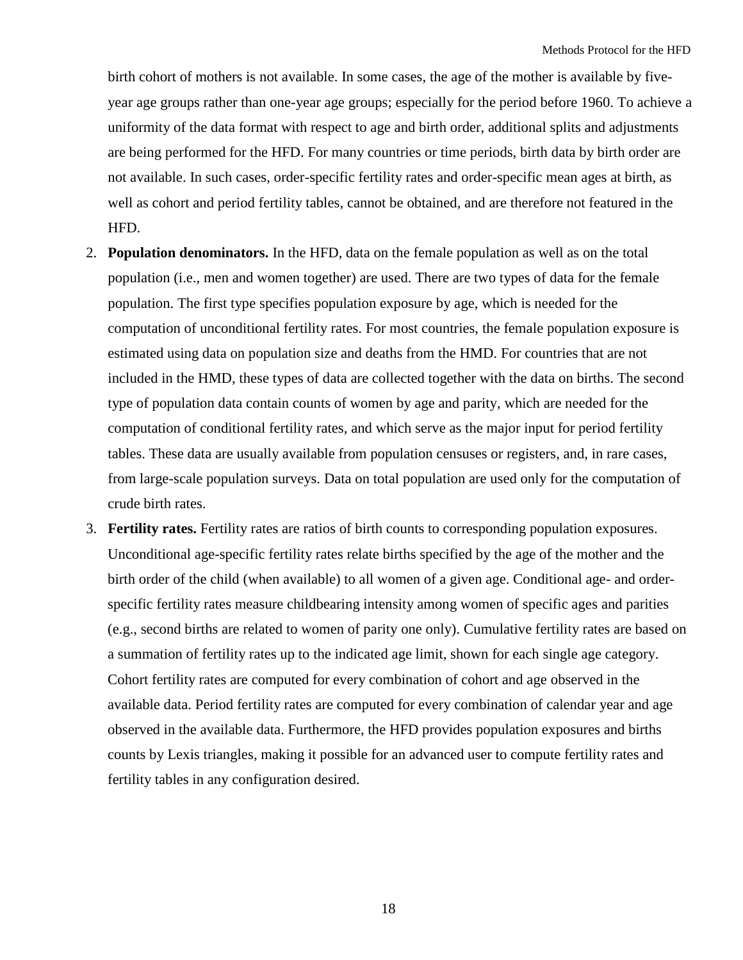birth cohort of mothers is not available. In some cases, the age of the mother is available by fiveyear age groups rather than one-year age groups; especially for the period before 1960. To achieve a uniformity of the data format with respect to age and birth order, additional splits and adjustments are being performed for the HFD. For many countries or time periods, birth data by birth order are not available. In such cases, order-specific fertility rates and order-specific mean ages at birth, as well as cohort and period fertility tables, cannot be obtained, and are therefore not featured in the HFD.

- 2. **Population denominators.** In the HFD, data on the female population as well as on the total population (i.e., men and women together) are used. There are two types of data for the female population. The first type specifies population exposure by age, which is needed for the computation of unconditional fertility rates. For most countries, the female population exposure is estimated using data on population size and deaths from the HMD. For countries that are not included in the HMD, these types of data are collected together with the data on births. The second type of population data contain counts of women by age and parity, which are needed for the computation of conditional fertility rates, and which serve as the major input for period fertility tables. These data are usually available from population censuses or registers, and, in rare cases, from large-scale population surveys. Data on total population are used only for the computation of crude birth rates.
- 3. **Fertility rates.** Fertility rates are ratios of birth counts to corresponding population exposures. Unconditional age-specific fertility rates relate births specified by the age of the mother and the birth order of the child (when available) to all women of a given age. Conditional age- and orderspecific fertility rates measure childbearing intensity among women of specific ages and parities (e.g., second births are related to women of parity one only). Cumulative fertility rates are based on a summation of fertility rates up to the indicated age limit, shown for each single age category. Cohort fertility rates are computed for every combination of cohort and age observed in the available data. Period fertility rates are computed for every combination of calendar year and age observed in the available data. Furthermore, the HFD provides population exposures and births counts by Lexis triangles, making it possible for an advanced user to compute fertility rates and fertility tables in any configuration desired.

18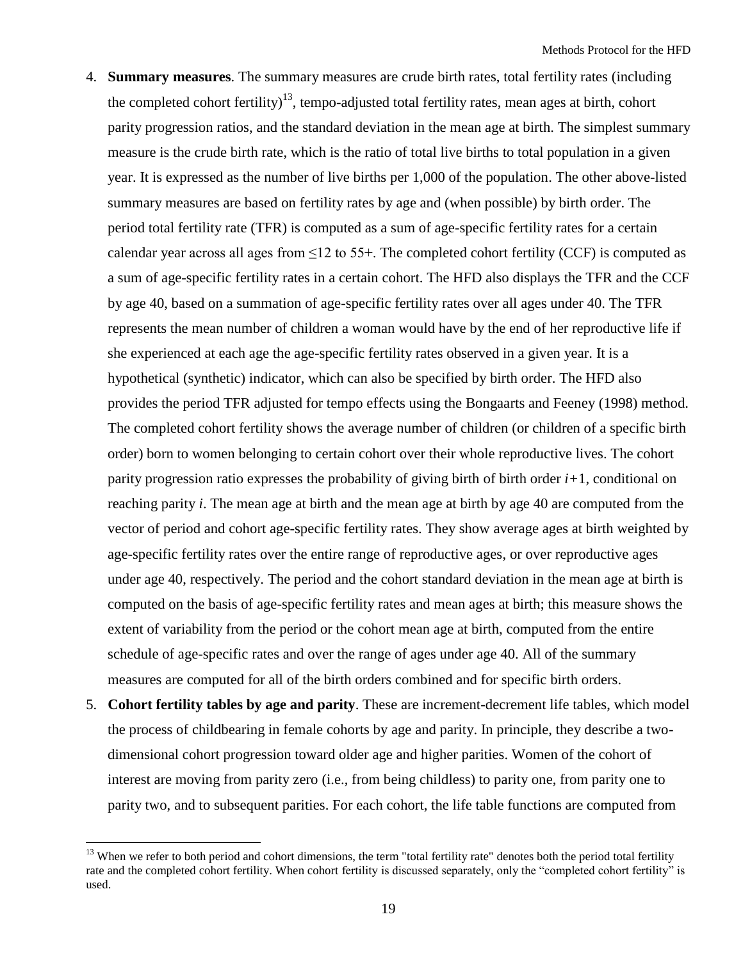- 4. **Summary measures**. The summary measures are crude birth rates, total fertility rates (including the completed cohort fertility)<sup>13</sup>, tempo-adjusted total fertility rates, mean ages at birth, cohort parity progression ratios, and the standard deviation in the mean age at birth. The simplest summary measure is the crude birth rate, which is the ratio of total live births to total population in a given year. It is expressed as the number of live births per 1,000 of the population. The other above-listed summary measures are based on fertility rates by age and (when possible) by birth order. The period total fertility rate (TFR) is computed as a sum of age-specific fertility rates for a certain calendar year across all ages from  $\leq 12$  to 55+. The completed cohort fertility (CCF) is computed as a sum of age-specific fertility rates in a certain cohort. The HFD also displays the TFR and the CCF by age 40, based on a summation of age-specific fertility rates over all ages under 40. The TFR represents the mean number of children a woman would have by the end of her reproductive life if she experienced at each age the age-specific fertility rates observed in a given year. It is a hypothetical (synthetic) indicator, which can also be specified by birth order. The HFD also provides the period TFR adjusted for tempo effects using the Bongaarts and Feeney (1998) method. The completed cohort fertility shows the average number of children (or children of a specific birth order) born to women belonging to certain cohort over their whole reproductive lives. The cohort parity progression ratio expresses the probability of giving birth of birth order *i+*1, conditional on reaching parity *i*. The mean age at birth and the mean age at birth by age 40 are computed from the vector of period and cohort age-specific fertility rates. They show average ages at birth weighted by age-specific fertility rates over the entire range of reproductive ages, or over reproductive ages under age 40, respectively. The period and the cohort standard deviation in the mean age at birth is computed on the basis of age-specific fertility rates and mean ages at birth; this measure shows the extent of variability from the period or the cohort mean age at birth, computed from the entire schedule of age-specific rates and over the range of ages under age 40. All of the summary measures are computed for all of the birth orders combined and for specific birth orders.
- 5. **Cohort fertility tables by age and parity**. These are increment-decrement life tables, which model the process of childbearing in female cohorts by age and parity. In principle, they describe a twodimensional cohort progression toward older age and higher parities. Women of the cohort of interest are moving from parity zero (i.e., from being childless) to parity one, from parity one to parity two, and to subsequent parities. For each cohort, the life table functions are computed from

<sup>&</sup>lt;sup>13</sup> When we refer to both period and cohort dimensions, the term "total fertility rate" denotes both the period total fertility rate and the completed cohort fertility. When cohort fertility is discussed separately, only the "completed cohort fertility" is used.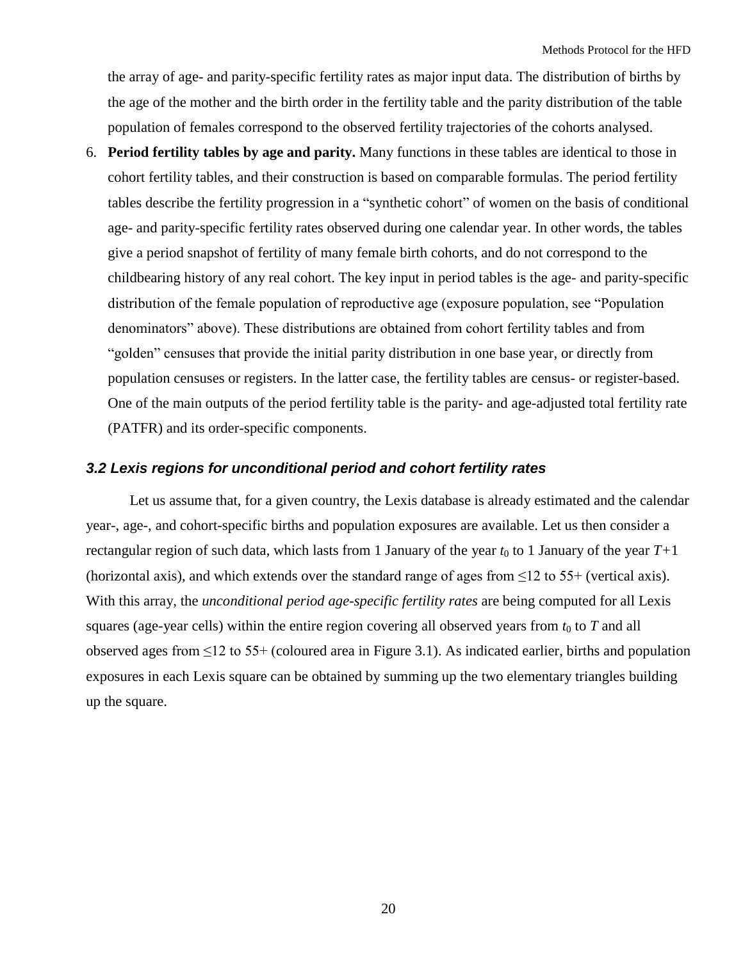the array of age- and parity-specific fertility rates as major input data. The distribution of births by the age of the mother and the birth order in the fertility table and the parity distribution of the table population of females correspond to the observed fertility trajectories of the cohorts analysed.

6. **Period fertility tables by age and parity.** Many functions in these tables are identical to those in cohort fertility tables, and their construction is based on comparable formulas. The period fertility tables describe the fertility progression in a "synthetic cohort" of women on the basis of conditional age- and parity-specific fertility rates observed during one calendar year. In other words, the tables give a period snapshot of fertility of many female birth cohorts, and do not correspond to the childbearing history of any real cohort. The key input in period tables is the age- and parity-specific distribution of the female population of reproductive age (exposure population, see "Population") denominators" above). These distributions are obtained from cohort fertility tables and from "golden" censuses that provide the initial parity distribution in one base year, or directly from population censuses or registers. In the latter case, the fertility tables are census- or register-based. One of the main outputs of the period fertility table is the parity- and age-adjusted total fertility rate (PATFR) and its order-specific components.

### <span id="page-19-0"></span>*3.2 Lexis regions for unconditional period and cohort fertility rates*

Let us assume that, for a given country, the Lexis database is already estimated and the calendar year-, age-, and cohort-specific births and population exposures are available. Let us then consider a rectangular region of such data, which lasts from 1 January of the year  $t_0$  to 1 January of the year  $T+1$ (horizontal axis), and which extends over the standard range of ages from  $\leq$ 12 to 55+ (vertical axis). With this array, the *unconditional period age-specific fertility rates* are being computed for all Lexis squares (age-year cells) within the entire region covering all observed years from  $t_0$  to  $T$  and all observed ages from  $\leq$ 12 to 55+ (coloured area in Figure 3.1). As indicated earlier, births and population exposures in each Lexis square can be obtained by summing up the two elementary triangles building up the square.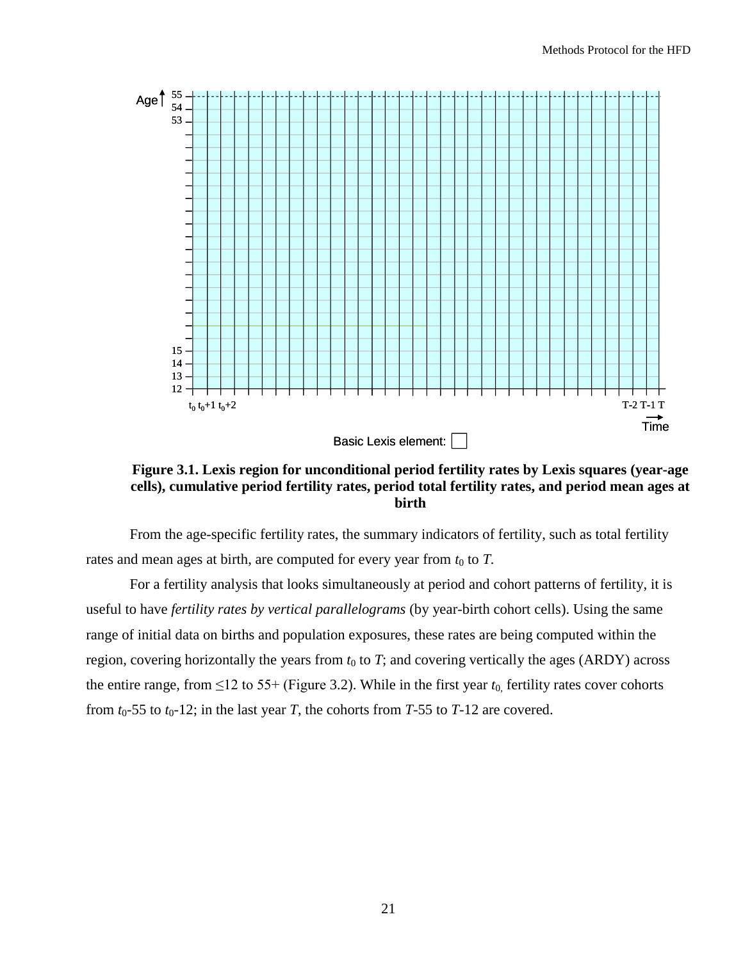

**Figure 3.1. Lexis region for unconditional period fertility rates by Lexis squares (year-age cells), cumulative period fertility rates, period total fertility rates, and period mean ages at birth**

From the age-specific fertility rates, the summary indicators of fertility, such as total fertility rates and mean ages at birth, are computed for every year from  $t_0$  to  $T$ .

For a fertility analysis that looks simultaneously at period and cohort patterns of fertility, it is useful to have *fertility rates by vertical parallelograms* (by year-birth cohort cells). Using the same range of initial data on births and population exposures, these rates are being computed within the region, covering horizontally the years from  $t_0$  to  $T$ ; and covering vertically the ages (ARDY) across the entire range, from  $\leq 12$  to 55+ (Figure 3.2). While in the first year  $t_0$ , fertility rates cover cohorts from  $t_0$ -55 to  $t_0$ -12; in the last year *T*, the cohorts from *T*-55 to *T*-12 are covered.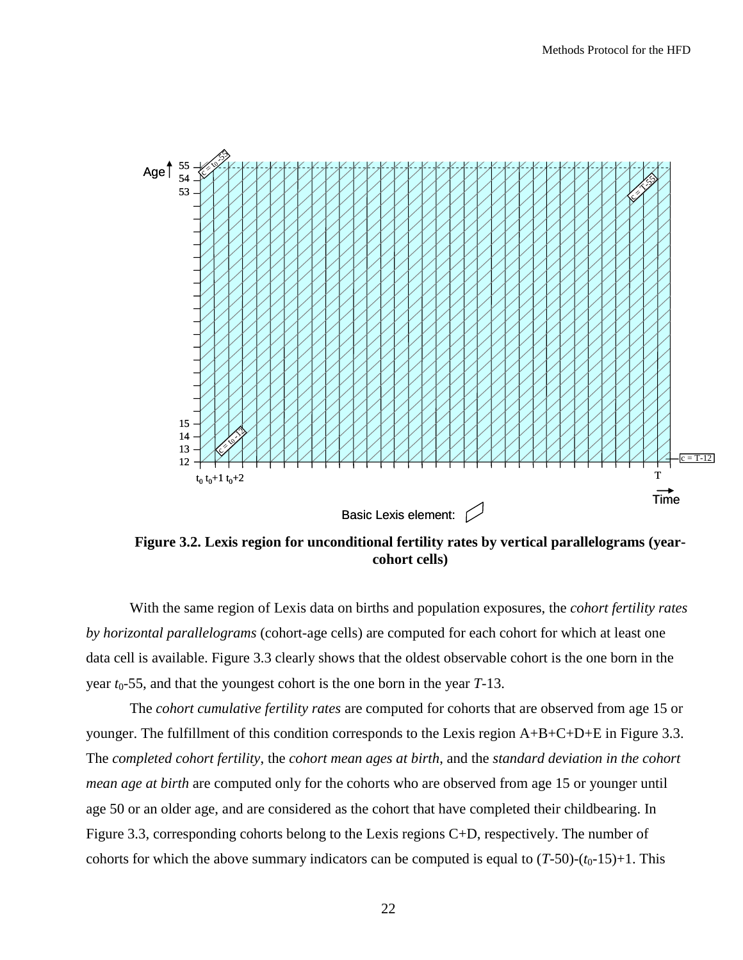

**Figure 3.2. Lexis region for unconditional fertility rates by vertical parallelograms (yearcohort cells)**

With the same region of Lexis data on births and population exposures, the *cohort fertility rates by horizontal parallelograms* (cohort-age cells) are computed for each cohort for which at least one data cell is available. Figure 3.3 clearly shows that the oldest observable cohort is the one born in the year  $t_0$ -55, and that the youngest cohort is the one born in the year  $T$ -13.

The *cohort cumulative fertility rates* are computed for cohorts that are observed from age 15 or younger. The fulfillment of this condition corresponds to the Lexis region A+B+C+D+E in Figure 3.3. The *completed cohort fertility*, the *cohort mean ages at birth*, and the *standard deviation in the cohort mean age at birth* are computed only for the cohorts who are observed from age 15 or younger until age 50 or an older age, and are considered as the cohort that have completed their childbearing. In Figure 3.3, corresponding cohorts belong to the Lexis regions C+D, respectively. The number of cohorts for which the above summary indicators can be computed is equal to  $(T-50)-(t_0-15)+1$ . This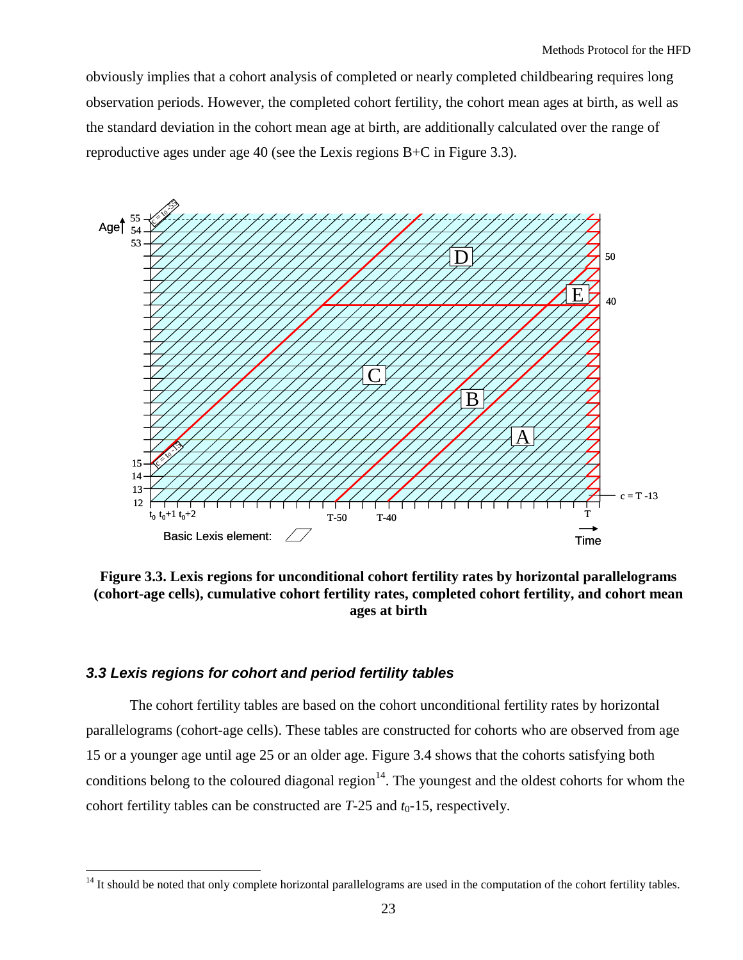obviously implies that a cohort analysis of completed or nearly completed childbearing requires long observation periods. However, the completed cohort fertility, the cohort mean ages at birth, as well as the standard deviation in the cohort mean age at birth, are additionally calculated over the range of reproductive ages under age 40 (see the Lexis regions B+C in Figure 3.3).



**Figure 3.3. Lexis regions for unconditional cohort fertility rates by horizontal parallelograms (cohort-age cells), cumulative cohort fertility rates, completed cohort fertility, and cohort mean ages at birth**

## <span id="page-22-0"></span>*3.3 Lexis regions for cohort and period fertility tables*

 $\overline{a}$ 

The cohort fertility tables are based on the cohort unconditional fertility rates by horizontal parallelograms (cohort-age cells). These tables are constructed for cohorts who are observed from age 15 or a younger age until age 25 or an older age. Figure 3.4 shows that the cohorts satisfying both conditions belong to the coloured diagonal region<sup>14</sup>. The youngest and the oldest cohorts for whom the cohort fertility tables can be constructed are  $T-25$  and  $t_0-15$ , respectively.

 $14$  It should be noted that only complete horizontal parallelograms are used in the computation of the cohort fertility tables.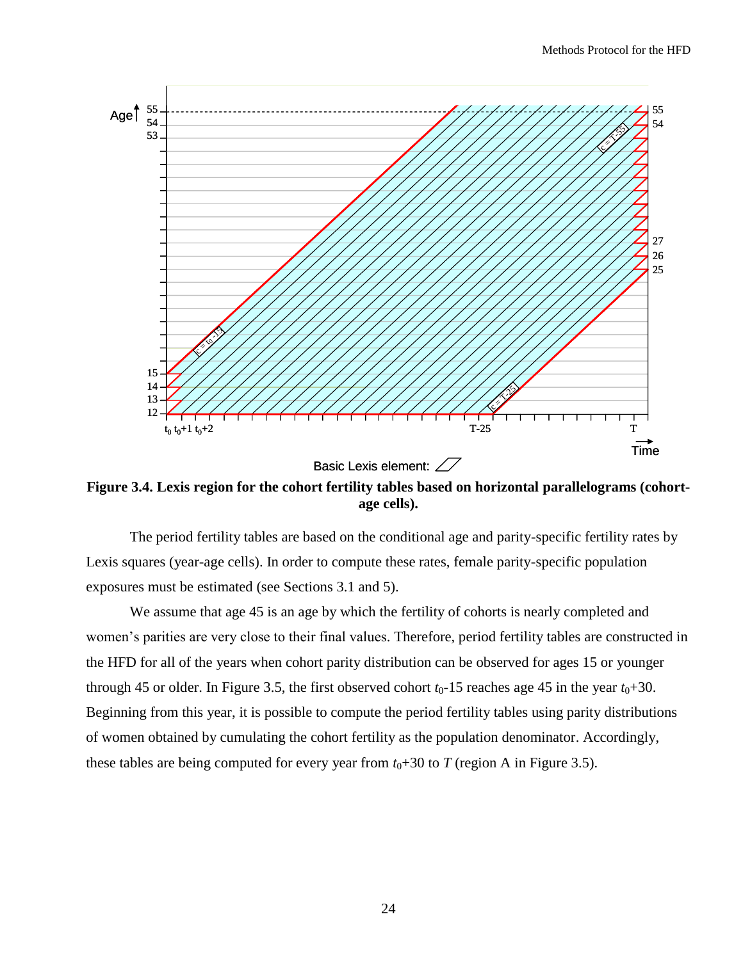

**Figure 3.4. Lexis region for the cohort fertility tables based on horizontal parallelograms (cohortage cells).**

The period fertility tables are based on the conditional age and parity-specific fertility rates by Lexis squares (year-age cells). In order to compute these rates, female parity-specific population exposures must be estimated (see Sections 3.1 and 5).

We assume that age 45 is an age by which the fertility of cohorts is nearly completed and women's parities are very close to their final values. Therefore, period fertility tables are constructed in the HFD for all of the years when cohort parity distribution can be observed for ages 15 or younger through 45 or older. In Figure 3.5, the first observed cohort  $t_0$ -15 reaches age 45 in the year  $t_0$ +30. Beginning from this year, it is possible to compute the period fertility tables using parity distributions of women obtained by cumulating the cohort fertility as the population denominator. Accordingly, these tables are being computed for every year from  $t_0+30$  to *T* (region A in Figure 3.5).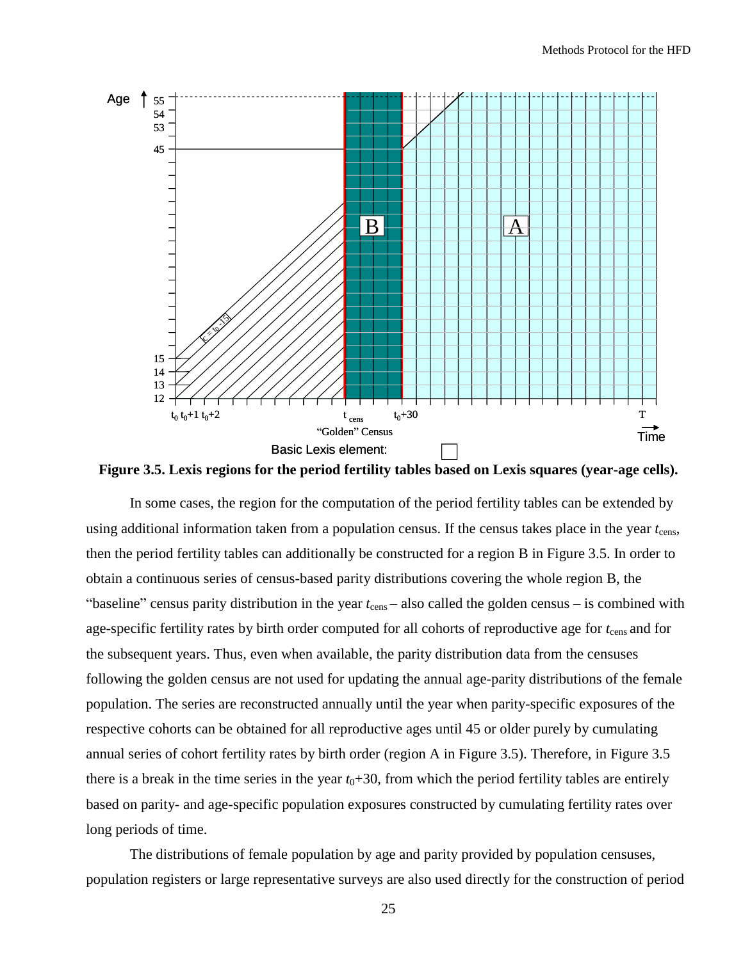

**Figure 3.5. Lexis regions for the period fertility tables based on Lexis squares (year-age cells).**

In some cases, the region for the computation of the period fertility tables can be extended by using additional information taken from a population census. If the census takes place in the year  $t_{\rm cens}$ , then the period fertility tables can additionally be constructed for a region B in Figure 3.5. In order to obtain a continuous series of census-based parity distributions covering the whole region B, the "baseline" census parity distribution in the year  $t_{\text{cens}}$  – also called the golden census – is combined with age-specific fertility rates by birth order computed for all cohorts of reproductive age for  $t_{\rm cens}$  and for the subsequent years. Thus, even when available, the parity distribution data from the censuses following the golden census are not used for updating the annual age-parity distributions of the female population. The series are reconstructed annually until the year when parity-specific exposures of the respective cohorts can be obtained for all reproductive ages until 45 or older purely by cumulating annual series of cohort fertility rates by birth order (region A in Figure 3.5). Therefore, in Figure 3.5 there is a break in the time series in the year  $t_0+30$ , from which the period fertility tables are entirely based on parity- and age-specific population exposures constructed by cumulating fertility rates over long periods of time.

The distributions of female population by age and parity provided by population censuses, population registers or large representative surveys are also used directly for the construction of period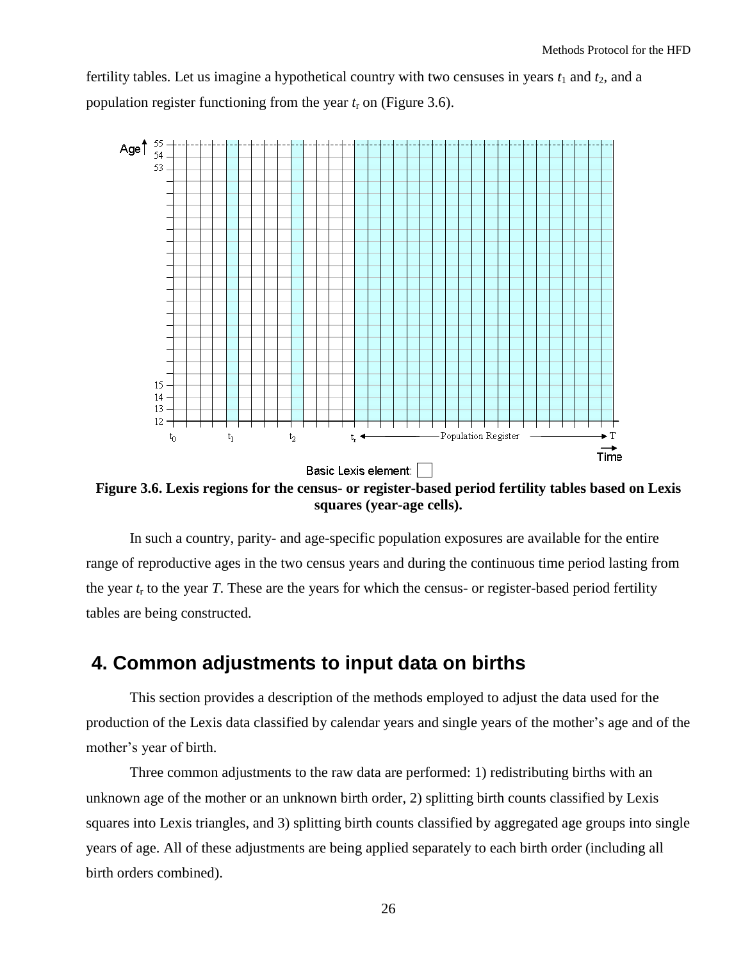fertility tables. Let us imagine a hypothetical country with two censuses in years  $t_1$  and  $t_2$ , and a population register functioning from the year  $t_r$  on (Figure 3.6).



**Figure 3.6. Lexis regions for the census- or register-based period fertility tables based on Lexis squares (year-age cells).**

In such a country, parity- and age-specific population exposures are available for the entire range of reproductive ages in the two census years and during the continuous time period lasting from the year  $t_r$  to the year *T*. These are the years for which the census- or register-based period fertility tables are being constructed.

# <span id="page-25-0"></span>**4. Common adjustments to input data on births**

This section provides a description of the methods employed to adjust the data used for the production of the Lexis data classified by calendar years and single years of the mother's age and of the mother's year of birth.

Three common adjustments to the raw data are performed: 1) redistributing births with an unknown age of the mother or an unknown birth order, 2) splitting birth counts classified by Lexis squares into Lexis triangles, and 3) splitting birth counts classified by aggregated age groups into single years of age. All of these adjustments are being applied separately to each birth order (including all birth orders combined).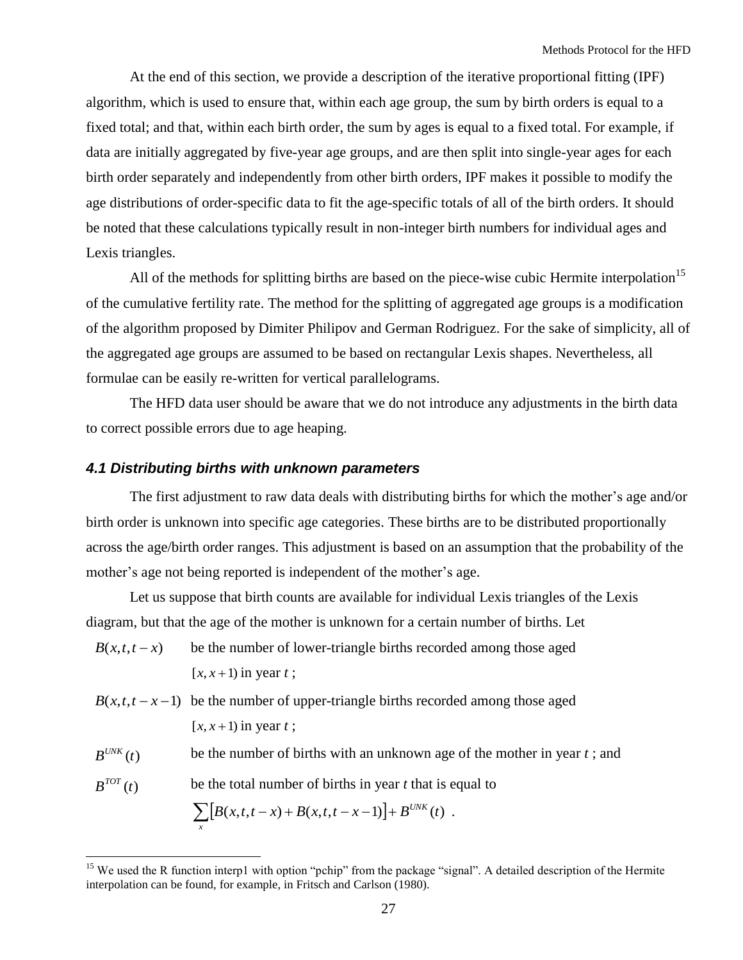At the end of this section, we provide a description of the iterative proportional fitting (IPF) algorithm, which is used to ensure that, within each age group, the sum by birth orders is equal to a fixed total; and that, within each birth order, the sum by ages is equal to a fixed total. For example, if data are initially aggregated by five-year age groups, and are then split into single-year ages for each birth order separately and independently from other birth orders, IPF makes it possible to modify the age distributions of order-specific data to fit the age-specific totals of all of the birth orders. It should be noted that these calculations typically result in non-integer birth numbers for individual ages and Lexis triangles.

All of the methods for splitting births are based on the piece-wise cubic Hermite interpolation<sup>15</sup> of the cumulative fertility rate. The method for the splitting of aggregated age groups is a modification of the algorithm proposed by Dimiter Philipov and German Rodriguez. For the sake of simplicity, all of the aggregated age groups are assumed to be based on rectangular Lexis shapes. Nevertheless, all formulae can be easily re-written for vertical parallelograms.

The HFD data user should be aware that we do not introduce any adjustments in the birth data to correct possible errors due to age heaping.

### <span id="page-26-0"></span>*4.1 Distributing births with unknown parameters*

The first adjustment to raw data deals with distributing births for which the mother's age and/or birth order is unknown into specific age categories. These births are to be distributed proportionally across the age/birth order ranges. This adjustment is based on an assumption that the probability of the mother's age not being reported is independent of the mother's age.

Let us suppose that birth counts are available for individual Lexis triangles of the Lexis diagram, but that the age of the mother is unknown for a certain number of births. Let

- *B*(*x*,*t*,*t x*) be the number of lower-triangle births recorded among those aged  $[x, x+1)$  in year *t*;
- $B(x,t,t-x-1)$  be the number of upper-triangle births recorded among those aged  $[x, x+1)$  in year *t*;
- $B^{UNK}(t)$ be the number of births with an unknown age of the mother in year *t* ; and

 $B^{TOT}(t)$ be the total number of births in year *t* that is equal to

$$
\sum_{x} [B(x,t,t-x) + B(x,t,t-x-1)] + B^{UNK}(t) .
$$

<sup>&</sup>lt;sup>15</sup> We used the R function interp1 with option "pchip" from the package "signal". A detailed description of the Hermite interpolation can be found, for example, in Fritsch and Carlson (1980).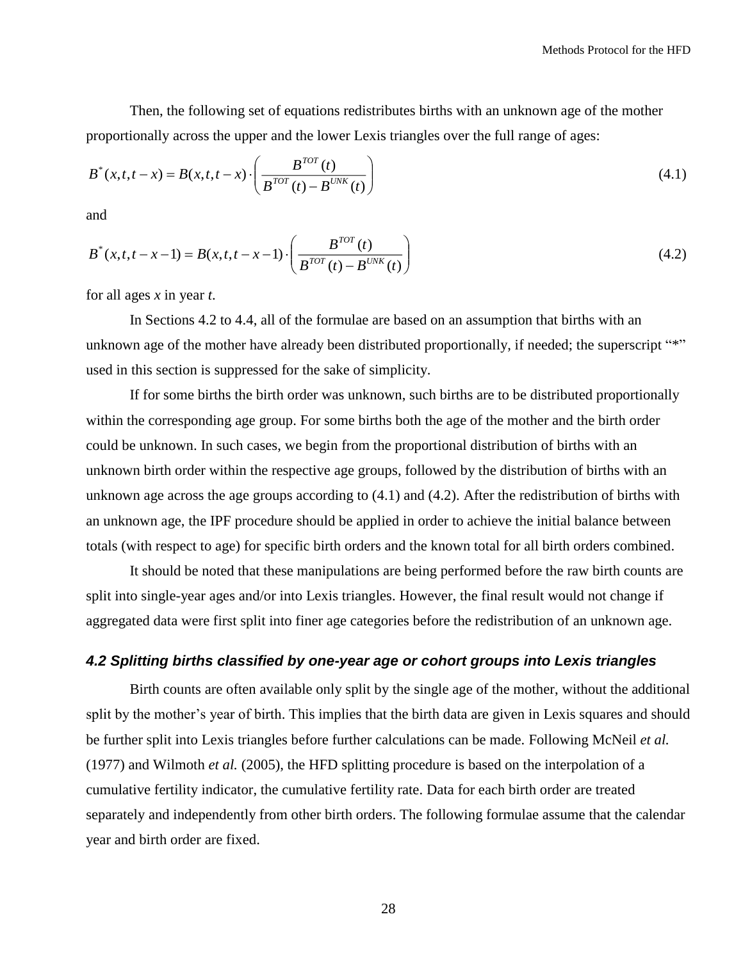Then, the following set of equations redistributes births with an unknown age of the mother proportionally across the upper and the lower Lexis triangles over the full range of ages:

$$
B^*(x,t,t-x) = B(x,t,t-x) \cdot \left(\frac{B^{TOT}(t)}{B^{TOT}(t) - B^{UNK}(t)}\right)
$$
\n(4.1)

and

$$
B^*(x,t,t-x-1) = B(x,t,t-x-1) \cdot \left(\frac{B^{TOT}(t)}{B^{TOT}(t)-B^{UNK}(t)}\right)
$$
(4.2)

for all ages *x* in year *t*.

In Sections 4.2 to 4.4, all of the formulae are based on an assumption that births with an unknown age of the mother have already been distributed proportionally, if needed; the superscript "\*" used in this section is suppressed for the sake of simplicity.

If for some births the birth order was unknown, such births are to be distributed proportionally within the corresponding age group. For some births both the age of the mother and the birth order could be unknown. In such cases, we begin from the proportional distribution of births with an unknown birth order within the respective age groups, followed by the distribution of births with an unknown age across the age groups according to (4.1) and (4.2). After the redistribution of births with an unknown age, the IPF procedure should be applied in order to achieve the initial balance between totals (with respect to age) for specific birth orders and the known total for all birth orders combined.

It should be noted that these manipulations are being performed before the raw birth counts are split into single-year ages and/or into Lexis triangles. However, the final result would not change if aggregated data were first split into finer age categories before the redistribution of an unknown age.

## <span id="page-27-0"></span>*4.2 Splitting births classified by one-year age or cohort groups into Lexis triangles*

Birth counts are often available only split by the single age of the mother, without the additional split by the mother's year of birth. This implies that the birth data are given in Lexis squares and should be further split into Lexis triangles before further calculations can be made. Following McNeil *et al.* (1977) and Wilmoth *et al.* (2005), the HFD splitting procedure is based on the interpolation of a cumulative fertility indicator, the cumulative fertility rate. Data for each birth order are treated separately and independently from other birth orders. The following formulae assume that the calendar year and birth order are fixed.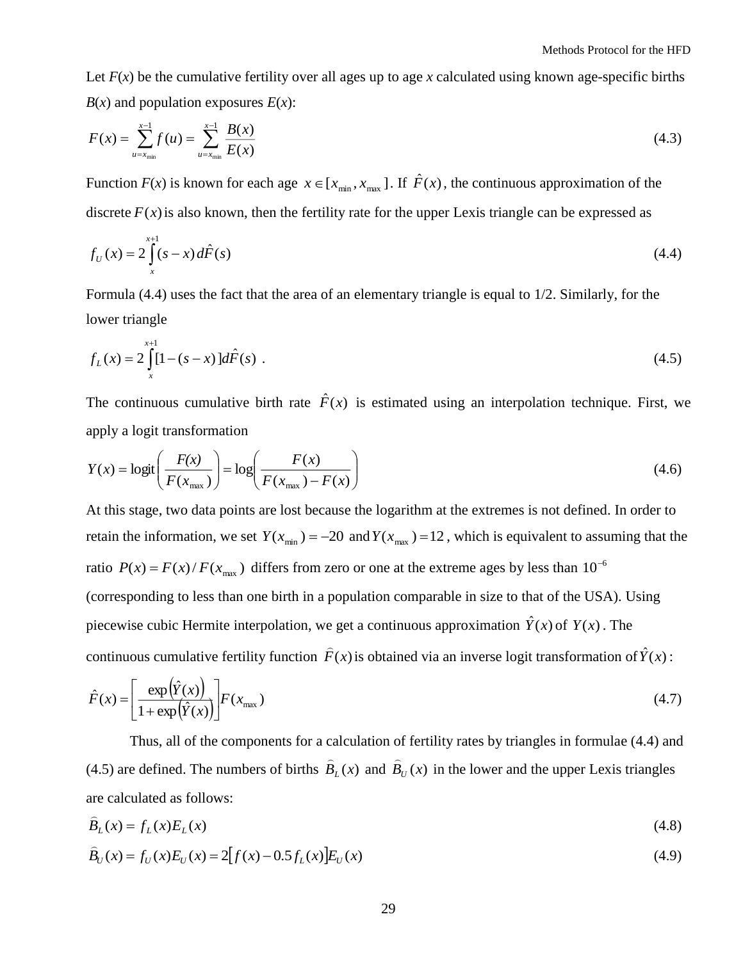Let  $F(x)$  be the cumulative fertility over all ages up to age x calculated using known age-specific births  $B(x)$  and population exposures  $E(x)$ :

$$
F(x) = \sum_{u=x_{\min}}^{x-1} f(u) = \sum_{u=x_{\min}}^{x-1} \frac{B(x)}{E(x)}
$$
(4.3)

Function  $F(x)$  is known for each age  $x \in [x_{min}, x_{max}]$ . If  $\hat{F}(x)$ , the continuous approximation of the discrete  $F(x)$  is also known, then the fertility rate for the upper Lexis triangle can be expressed as

$$
f_U(x) = 2 \int_x^{x+1} (s-x) d\hat{F}(s)
$$
 (4.4)

Formula (4.4) uses the fact that the area of an elementary triangle is equal to 1/2. Similarly, for the lower triangle

$$
f_L(x) = 2 \int_{x}^{x+1} [1 - (s - x)] d\hat{F}(s) . \tag{4.5}
$$

The continuous cumulative birth rate  $\hat{F}(x)$  is estimated using an interpolation technique. First, we apply a logit transformation

$$
Y(x) = \log\left(\frac{F(x)}{F(x_{\max})}\right) = \log\left(\frac{F(x)}{F(x_{\max}) - F(x)}\right)
$$
\n(4.6)

At this stage, two data points are lost because the logarithm at the extremes is not defined. In order to retain the information, we set  $Y(x_{min}) = -20$  and  $Y(x_{max}) = 12$ , which is equivalent to assuming that the ratio  $P(x) = F(x)/F(x_{max})$  differs from zero or one at the extreme ages by less than 10<sup>-6</sup> (corresponding to less than one birth in a population comparable in size to that of the USA). Using [piecewise cubic Hermite interpolatio](http://www.mathworks.com/access/helpdesk/help/techdoc/ref/pchip.html)n, we get a continuous approximation  $\hat{Y}(x)$  of  $Y(x)$ . The continuous cumulative fertility function  $\hat{F}(x)$  is obtained via an inverse logit transformation of  $\hat{Y}(x)$ :

$$
\hat{F}(x) = \left[\frac{\exp(\hat{Y}(x))}{1 + \exp(\hat{Y}(x))}\right] F(x_{\text{max}})
$$
\n(4.7)

Thus, all of the components for a calculation of fertility rates by triangles in formulae (4.4) and (4.5) are defined. The numbers of births  $B_L(x)$  $\widehat{B}_L(x)$  and  $\widehat{B}_U(x)$  in the lower and the upper Lexis triangles are calculated as follows:

$$
B_L(x) = f_L(x)E_L(x) \tag{4.8}
$$

$$
\hat{B}_U(x) = f_U(x)E_U(x) = 2[f(x) - 0.5f_L(x)]E_U(x)
$$
\n(4.9)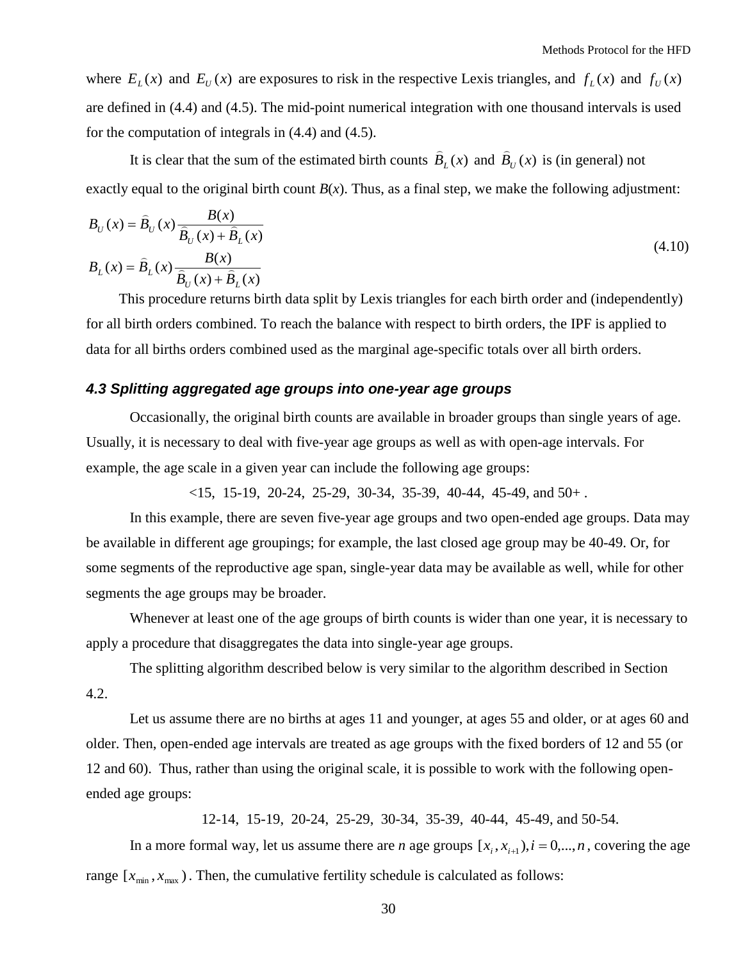where  $E_L(x)$  and  $E_U(x)$  are exposures to risk in the respective Lexis triangles, and  $f_L(x)$  and  $f_U(x)$ are defined in (4.4) and (4.5). The mid-point numerical integration with one thousand intervals is used for the computation of integrals in (4.4) and (4.5).

It is clear that the sum of the estimated birth counts  $B_L(x)$  $\widehat{B}_{L}(x)$  and  $\widehat{B}_{U}(x)$  is (in general) not exactly equal to the original birth count  $B(x)$ . Thus, as a final step, we make the following adjustment:

$$
B_U(x) = \hat{B}_U(x) \frac{B(x)}{\hat{B}_U(x) + \hat{B}_L(x)}
$$
  
\n
$$
B_L(x) = \hat{B}_L(x) \frac{B(x)}{\hat{B}_U(x) + \hat{B}_L(x)}
$$
\n(4.10)

This procedure returns birth data split by Lexis triangles for each birth order and (independently) for all birth orders combined. To reach the balance with respect to birth orders, the IPF is applied to data for all births orders combined used as the marginal age-specific totals over all birth orders.

## <span id="page-29-0"></span>*4.3 Splitting aggregated age groups into one-year age groups*

Occasionally, the original birth counts are available in broader groups than single years of age. Usually, it is necessary to deal with five-year age groups as well as with open-age intervals. For example, the age scale in a given year can include the following age groups:

 $\langle 15, 15-19, 20-24, 25-29, 30-34, 35-39, 40-44, 45-49, \text{ and } 50+ \rangle$ .

In this example, there are seven five-year age groups and two open-ended age groups. Data may be available in different age groupings; for example, the last closed age group may be 40-49. Or, for some segments of the reproductive age span, single-year data may be available as well, while for other segments the age groups may be broader.

Whenever at least one of the age groups of birth counts is wider than one year, it is necessary to apply a procedure that disaggregates the data into single-year age groups.

The splitting algorithm described below is very similar to the algorithm described in Section 4.2.

Let us assume there are no births at ages 11 and younger, at ages 55 and older, or at ages 60 and older. Then, open-ended age intervals are treated as age groups with the fixed borders of 12 and 55 (or 12 and 60). Thus, rather than using the original scale, it is possible to work with the following openended age groups:

12-14, 15-19, 20-24, 25-29, 30-34, 35-39, 40-44, 45-49, and 50-54.

In a more formal way, let us assume there are *n* age groups  $[x_i, x_{i+1}), i = 0,...,n$ , covering the age range  $[x_{min}, x_{max})$ . Then, the cumulative fertility schedule is calculated as follows: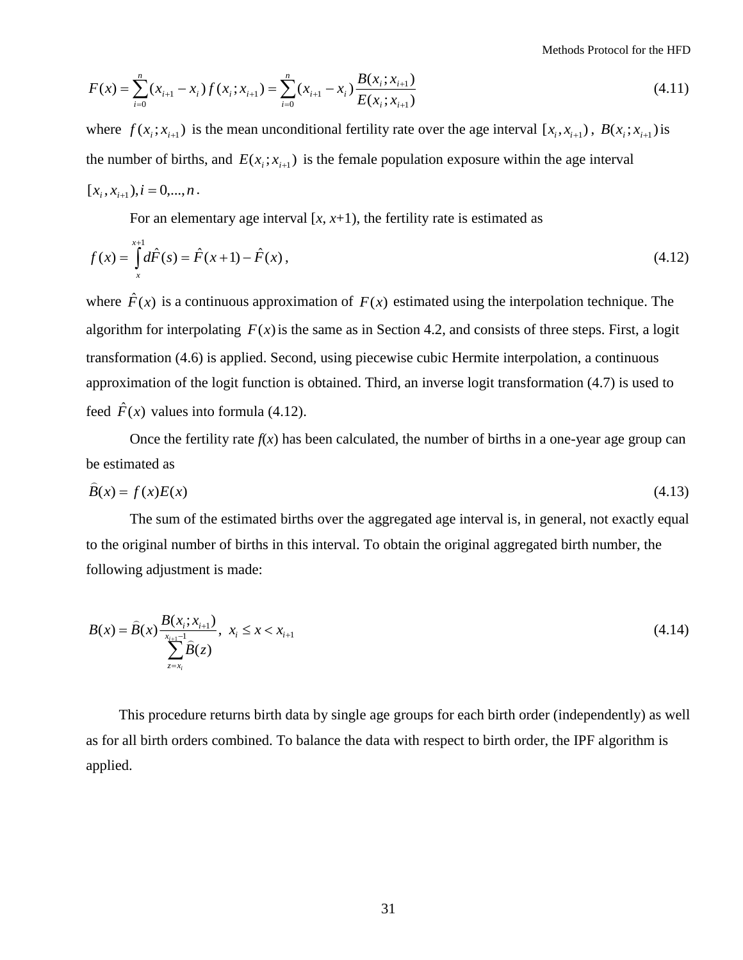Methods Protocol for the HFD

$$
F(x) = \sum_{i=0}^{n} (x_{i+1} - x_i) f(x_i; x_{i+1}) = \sum_{i=0}^{n} (x_{i+1} - x_i) \frac{B(x_i; x_{i+1})}{E(x_i; x_{i+1})}
$$
(4.11)

where  $f(x_i; x_{i+1})$  is the mean unconditional fertility rate over the age interval  $[x_i, x_{i+1})$ ,  $B(x_i; x_{i+1})$  is the number of births, and  $E(x_i; x_{i+1})$  is the female population exposure within the age interval  $[x_i, x_{i+1}), i = 0, \ldots, n$ .

For an elementary age interval  $[x, x+1)$ , the fertility rate is estimated as

$$
f(x) = \int_{x}^{x+1} d\hat{F}(s) = \hat{F}(x+1) - \hat{F}(x),
$$
\n(4.12)

 $\sum_{i=0}^{n} (x_{i+1} - x_i) f(x_i; x_{i+1}) = \sum_{i=0}^{n} (x_{i+1} - x_i) \frac{D(x_i, x_{i+1})}{E(x_i; x_{i+1})}$ <br>  $(x_i; x_{i+1})$  is the mean unconditional fertility ra<br>
be rof births, and  $E(x_i; x_{i+1})$  is the female pop<br>
b. $i = 0,...,n$ .<br>
For an elementary age where  $\hat{F}(x)$  is a continuous approximation of  $F(x)$  estimated using the interpolation technique. The algorithm for interpolating  $F(x)$  is the same as in Section 4.2, and consists of three steps. First, a logit transformation (4.6) is applied. Second, using [piecewise cubic Hermite interpolatio](http://www.mathworks.com/access/helpdesk/help/techdoc/ref/pchip.html)n, a continuous approximation of the logit function is obtained. Third, an inverse logit transformation (4.7) is used to feed  $\hat{F}(x)$  values into formula (4.12).

Once the fertility rate  $f(x)$  has been calculated, the number of births in a one-year age group can be estimated as

$$
B(x) = f(x)E(x) \tag{4.13}
$$

The sum of the estimated births over the aggregated age interval is, in general, not exactly equal to the original number of births in this interval. To obtain the original aggregated birth number, the following adjustment is made:

$$
B(x) = \hat{B}(x) \frac{B(x_i; x_{i+1})}{\sum_{z=x_i}^{x_{i+1}-1} \hat{B}(z)}, \quad x_i \le x < x_{i+1} \tag{4.14}
$$

This procedure returns birth data by single age groups for each birth order (independently) as well as for all birth orders combined. To balance the data with respect to birth order, the IPF algorithm is applied.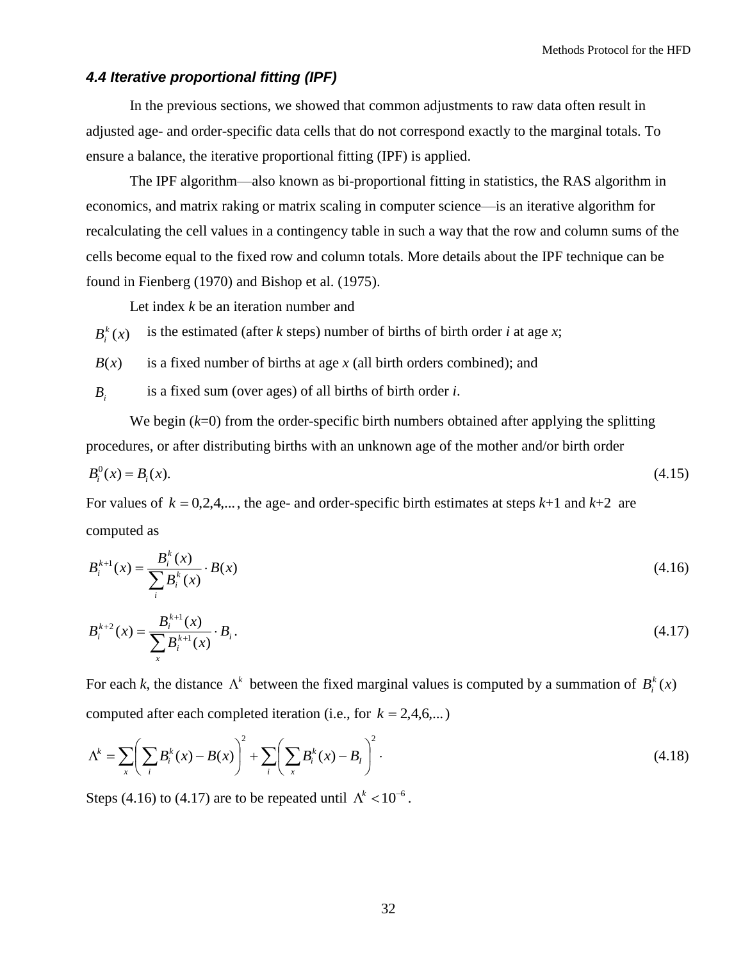## <span id="page-31-0"></span>*4.4 Iterative proportional fitting (IPF)*

In the previous sections, we showed that common adjustments to raw data often result in adjusted age- and order-specific data cells that do not correspond exactly to the marginal totals. To ensure a balance, the iterative proportional fitting (IPF) is applied.

The IPF algorithm—also known as bi-proportional fitting in statistics, the RAS algorithm in economics, and matrix raking or matrix scaling in computer science—is an iterative algorithm for recalculating the cell values in a [contingency table](http://en.wikipedia.org/wiki/Contingency_table) in such a way that the row and column sums of the cells become equal to the fixed row and column totals. More details about the IPF technique can be found in Fienberg (1970) and Bishop et al. (1975).

Let index *k* be an iteration number and

 $B_i^k(x)$ *i* is the estimated (after *k* steps) number of births of birth order *i* at age *x*;

 $B(x)$ is a fixed number of births at age *x* (all birth orders combined); and

*Bi* is a fixed sum (over ages) of all births of birth order *i*.

We begin ( $k=0$ ) from the order-specific birth numbers obtained after applying the splitting procedures, or after distributing births with an unknown age of the mother and/or birth order

$$
B_i^0(x) = B_i(x). \tag{4.15}
$$

For values of  $k = 0, 2, 4, \dots$ , the age- and order-specific birth estimates at steps  $k+1$  and  $k+2$  are computed as

$$
B_i^{k+1}(x) = \frac{B_i^k(x)}{\sum_i B_i^k(x)} \cdot B(x)
$$
\n(4.16)

$$
B_i^{k+2}(x) = \frac{B_i^{k+1}(x)}{\sum_{x} B_i^{k+1}(x)} \cdot B_i.
$$
\n(4.17)

For each *k*, the distance  $\Lambda^k$  between the fixed marginal values is computed by a summation of  $B_i^k(x)$ *i* computed after each completed iteration (i.e., for  $k = 2, 4, 6, ...$ )

$$
\Lambda^{k} = \sum_{x} \left( \sum_{i} B_{i}^{k}(x) - B(x) \right)^{2} + \sum_{i} \left( \sum_{x} B_{i}^{k}(x) - B_{i} \right)^{2}.
$$
\n(4.18)

Steps (4.16) to (4.17) are to be repeated until  $\Lambda^k < 10^{-6}$ .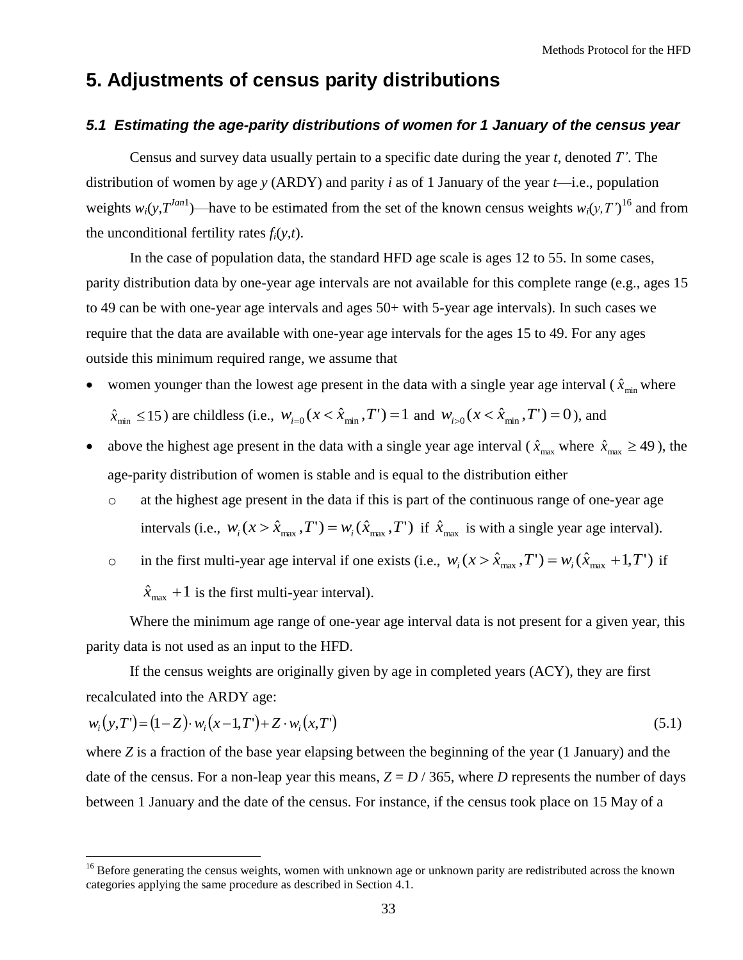## <span id="page-32-0"></span>**5. Adjustments of census parity distributions**

## <span id="page-32-1"></span>*5.1 Estimating the age-parity distributions of women for 1 January of the census year*

Census and survey data usually pertain to a specific date during the year *t*, denoted *T'*. The distribution of women by age *y* (ARDY) and parity *i* as of 1 January of the year *t*—i.e., population weights  $w_i(y, T^{Jan1})$ —have to be estimated from the set of the known census weights  $w_i(y, T')^{16}$  and from the unconditional fertility rates  $f_i(y,t)$ .

In the case of population data, the standard HFD age scale is ages 12 to 55. In some cases, parity distribution data by one-year age intervals are not available for this complete range (e.g., ages 15 to 49 can be with one-year age intervals and ages 50+ with 5-year age intervals). In such cases we require that the data are available with one-year age intervals for the ages 15 to 49. For any ages outside this minimum required range, we assume that

• women younger than the lowest age present in the data with a single year age interval  $(\hat{x}_{min}$  where

 $\hat{x}_{\min} \le 15$ ) are childless (i.e.,  $w_{i=0}$  ( $x < \hat{x}_{\min}$ ,  $T'$ ) = 1 and  $w_{i>0}$  ( $x < \hat{x}_{\min}$ ,  $T'$ ) = 0), and

- above the highest age present in the data with a single year age interval ( $\hat{x}_{max}$  where  $\hat{x}_{max} \ge 49$ ), the age-parity distribution of women is stable and is equal to the distribution either
	- o at the highest age present in the data if this is part of the continuous range of one-year age intervals (i.e.,  $w_i$  ( $x > \hat{x}_{max}$ ,  $T'$ ) =  $w_i$  ( $\hat{x}_{max}$ ,  $T'$ ) if  $\hat{x}_{max}$  is with a single year age interval).
	- o in the first multi-year age interval if one exists (i.e.,  $w_i(x > \hat{x}_{max}, T') = w_i(\hat{x}_{max} + 1, T')$  if  $\hat{x}_{\text{max}} + 1$  is the first multi-year interval).

Where the minimum age range of one-year age interval data is not present for a given year, this parity data is not used as an input to the HFD.

If the census weights are originally given by age in completed years (ACY), they are first recalculated into the ARDY age:

$$
w_i(y,T) = (1-Z) \cdot w_i(x-1,T) + Z \cdot w_i(x,T)
$$
\n(5.1)

where *Z* is a fraction of the base year elapsing between the beginning of the year (1 January) and the date of the census. For a non-leap year this means,  $Z = D / 365$ , where *D* represents the number of days between 1 January and the date of the census. For instance, if the census took place on 15 May of a

<sup>&</sup>lt;sup>16</sup> Before generating the census weights, women with unknown age or unknown parity are redistributed across the known categories applying the same procedure as described in Section 4.1.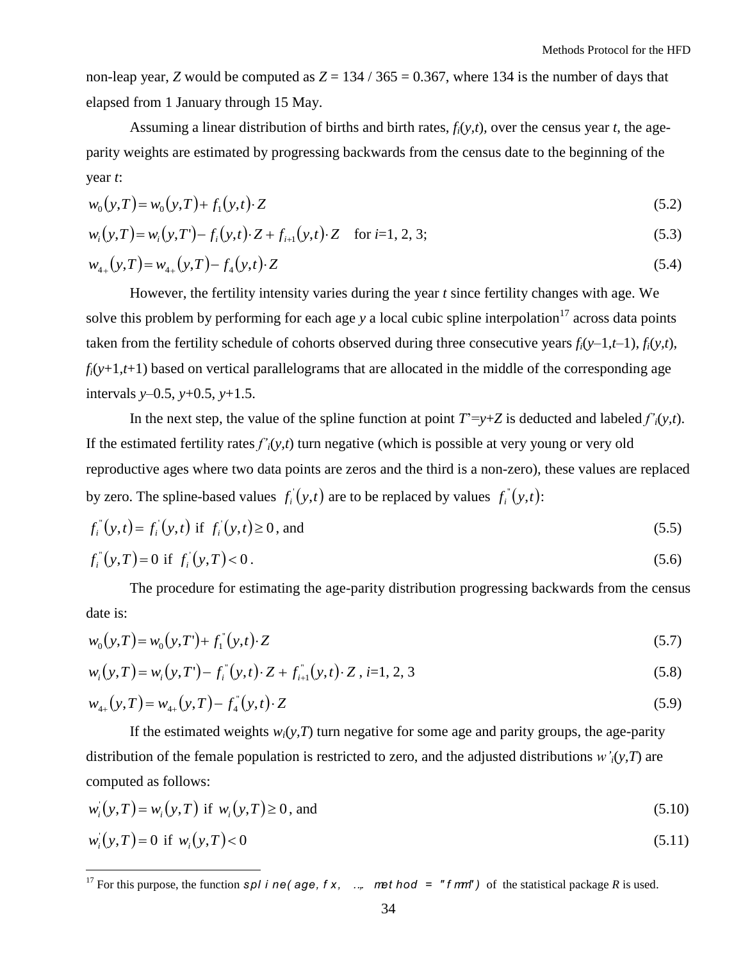non-leap year, *Z* would be computed as  $Z = 134 / 365 = 0.367$ , where 134 is the number of days that elapsed from 1 January through 15 May.

Assuming a linear distribution of births and birth rates, *fi*(*y,t*)*,* over the census year *t*, the ageparity weights are estimated by progressing backwards from the census date to the beginning of the year *t*:

$$
w_0(y,T) = w_0(y,T) + f_1(y,t) \cdot Z \tag{5.2}
$$

$$
w_i(y,T) = w_i(y,T) - f_i(y,t) \cdot Z + f_{i+1}(y,t) \cdot Z \quad \text{for } i=1,2,3;
$$
\n(5.3)

$$
w_{4+}(y,T) = w_{4+}(y,T) - f_4(y,t) \cdot Z \tag{5.4}
$$

However, the fertility intensity varies during the year *t* since fertility changes with age. We solve this problem by performing for each age  $y$  a local cubic spline interpolation<sup>17</sup> across data points taken from the fertility schedule of cohorts observed during three consecutive years  $f_i(y-1,t-1)$ ,  $f_i(y,t)$ ,  $f_i(y+1,t+1)$  based on vertical parallelograms that are allocated in the middle of the corresponding age intervals *y*–0.5, *y*+0.5, *y*+1.5.

In the next step, the value of the spline function at point  $T' = y + Z$  is deducted and labeled  $f'_{i}(y,t)$ . If the estimated fertility rates  $f'_{i}(y,t)$  turn negative (which is possible at very young or very old reproductive ages where two data points are zeros and the third is a non-zero), these values are replaced by zero. The spline-based values  $f_i(y,t)$  $f_i(y,t)$  are to be replaced by values  $f_i(y,t)$  $\sqrt[r]{(y,t)}$ :

$$
f_i^{\prime\prime}(y,t) = f_i(y,t) \text{ if } f_i^{\prime}(y,t) \ge 0, \text{ and} \tag{5.5}
$$

$$
f_i^{\prime\prime}(y,T) = 0 \text{ if } f_i^{\prime}(y,T) < 0. \tag{5.6}
$$

The procedure for estimating the age-parity distribution progressing backwards from the census date is:

$$
w_0(y,T) = w_0(y,T') + f_1(y,t) \cdot Z \tag{5.7}
$$

$$
w_i(y, T) = w_i(y, T') - f_i^{\dagger}(y, t) \cdot Z + f_{i+1}^{\dagger}(y, t) \cdot Z, \ i = 1, 2, 3 \tag{5.8}
$$

$$
w_{4+}(y,T) = w_{4+}(y,T) - f_4^{\prime\prime}(y,t) \cdot Z \tag{5.9}
$$

If the estimated weights  $w_i(y, T)$  turn negative for some age and parity groups, the age-parity distribution of the female population is restricted to zero, and the adjusted distributions *w'i*(*y,T*) are computed as follows:

$$
w_i(y, T) = w_i(y, T) \text{ if } w_i(y, T) \ge 0 \text{, and} \tag{5.10}
$$

$$
w_i(y,T) = 0 \text{ if } w_i(y,T) < 0 \tag{5.11}
$$

<sup>&</sup>lt;sup>17</sup> For this purpose, the function *spl i ne( age, f x, ... met hod = "f mm")* of the statistical package *R* is used.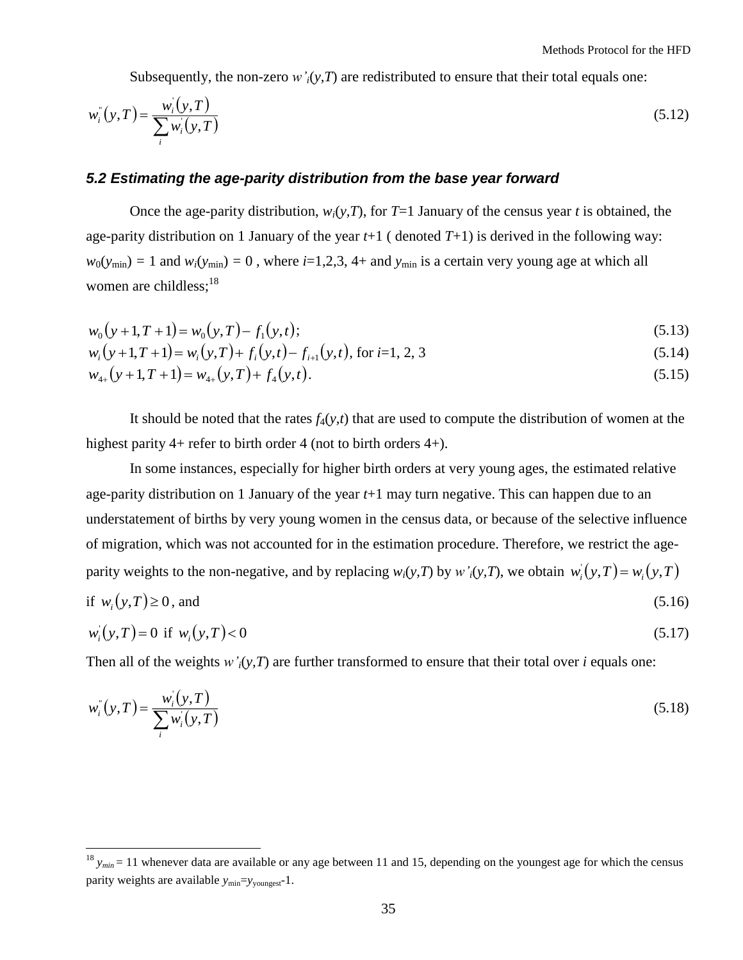Subsequently, the non-zero  $w'_{i}(y,T)$  are redistributed to ensure that their total equals one:

$$
w_i^{\dagger}(y,T) = \frac{w_i^{\dagger}(y,T)}{\sum_i w_i^{\dagger}(y,T)}
$$
(5.12)

#### *5.2 Estimating the age-parity distribution from the base year forward*

Once the age-parity distribution,  $w_i(y, T)$ , for  $T=1$  January of the census year *t* is obtained, the age-parity distribution on 1 January of the year  $t+1$  (denoted  $T+1$ ) is derived in the following way:  $w_0(y_{\text{min}}) = 1$  and  $w_i(y_{\text{min}}) = 0$ , where  $i=1,2,3, 4+$  and  $y_{\text{min}}$  is a certain very young age at which all women are childless; $^{18}$ 

$$
w_0(y+1,T+1) = w_0(y,T) - f_1(y,t); \tag{5.13}
$$

$$
w_i(y+1,T+1) = w_i(y,T) + f_i(y,t) - f_{i+1}(y,t), \text{ for } i=1,2,3
$$
\n(5.14)

$$
w_{4+}(y+1,T+1) = w_{4+}(y,T) + f_4(y,t).
$$
\n(5.15)

It should be noted that the rates  $f_4(y,t)$  that are used to compute the distribution of women at the highest parity 4+ refer to birth order 4 (not to birth orders 4+).

In some instances, especially for higher birth orders at very young ages, the estimated relative age-parity distribution on 1 January of the year *t*+1 may turn negative. This can happen due to an understatement of births by very young women in the census data, or because of the selective influence of migration, which was not accounted for in the estimation procedure. Therefore, we restrict the ageparity weights to the non-negative, and by replacing  $w_i(y, T)$  by  $w'_i(y, T)$ , we obtain  $w'_i(y, T) = w_i(y, T)$  $\left(y,T\right)$ = if  $w_i(y,T) \ge 0$  $,$  and  $(5.16)$ 

$$
w_i(y, T) = 0 \text{ if } w_i(y, T) < 0 \tag{5.17}
$$

Then all of the weights  $w'$ <sub>*i*</sub>( $y$ ,  $T$ ) are further transformed to ensure that their total over *i* equals one:

$$
w_i^{\dagger}(y,T) = \frac{w_i^{\dagger}(y,T)}{\sum_i w_i^{\dagger}(y,T)}
$$
(5.18)

 $18 y_{min} = 11$  whenever data are available or any age between 11 and 15, depending on the youngest age for which the census parity weights are available  $y_{min} = y_{voungest} - 1$ .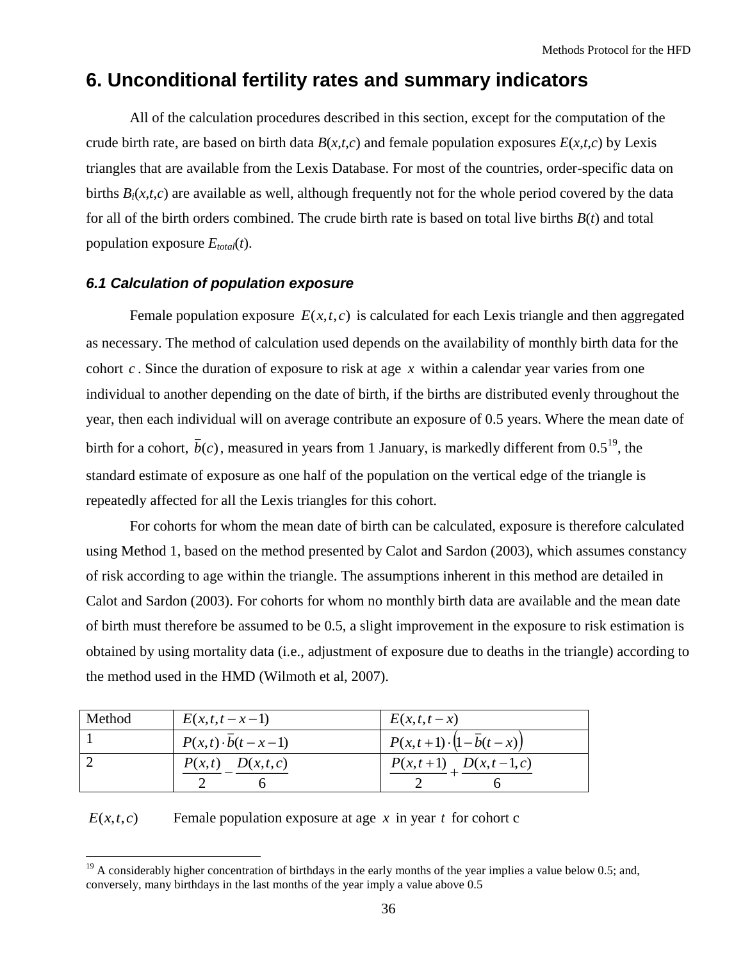# <span id="page-35-0"></span>**6. Unconditional fertility rates and summary indicators**

All of the calculation procedures described in this section, except for the computation of the crude birth rate, are based on birth data  $B(x,t,c)$  and female population exposures  $E(x,t,c)$  by Lexis triangles that are available from the Lexis Database. For most of the countries, order-specific data on births  $B_i(x,t,c)$  are available as well, although frequently not for the whole period covered by the data for all of the birth orders combined. The crude birth rate is based on total live births *B*(*t*) and total population exposure  $E_{total}(t)$ .

## <span id="page-35-1"></span>*6.1 Calculation of population exposure*

Female population exposure  $E(x,t,c)$  is calculated for each Lexis triangle and then aggregated as necessary. The method of calculation used depends on the availability of monthly birth data for the cohort *c* . Since the duration of exposure to risk at age *x* within a calendar year varies from one individual to another depending on the date of birth, if the births are distributed evenly throughout the year, then each individual will on average contribute an exposure of 0.5 years. Where the mean date of birth for a cohort,  $\bar{b}(c)$ , measured in years from 1 January, is markedly different from 0.5<sup>19</sup>, the standard estimate of exposure as one half of the population on the vertical edge of the triangle is repeatedly affected for all the Lexis triangles for this cohort.

For cohorts for whom the mean date of birth can be calculated, exposure is therefore calculated using Method 1, based on the method presented by Calot and Sardon (2003), which assumes constancy of risk according to age within the triangle. The assumptions inherent in this method are detailed in Calot and Sardon (2003). For cohorts for whom no monthly birth data are available and the mean date of birth must therefore be assumed to be 0.5, a slight improvement in the exposure to risk estimation is obtained by using mortality data (i.e., adjustment of exposure due to deaths in the triangle) according to the method used in the HMD (Wilmoth et al, 2007).

| Method | $E(x,t,t-x-1)$          | $E(x,t,t-x)$                        |
|--------|-------------------------|-------------------------------------|
|        | $P(x,t) \cdot b(t-x-1)$ | $P(x,t+1) \cdot (1 - \bar{b}(t-x))$ |
|        | $P(x,t)$ $D(x,t,c)$     | $P(x,t+1)$ $D(x,t-1,c)$             |

 $E(x,t,c)$ Female population exposure at age *x* in year *t* for cohort c

 $\overline{a}$ <sup>19</sup> A considerably higher concentration of birthdays in the early months of the year implies a value below 0.5; and, conversely, many birthdays in the last months of the year imply a value above 0.5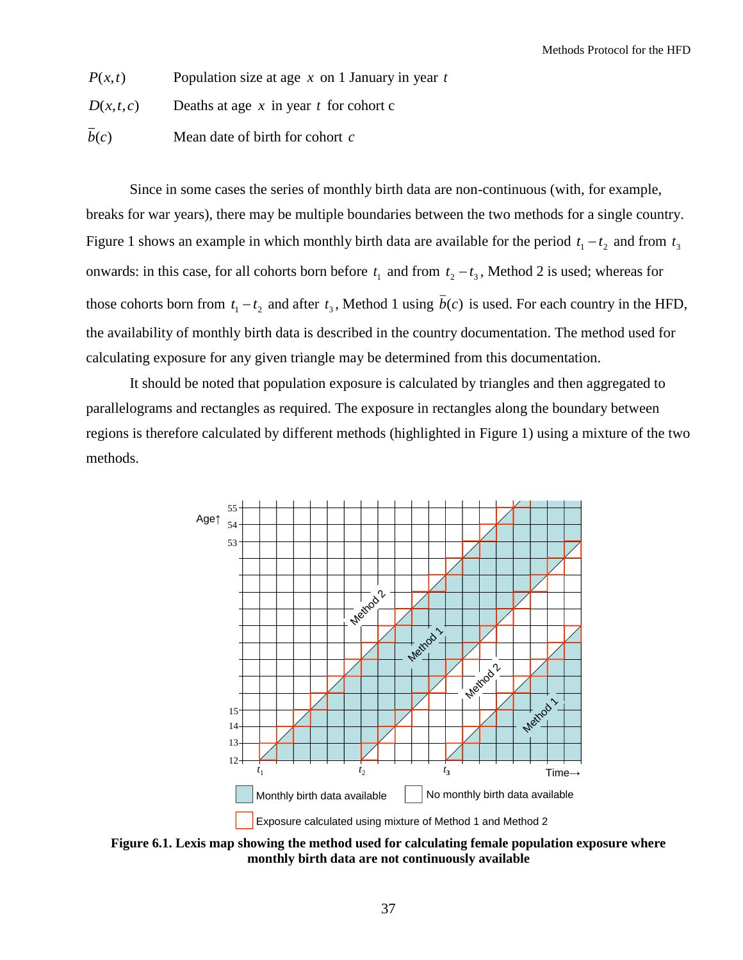Population size at age *x* on 1 January in year *t*

*D*(*<sup>x</sup>*,*t*,*<sup>c</sup>*) Deaths at age  $x$  in year  $t$  for cohort c

 $\overline{b}(c)$ Mean date of birth for cohort *c*

Since in some cases the series of monthly birth data are non-continuous (with, for example, breaks for war years), there may be multiple boundaries between the two methods for a single country. Figure 1 shows an example in which monthly birth data are available for the period  $t_1 - t_2$  and from  $t_3$ onwards: in this case, for all cohorts born before  $t_1$  and from  $t_2 - t_3$ , Method 2 is used; whereas for those cohorts born from  $t_1 - t_2$  and after  $t_3$ , Method 1 using  $b(c)$  is used. For each country in the HFD, the availability of monthly birth data is described in the country documentation. The method used for calculating exposure for any given triangle may be determined from this documentation.

It should be noted that population exposure is calculated by triangles and then aggregated to parallelograms and rectangles as required. The exposure in rectangles along the boundary between regions is therefore calculated by different methods (highlighted in Figure 1) using a mixture of the two methods.



**Figure 6.1. Lexis map showing the method used for calculating female population exposure where monthly birth data are not continuously available**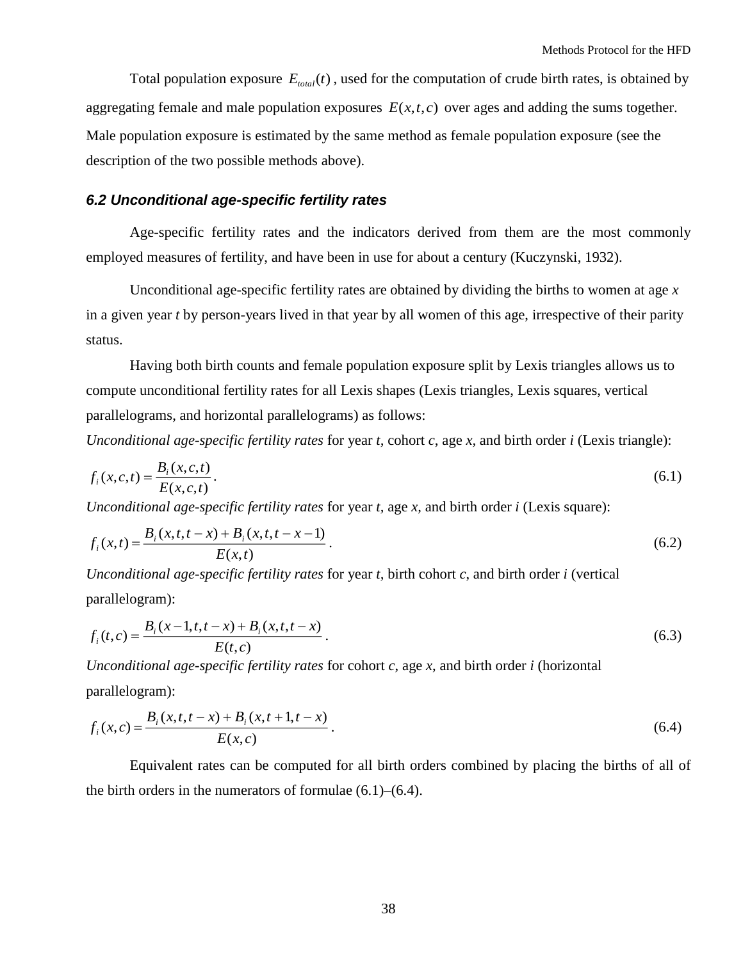Total population exposure  $E_{total}(t)$ , used for the computation of crude birth rates, is obtained by aggregating female and male population exposures  $E(x,t,c)$  over ages and adding the sums together. Male population exposure is estimated by the same method as female population exposure (see the description of the two possible methods above).

### <span id="page-37-0"></span>*6.2 Unconditional age-specific fertility rates*

Age-specific fertility rates and the indicators derived from them are the most commonly employed measures of fertility, and have been in use for about a century (Kuczynski, 1932).

Unconditional age-specific fertility rates are obtained by dividing the births to women at age *x*  in a given year *t* by person-years lived in that year by all women of this age, irrespective of their parity status.

Having both birth counts and female population exposure split by Lexis triangles allows us to compute unconditional fertility rates for all Lexis shapes (Lexis triangles, Lexis squares, vertical parallelograms, and horizontal parallelograms) as follows:

*Unconditional age-specific fertility rates* for year *t,* cohort *c*, age *x,* and birth order *i* (Lexis triangle):

$$
f_i(x, c, t) = \frac{B_i(x, c, t)}{E(x, c, t)}.
$$
\n(6.1)

*Unconditional age-specific fertility rates* for year *t,* age *x,* and birth order *i* (Lexis square):

$$
f_i(x,t) = \frac{B_i(x,t,t-x) + B_i(x,t,t-x-1)}{E(x,t)}.
$$
\n(6.2)

*Unconditional age-specific fertility rates* for year *t,* birth cohort *c*, and birth order *i* (vertical parallelogram):

$$
f_i(t,c) = \frac{B_i(x-1,t,t-x) + B_i(x,t,t-x)}{E(t,c)}.
$$
\n(6.3)

*Unconditional age-specific fertility rates* for cohort *c*, age *x*, and birth order *i* (horizontal parallelogram):

$$
f_i(x,c) = \frac{B_i(x,t,t-x) + B_i(x,t+1,t-x)}{E(x,c)}.
$$
\n(6.4)

Equivalent rates can be computed for all birth orders combined by placing the births of all of the birth orders in the numerators of formulae  $(6.1)$ – $(6.4)$ .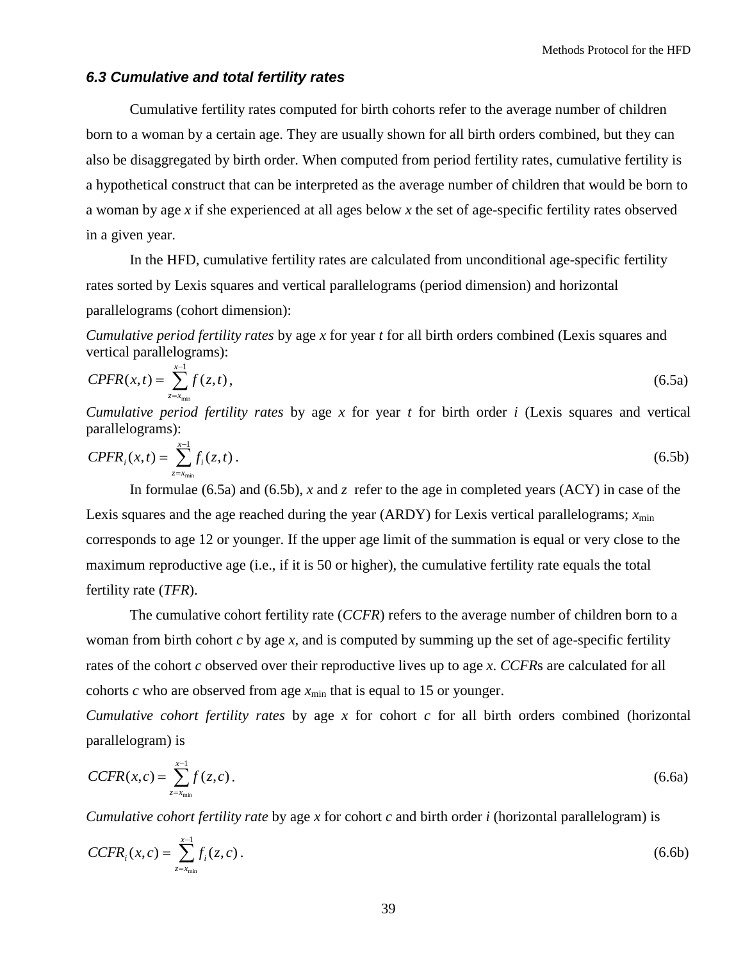#### <span id="page-38-0"></span>*6.3 Cumulative and total fertility rates*

Cumulative fertility rates computed for birth cohorts refer to the average number of children born to a woman by a certain age. They are usually shown for all birth orders combined, but they can also be disaggregated by birth order. When computed from period fertility rates, cumulative fertility is a hypothetical construct that can be interpreted as the average number of children that would be born to a woman by age *x* if she experienced at all ages below *x* the set of age-specific fertility rates observed in a given year.

In the HFD, cumulative fertility rates are calculated from unconditional age-specific fertility rates sorted by Lexis squares and vertical parallelograms (period dimension) and horizontal parallelograms (cohort dimension):

*Cumulative period fertility rates* by age *x* for year *t* for all birth orders combined (Lexis squares and vertical parallelograms):

$$
Ck(x,t) = \sum_{z=x_{\min}}^{x-1} f(z,t),
$$
\n(6.5a)

*Cumulative period fertility rates* by age *x* for year *t* for birth order *i* (Lexis squares and vertical parallelograms):

$$
CPER_i(x,t) = \sum_{z=x_{min}}^{x-1} f_i(z,t).
$$
 (6.5b)

In formulae (6.5a) and (6.5b), *x* and *z* refer to the age in completed years (ACY) in case of the Lexis squares and the age reached during the year (ARDY) for Lexis vertical parallelograms;  $x_{min}$ corresponds to age 12 or younger. If the upper age limit of the summation is equal or very close to the maximum reproductive age (i.e., if it is 50 or higher), the cumulative fertility rate equals the total fertility rate (*TFR*).

The cumulative cohort fertility rate (*CCFR*) refers to the average number of children born to a woman from birth cohort *c* by age *x,* and is computed by summing up the set of age-specific fertility rates of the cohort *c* observed over their reproductive lives up to age *x*. *CCFR*s are calculated for all cohorts *c* who are observed from age  $x_{\text{min}}$  that is equal to 15 or younger.

*Cumulative cohort fertility rates* by age *x* for cohort *c* for all birth orders combined (horizontal parallelogram) is

$$
CCFR(x,c) = \sum_{z=x_{min}}^{x-1} f(z,c).
$$
 (6.6a)

*Cumulative cohort fertility rate* by age *x* for cohort *c* and birth order *i* (horizontal parallelogram) is

$$
CCFR_i(x, c) = \sum_{z = x_{\min}}^{x-1} f_i(z, c).
$$
 (6.6b)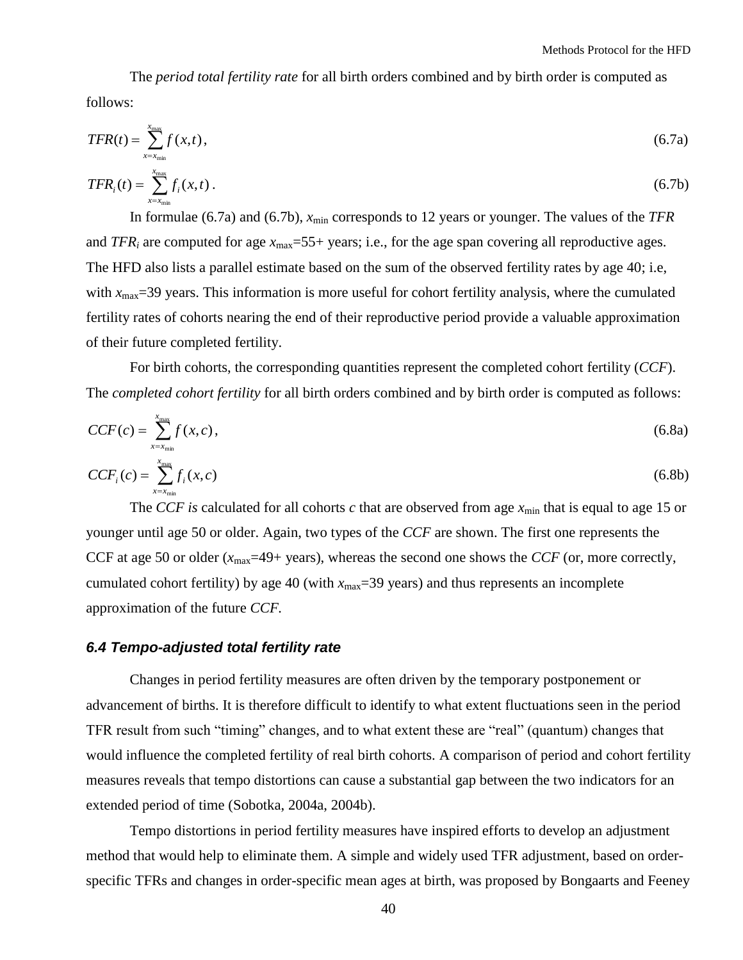The *period total fertility rate* for all birth orders combined and by birth order is computed as follows:

$$
TFR(t) = \sum_{x=x_{min}}^{x_{max}} f(x,t),
$$
\n(6.7a)

$$
TFR_i(t) = \sum_{x=x_{min}}^{x_{max}} f_i(x,t).
$$
 (6.7b)

In formulae (6.7a) and (6.7b),  $x_{\text{min}}$  corresponds to 12 years or younger. The values of the *TFR* and *TFR*<sub>*i*</sub> are computed for age  $x_{\text{max}}$ =55+ years; i.e., for the age span covering all reproductive ages. The HFD also lists a parallel estimate based on the sum of the observed fertility rates by age 40; i.e, with  $x_{\text{max}}$ =39 years. This information is more useful for cohort fertility analysis, where the cumulated fertility rates of cohorts nearing the end of their reproductive period provide a valuable approximation of their future completed fertility.

For birth cohorts, the corresponding quantities represent the completed cohort fertility (*CCF*). The *completed cohort fertility* for all birth orders combined and by birth order is computed as follows:

$$
CCF(c) = \sum_{x=x_{\min}}^{x_{\max}} f(x,c),
$$
\n(6.8a)

$$
CCF_i(c) = \sum_{x=x_{\min}}^{x_{\max}} f_i(x,c)
$$
\n(6.8b)

The *CCF* is calculated for all cohorts *c* that are observed from age  $x_{min}$  that is equal to age 15 or younger until age 50 or older. Again, two types of the *CCF* are shown. The first one represents the CCF at age 50 or older (*x*max=49+ years), whereas the second one shows the *CCF* (or, more correctly, cumulated cohort fertility) by age 40 (with  $x_{\text{max}}$ =39 years) and thus represents an incomplete approximation of the future *CCF.*

#### <span id="page-39-0"></span>*6.4 Tempo-adjusted total fertility rate*

Changes in period fertility measures are often driven by the temporary postponement or advancement of births. It is therefore difficult to identify to what extent fluctuations seen in the period TFR result from such "timing" changes, and to what extent these are "real" (quantum) changes that would influence the completed fertility of real birth cohorts. A comparison of period and cohort fertility measures reveals that tempo distortions can cause a substantial gap between the two indicators for an extended period of time (Sobotka, 2004a, 2004b).

Tempo distortions in period fertility measures have inspired efforts to develop an adjustment method that would help to eliminate them. A simple and widely used TFR adjustment, based on orderspecific TFRs and changes in order-specific mean ages at birth, was proposed by Bongaarts and Feeney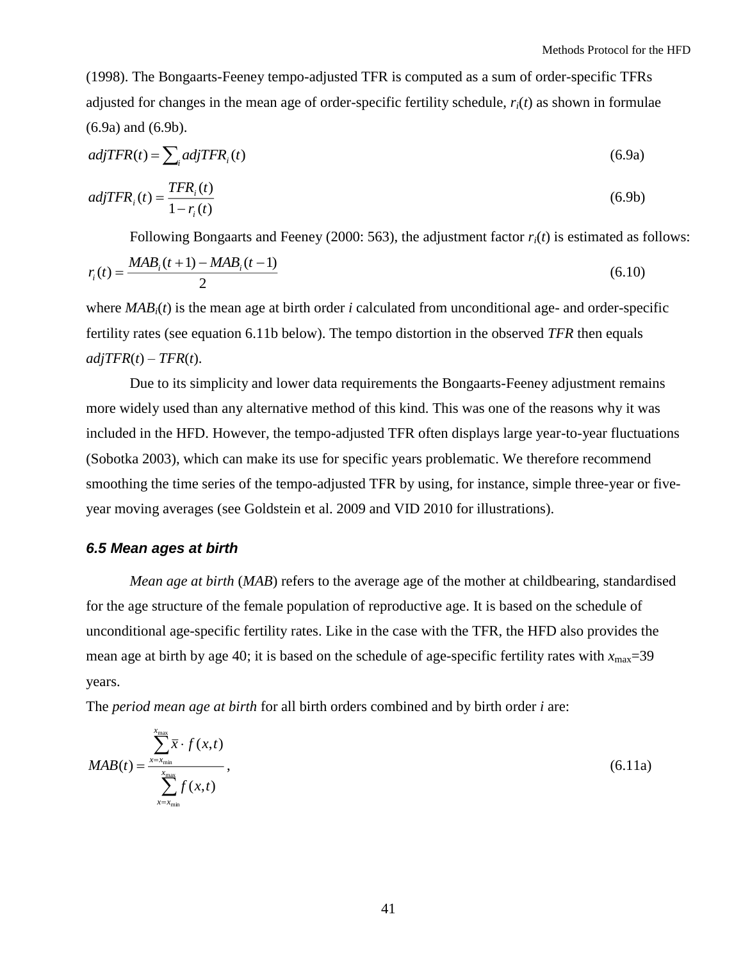(1998). The Bongaarts-Feeney tempo-adjusted TFR is computed as a sum of order-specific TFRs adjusted for changes in the mean age of order-specific fertility schedule, *ri*(*t*) as shown in formulae (6.9a) and (6.9b).

$$
adjTFR(t) = \sum_{i} adjTFR_i(t)
$$
\n(6.9a)

$$
adjTFR_i(t) = \frac{TFR_i(t)}{1 - r_i(t)}
$$
\n(6.9b)

Following Bongaarts and Feeney (2000: 563), the adjustment factor  $r_i(t)$  is estimated as follows:

$$
r_i(t) = \frac{MAB_i(t+1) - MAB_i(t-1)}{2}
$$
\n(6.10)

where *MABi*(*t*) is the mean age at birth order *i* calculated from unconditional age- and order-specific fertility rates (see equation 6.11b below). The tempo distortion in the observed *TFR* then equals  $adjTFR(t) - TFR(t)$ .

Due to its simplicity and lower data requirements the Bongaarts-Feeney adjustment remains more widely used than any alternative method of this kind. This was one of the reasons why it was included in the HFD. However, the tempo-adjusted TFR often displays large year-to-year fluctuations (Sobotka 2003), which can make its use for specific years problematic. We therefore recommend smoothing the time series of the tempo-adjusted TFR by using, for instance, simple three-year or fiveyear moving averages (see Goldstein et al. 2009 and VID 2010 for illustrations).

### <span id="page-40-0"></span>*6.5 Mean ages at birth*

*Mean age at birth* (*MAB*) refers to the average age of the mother at childbearing, standardised for the age structure of the female population of reproductive age. It is based on the schedule of unconditional age-specific fertility rates. Like in the case with the TFR, the HFD also provides the mean age at birth by age 40; it is based on the schedule of age-specific fertility rates with  $x_{\text{max}}=39$ years.

The *period mean age at birth* for all birth orders combined and by birth order *i* are:

$$
MAB(t) = \frac{\sum_{x=x_{\text{min}}}^{x_{\text{max}}} \overline{x} \cdot f(x,t)}{\sum_{x=x_{\text{min}}}^{x_{\text{max}}} f(x,t)},
$$
\n(6.11a)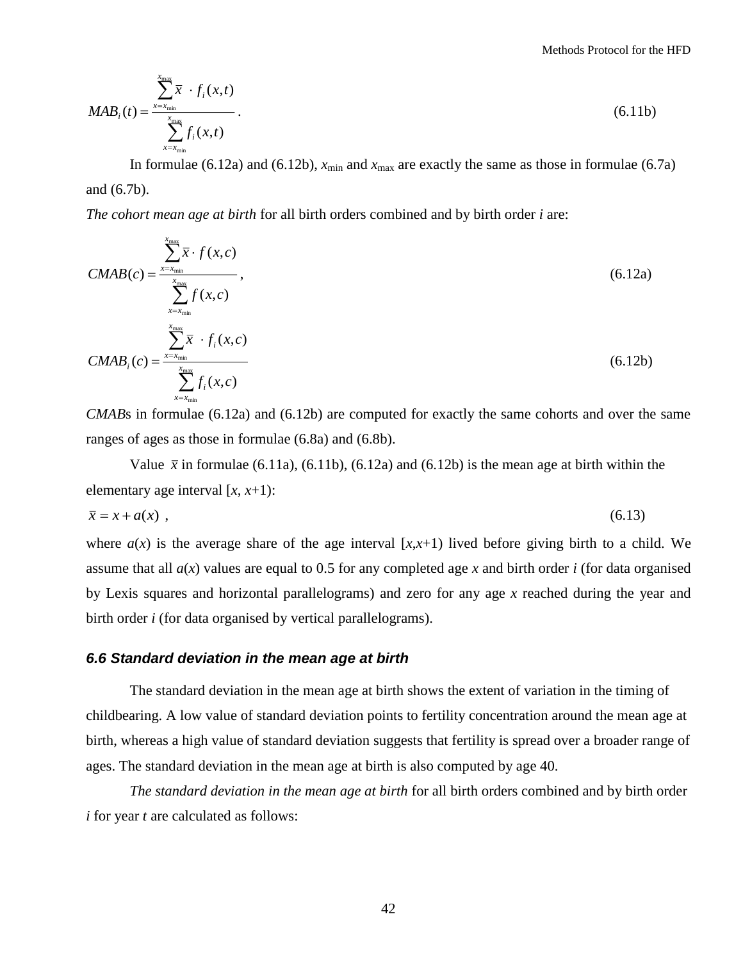Methods Protocol for the HFD

$$
MAB_i(t) = \frac{\sum_{x=x_{\text{min}}}^{x_{\text{max}}} \bar{x} \cdot f_i(x,t)}{\sum_{x=x_{\text{min}}}^{x_{\text{max}}} f_i(x,t)}.
$$
\n(6.11b)

In formulae (6.12a) and (6.12b),  $x_{min}$  and  $x_{max}$  are exactly the same as those in formulae (6.7a) and (6.7b).

*The cohort mean age at birth* for all birth orders combined and by birth order *i* are:

$$
CMAB(c) = \frac{\sum_{x=x_{min}}^{x_{max}} \overline{x} \cdot f(x, c)}{\sum_{x=x_{min}}^{x_{max}} f(x, c)}
$$
\n
$$
CMAB_i(c) = \frac{\sum_{x=x_{min}}^{x_{max}} \overline{x} \cdot f_i(x, c)}{\sum_{x=x_{min}}^{x_{max}} \overline{x} \cdot f_i(x, c)}
$$
\n(6.12b)

*CMAB*s in formulae (6.12a) and (6.12b) are computed for exactly the same cohorts and over the same ranges of ages as those in formulae (6.8a) and (6.8b).

Value  $\bar{x}$  in formulae (6.11a), (6.11b), (6.12a) and (6.12b) is the mean age at birth within the elementary age interval  $[x, x+1)$ :

$$
\bar{x} = x + a(x) \tag{6.13}
$$

where  $a(x)$  is the average share of the age interval  $[x, x+1]$  lived before giving birth to a child. We assume that all *a*(*x*) values are equal to 0.5 for any completed age *x* and birth order *i* (for data organised by Lexis squares and horizontal parallelograms) and zero for any age *x* reached during the year and birth order *i* (for data organised by vertical parallelograms).

#### <span id="page-41-0"></span>*6.6 Standard deviation in the mean age at birth*

The standard deviation in the mean age at birth shows the extent of variation in the timing of childbearing. A low value of standard deviation points to fertility concentration around the mean age at birth, whereas a high value of standard deviation suggests that fertility is spread over a broader range of ages. The standard deviation in the mean age at birth is also computed by age 40.

*The standard deviation in the mean age at birth* for all birth orders combined and by birth order *i* for year *t* are calculated as follows: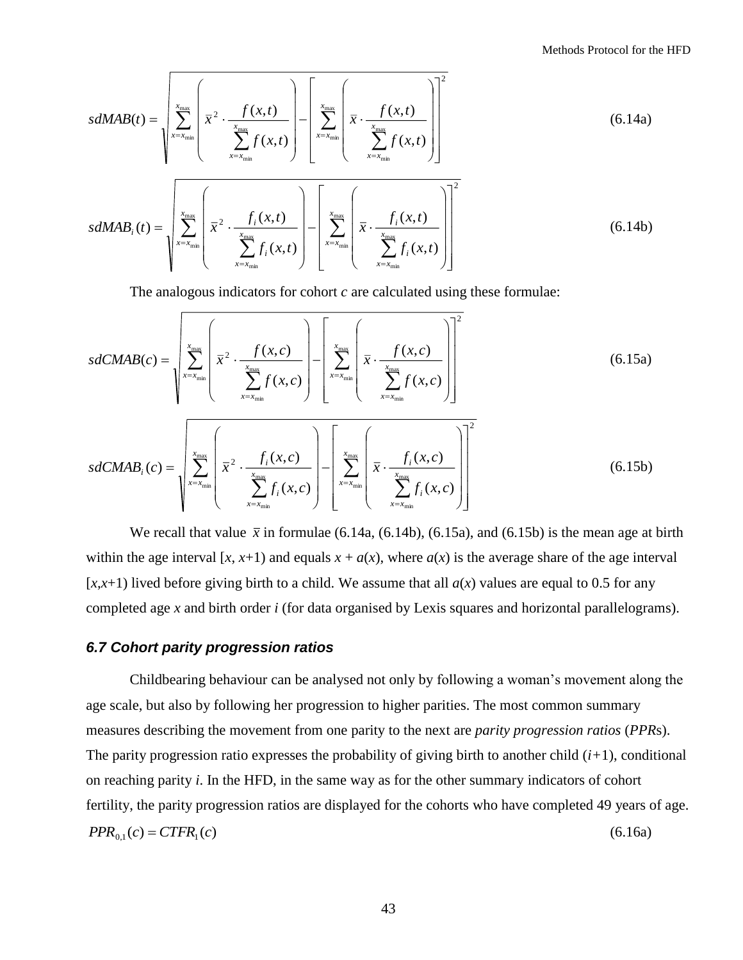$$
sdMAB(t) = \sqrt{\sum_{x=x_{min}}^{x_{max}} \left(\overline{x}^2 \cdot \frac{f(x,t)}{\sum_{x=x_{min}}^{x_{max}} f(x,t)}\right) - \left[\sum_{x=x_{min}}^{x_{max}} \left(\overline{x} \cdot \frac{f(x,t)}{\sum_{x=x_{min}}^{x_{max}} f(x,t)}\right)\right]^2}
$$
(6.14a)  

$$
sdMAB_i(t) = \sqrt{\sum_{x=x_{min}}^{x_{max}} \left(\overline{x}^2 \cdot \frac{f_i(x,t)}{\sum_{x=x_{min}}^{x_{max}} f_i(x,t)}\right) - \left[\sum_{x=x_{min}}^{x_{max}} \left(\overline{x} \cdot \frac{f_i(x,t)}{\sum_{x=x_{min}}^{x_{max}} f_i(x,t)}\right)\right]^2}
$$
(6.14b)

The analogous indicators for cohort *c* are calculated using these formulae:

$$
sdCMB(c) = \sqrt{\sum_{x=x_{min}}^{x_{max}} \left(\overline{x}^2 \cdot \frac{f(x,c)}{\sum_{x=x_{min}}^{x_{max}} f(x,c)}\right)} - \left[\sum_{x=x_{min}}^{x_{max}} \left(\overline{x} \cdot \frac{f(x,c)}{\sum_{x=x_{min}}^{x_{max}} f(x,c)}\right)\right]^2
$$
\n
$$
sdCMB_i(c) = \sqrt{\sum_{x=x_{min}}^{x_{max}} \left(\overline{x}^2 \cdot \frac{f_i(x,c)}{\sum_{x=x_{min}}^{x_{max}} f_i(x,c)}\right) - \left[\sum_{x=x_{min}}^{x_{max}} \left(\overline{x} \cdot \frac{f_i(x,c)}{\sum_{x=x_{min}}^{x_{max}} f_i(x,c)}\right)\right]^2}
$$
\n(6.15b)

We recall that value  $\bar{x}$  in formulae (6.14a, (6.14b), (6.15a), and (6.15b) is the mean age at birth within the age interval  $[x, x+1)$  and equals  $x + a(x)$ , where  $a(x)$  is the average share of the age interval  $[x, x+1)$  lived before giving birth to a child. We assume that all  $a(x)$  values are equal to 0.5 for any completed age *x* and birth order *i* (for data organised by Lexis squares and horizontal parallelograms).

#### <span id="page-42-0"></span>*6.7 Cohort parity progression ratios*

Childbearing behaviour can be analysed not only by following a woman's movement along the age scale, but also by following her progression to higher parities. The most common summary measures describing the movement from one parity to the next are *parity progression ratios* (*PPR*s). The parity progression ratio expresses the probability of giving birth to another child (*i+*1), conditional on reaching parity *i*. In the HFD, in the same way as for the other summary indicators of cohort fertility, the parity progression ratios are displayed for the cohorts who have completed 49 years of age.  $PPR_{01}(c) = CTFR_1(c)$ (6.16a)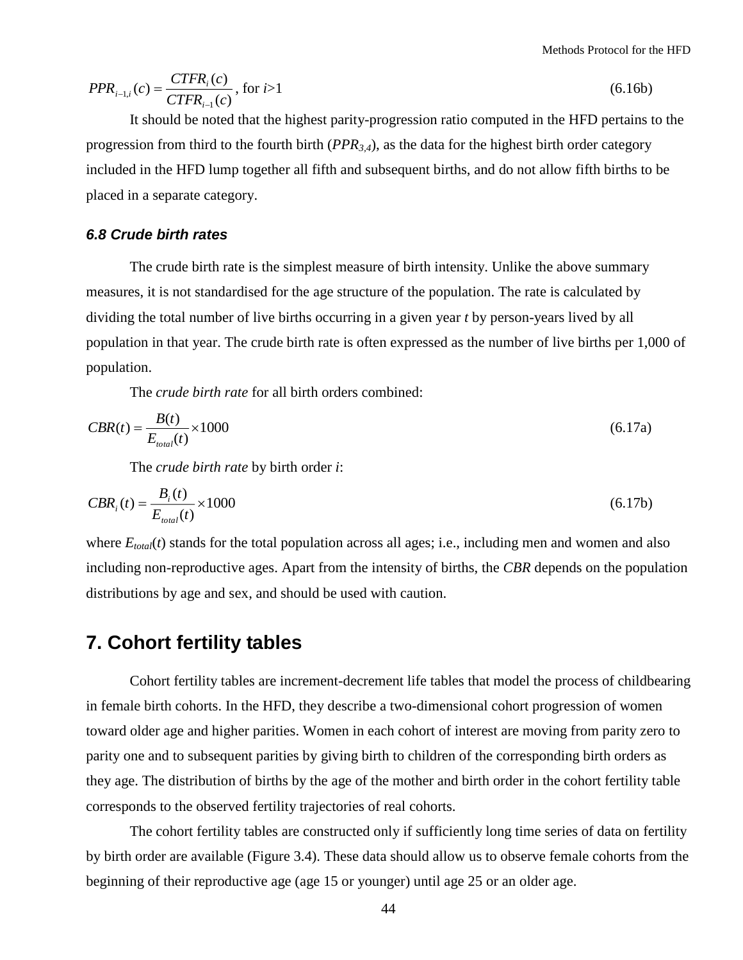Methods Protocol for the HFD

$$
PPR_{i-1,i}(c) = \frac{CTFR_i(c)}{CTFR_{i-1}(c)}, \text{ for } i > 1
$$
\n(6.16b)

It should be noted that the highest parity-progression ratio computed in the HFD pertains to the progression from third to the fourth birth (*PPR3,4*), as the data for the highest birth order category included in the HFD lump together all fifth and subsequent births, and do not allow fifth births to be placed in a separate category.

### <span id="page-43-0"></span>*6.8 Crude birth rates*

The crude birth rate is the simplest measure of birth intensity. Unlike the above summary measures, it is not standardised for the age structure of the population. The rate is calculated by dividing the total number of live births occurring in a given year *t* by person-years lived by all population in that year. The crude birth rate is often expressed as the number of live births per 1,000 of population.

The *crude birth rate* for all birth orders combined:

$$
CBR(t) = \frac{B(t)}{E_{total}(t)} \times 1000
$$
\n
$$
(6.17a)
$$

The *crude birth rate* by birth order *i*:

$$
CBR_i(t) = \frac{B_i(t)}{E_{total}(t)} \times 1000
$$
\n
$$
(6.17b)
$$

where  $E_{total}(t)$  stands for the total population across all ages; i.e., including men and women and also including non-reproductive ages. Apart from the intensity of births, the *CBR* depends on the population distributions by age and sex, and should be used with caution.

## <span id="page-43-1"></span>**7. Cohort fertility tables**

Cohort fertility tables are increment-decrement life tables that model the process of childbearing in female birth cohorts. In the HFD, they describe a two-dimensional cohort progression of women toward older age and higher parities. Women in each cohort of interest are moving from parity zero to parity one and to subsequent parities by giving birth to children of the corresponding birth orders as they age. The distribution of births by the age of the mother and birth order in the cohort fertility table corresponds to the observed fertility trajectories of real cohorts.

The cohort fertility tables are constructed only if sufficiently long time series of data on fertility by birth order are available (Figure 3.4). These data should allow us to observe female cohorts from the beginning of their reproductive age (age 15 or younger) until age 25 or an older age.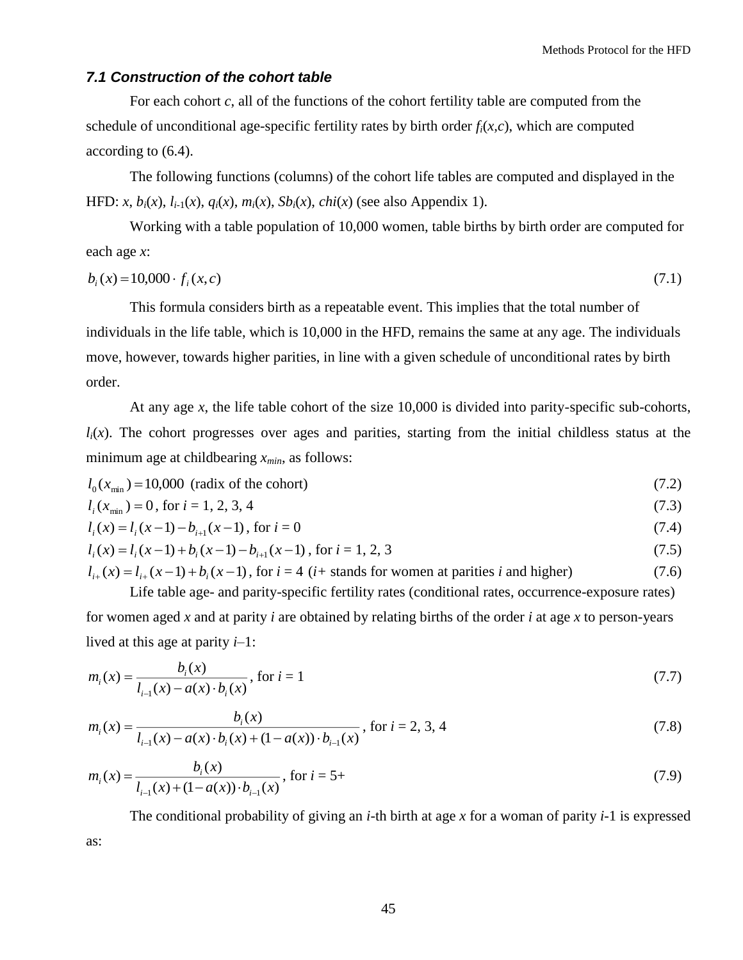## <span id="page-44-0"></span>*7.1 Construction of the cohort table*

For each cohort *c*, all of the functions of the cohort fertility table are computed from the schedule of unconditional age-specific fertility rates by birth order  $f_i(x, c)$ , which are computed according to (6.4).

The following functions (columns) of the cohort life tables are computed and displayed in the HFD: *x*,  $b_i(x)$ ,  $l_{i-1}(x)$ ,  $q_i(x)$ ,  $m_i(x)$ ,  $Sb_i(x)$ ,  $chi(x)$  (see also Appendix 1).

Working with a table population of 10,000 women, table births by birth order are computed for each age *x*:

$$
b_i(x) = 10,000 \cdot f_i(x,c) \tag{7.1}
$$

This formula considers birth as a repeatable event. This implies that the total number of individuals in the life table, which is 10,000 in the HFD, remains the same at any age. The individuals move, however, towards higher parities, in line with a given schedule of unconditional rates by birth order.

At any age *x*, the life table cohort of the size 10,000 is divided into parity-specific sub-cohorts,  $l_i(x)$ . The cohort progresses over ages and parities, starting from the initial childless status at the minimum age at childbearing *xmin*, as follows:

$$
l_0(x_{\min}) = 10,000 \text{ (radix of the cohort)}\tag{7.2}
$$

$$
l_i(x_{\min}) = 0, \text{ for } i = 1, 2, 3, 4
$$
\n
$$
(7.3)
$$

$$
l_i(x) = l_i(x-1) - b_{i+1}(x-1), \text{ for } i = 0
$$
\n
$$
(7.4)
$$

$$
l_i(x) = l_i(x-1) + b_i(x-1) - b_{i+1}(x-1)
$$
, for  $i = 1, 2, 3$  (7.5)

 $l_{i+}(x) = l_{i+}(x-1) + b_i(x-1)$ , for  $i = 4$  (*i*+ stands for women at parities *i* and higher) (7.6)

Life table age- and parity-specific fertility rates (conditional rates, occurrence-exposure rates) for women aged *x* and at parity *i* are obtained by relating births of the order *i* at age *x* to person-years lived at this age at parity *i*–1:

$$
m_i(x) = \frac{b_i(x)}{l_{i-1}(x) - a(x) \cdot b_i(x)}, \text{ for } i = 1
$$
\n(7.7)

$$
m_i(x) = \frac{b_i(x)}{l_{i-1}(x) - a(x) \cdot b_i(x) + (1 - a(x)) \cdot b_{i-1}(x)}, \text{ for } i = 2, 3, 4
$$
\n(7.8)

$$
m_i(x) = \frac{b_i(x)}{l_{i-1}(x) + (1 - a(x)) \cdot b_{i-1}(x)}, \text{ for } i = 5+
$$
\n(7.9)

The conditional probability of giving an *i*-th birth at age *x* for a woman of parity *i-*1 is expressed as: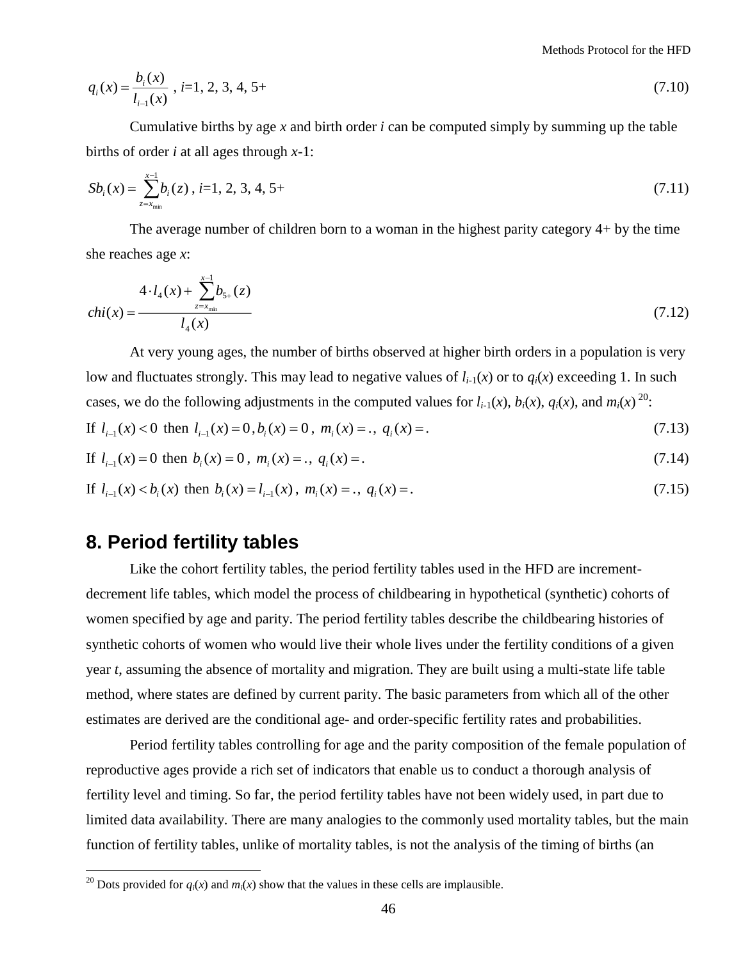Methods Protocol for the HFD

$$
q_i(x) = \frac{b_i(x)}{l_{i-1}(x)}, \ i = 1, 2, 3, 4, 5 + \tag{7.10}
$$

Cumulative births by age *x* and birth order *i* can be computed simply by summing up the table births of order *i* at all ages through *x-*1:

$$
Sb_i(x) = \sum_{z=x_{\min}}^{x-1} b_i(z), \quad i=1, 2, 3, 4, 5+(3-2) = 1
$$
\n
$$
(7.11)
$$

The average number of children born to a woman in the highest parity category 4+ by the time she reaches age *x*:

$$
chi(x) = \frac{4 \cdot l_4(x) + \sum_{z = x_{\min}}^{x-1} b_{5+}(z)}{l_4(x)}
$$
(7.12)

At very young ages, the number of births observed at higher birth orders in a population is very low and fluctuates strongly. This may lead to negative values of  $l_{i-1}(x)$  or to  $q_i(x)$  exceeding 1. In such cases, we do the following adjustments in the computed values for  $l_{i-1}(x)$ ,  $b_i(x)$ ,  $q_i(x)$ , and  $m_i(x)$ <sup>20</sup>:

If 
$$
l_{i-1}(x) < 0
$$
 then  $l_{i-1}(x) = 0$ ,  $b_i(x) = 0$ ,  $m_i(x) = .$ ,  $q_i(x) = .$  (7.13)

If 
$$
l_{i-1}(x) = 0
$$
 then  $b_i(x) = 0$ ,  $m_i(x) = .$ ,  $q_i(x) = .$  (7.14)

If 
$$
l_{i-1}(x) < b_i(x)
$$
 then  $b_i(x) = l_{i-1}(x)$ ,  $m_i(x) = .$ ,  $q_i(x) = .$  (7.15)

## <span id="page-45-0"></span>**8. Period fertility tables**

 $\overline{a}$ 

Like the cohort fertility tables, the period fertility tables used in the HFD are incrementdecrement life tables, which model the process of childbearing in hypothetical (synthetic) cohorts of women specified by age and parity. The period fertility tables describe the childbearing histories of synthetic cohorts of women who would live their whole lives under the fertility conditions of a given year *t*, assuming the absence of mortality and migration. They are built using a multi-state life table method, where states are defined by current parity. The basic parameters from which all of the other estimates are derived are the conditional age- and order-specific fertility rates and probabilities.

Period fertility tables controlling for age and the parity composition of the female population of reproductive ages provide a rich set of indicators that enable us to conduct a thorough analysis of fertility level and timing. So far, the period fertility tables have not been widely used, in part due to limited data availability. There are many analogies to the commonly used mortality tables, but the main function of fertility tables, unlike of mortality tables, is not the analysis of the timing of births (an

<sup>&</sup>lt;sup>20</sup> Dots provided for  $q_i(x)$  and  $m_i(x)$  show that the values in these cells are implausible.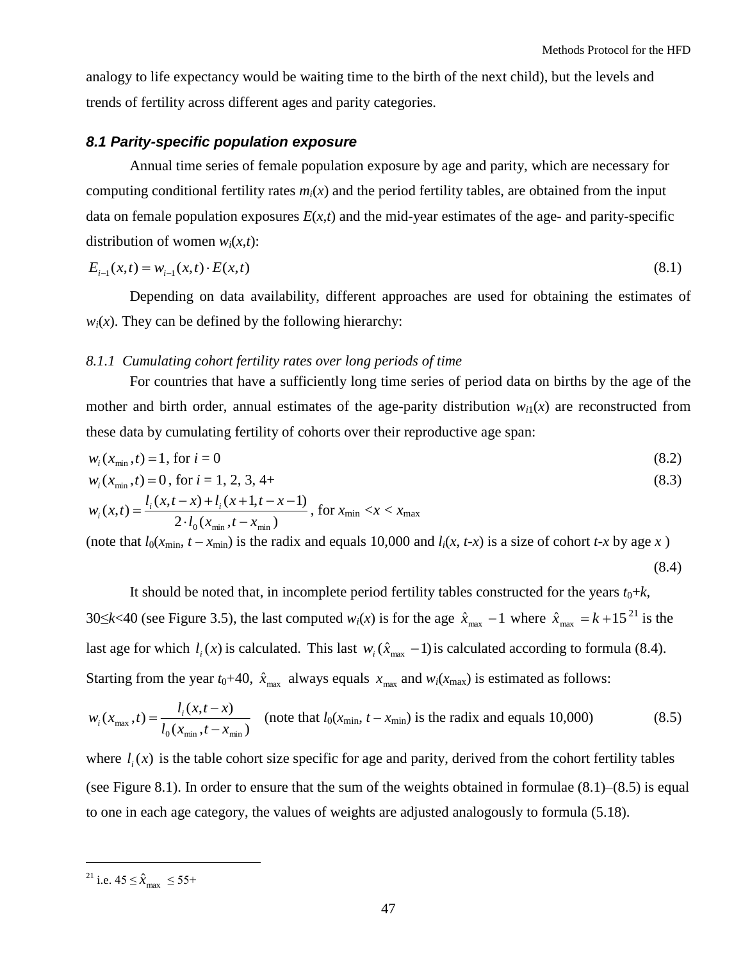analogy to life expectancy would be waiting time to the birth of the next child), but the levels and trends of fertility across different ages and parity categories.

#### <span id="page-46-0"></span>*8.1 Parity-specific population exposure*

Annual time series of female population exposure by age and parity, which are necessary for computing conditional fertility rates  $m<sub>i</sub>(x)$  and the period fertility tables, are obtained from the input data on female population exposures  $E(x,t)$  and the mid-year estimates of the age- and parity-specific distribution of women  $w_i(x,t)$ :

$$
E_{i-1}(x,t) = w_{i-1}(x,t) \cdot E(x,t) \tag{8.1}
$$

Depending on data availability, different approaches are used for obtaining the estimates of  $w_i(x)$ . They can be defined by the following hierarchy:

## <span id="page-46-1"></span>*8.1.1 Cumulating cohort fertility rates over long periods of time*

For countries that have a sufficiently long time series of period data on births by the age of the mother and birth order, annual estimates of the age-parity distribution  $w_{i1}(x)$  are reconstructed from these data by cumulating fertility of cohorts over their reproductive age span:

$$
w_i(x_{\min}, t) = 1, \text{ for } i = 0 \tag{8.2}
$$

$$
w_i(x_{\min}, t) = 0, \text{ for } i = 1, 2, 3, 4 + \tag{8.3}
$$

$$
w_i(x,t) = \frac{l_i(x,t-x) + l_i(x+1,t-x-1)}{2 \cdot l_0(x_{\min},t-x_{\min})}
$$
, for  $x_{\min} < x < x_{\max}$ 

(note that  $l_0(x_{\text{min}}, t - x_{\text{min}})$  is the radix and equals 10,000 and  $l_i(x, t-x)$  is a size of cohort  $t-x$  by age  $x$ )

$$
(8.4)
$$

It should be noted that, in incomplete period fertility tables constructed for the years  $t_0+k$ , 30 $\leq k$ <40 (see Figure 3.5), the last computed  $w_i(x)$  is for the age  $\hat{x}_{\text{max}} - 1$  where  $\hat{x}_{\text{max}} = k + 15^{21}$  is the last age for which  $l_i(x)$  is calculated. This last  $w_i(\hat{x}_{max} - 1)$  is calculated according to formula (8.4). Starting from the year  $t_0+40$ ,  $\hat{x}_{\text{max}}$  always equals  $x_{\text{max}}$  and  $w_i(x_{\text{max}})$  is estimated as follows:

$$
w_i(x_{\text{max}}, t) = \frac{l_i(x, t - x)}{l_0(x_{\text{min}}, t - x_{\text{min}})}
$$
 (note that  $l_0(x_{\text{min}}, t - x_{\text{min}})$  is the radix and equals 10,000) (8.5)

where  $l_i(x)$  is the table cohort size specific for age and parity, derived from the cohort fertility tables (see Figure 8.1). In order to ensure that the sum of the weights obtained in formulae (8.1)–(8.5) is equal to one in each age category, the values of weights are adjusted analogously to formula (5.18).

<sup>&</sup>lt;sup>21</sup> i.e.  $45 \le \hat{x}_{\text{max}} \le 55+$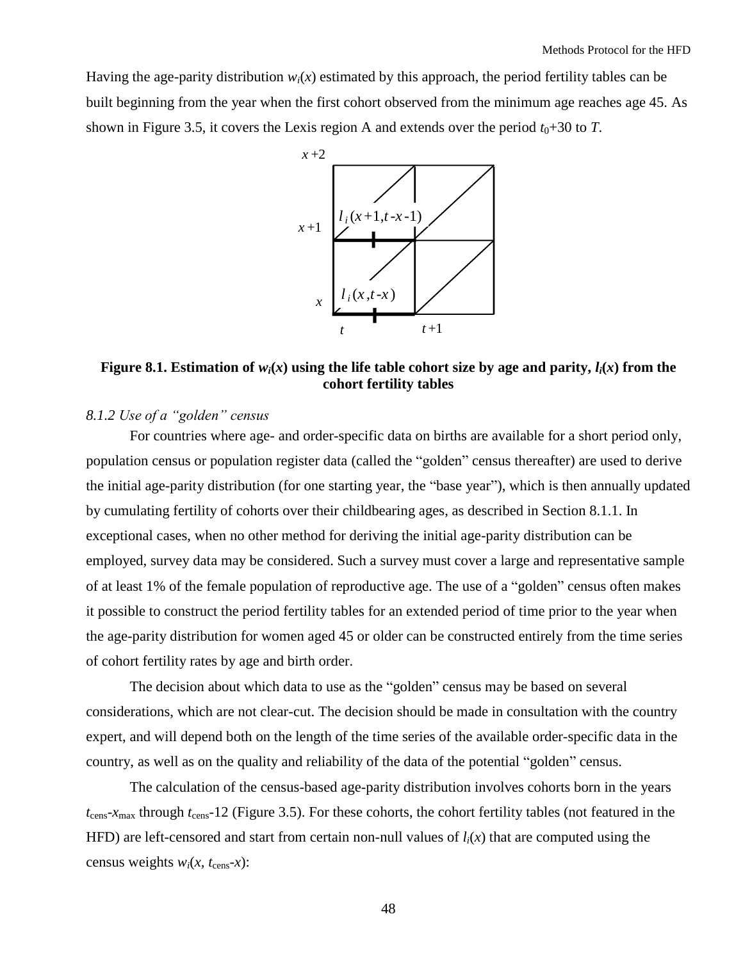Having the age-parity distribution  $w_i(x)$  estimated by this approach, the period fertility tables can be built beginning from the year when the first cohort observed from the minimum age reaches age 45. As shown in Figure 3.5, it covers the Lexis region A and extends over the period  $t_0+30$  to *T*.



## **Figure 8.1. Estimation of**  $w_i(x)$  **using the life table cohort size by age and parity,**  $l_i(x)$  **from the cohort fertility tables**

## <span id="page-47-0"></span>*8.1.2 Use of a "golden" census*

For countries where age- and order-specific data on births are available for a short period only, population census or population register data (called the "golden" census thereafter) are used to derive the initial age-parity distribution (for one starting year, the "base year"), which is then annually updated by cumulating fertility of cohorts over their childbearing ages, as described in Section 8.1.1. In exceptional cases, when no other method for deriving the initial age-parity distribution can be employed, survey data may be considered. Such a survey must cover a large and representative sample of at least 1% of the female population of reproductive age. The use of a "golden" census often makes it possible to construct the period fertility tables for an extended period of time prior to the year when the age-parity distribution for women aged 45 or older can be constructed entirely from the time series of cohort fertility rates by age and birth order.

The decision about which data to use as the "golden" census may be based on several considerations, which are not clear-cut. The decision should be made in consultation with the country expert, and will depend both on the length of the time series of the available order-specific data in the country, as well as on the quality and reliability of the data of the potential "golden" census.

The calculation of the census-based age-parity distribution involves cohorts born in the years  $t_{\text{cens}}$ - $x_{\text{max}}$  through  $t_{\text{cens}}$ -12 (Figure 3.5). For these cohorts, the cohort fertility tables (not featured in the HFD) are left-censored and start from certain non-null values of  $l_i(x)$  that are computed using the census weights  $w_i(x, t_{\text{cens}}-x)$ :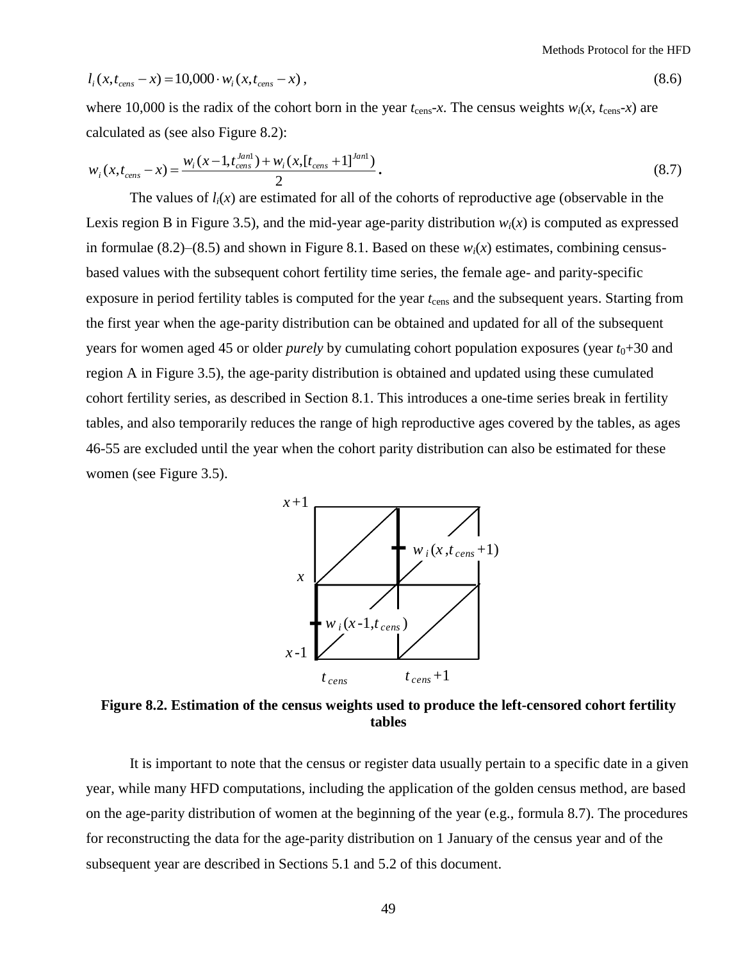$$
l_i(x, t_{cens} - x) = 10,000 \cdot w_i(x, t_{cens} - x), \qquad (8.6)
$$

where 10,000 is the radix of the cohort born in the year  $t_{\text{cens}}-x$ . The census weights  $w_i(x, t_{\text{cens}}-x)$  are calculated as (see also Figure 8.2):

$$
w_i(x, t_{cons} - x) = \frac{w_i(x - 1, t_{cons}^{Jan}) + w_i(x, [t_{cons} + 1]^{Jan})}{2}.
$$
\n(8.7)

 $l_i(x, t_{con} - x) = 10,000 \cdot w_i(x, t_{con} - x)$ ,<br>where 10,000 is the radix of the cohort born in the yealculated as (see also Figure 8.2):<br>w<sub>*i</sub>*( $x_t t_{con} - x$ ) =  $\frac{w_i(x - 1_t t_{con}^{final}) + w_i(x_t[t_{con}, + 1]^{local})}{2}$ .<br>The values of  $l_i(x)$  are estimated</sub> The values of  $l_i(x)$  are estimated for all of the cohorts of reproductive age (observable in the Lexis region B in Figure 3.5), and the mid-year age-parity distribution  $w_i(x)$  is computed as expressed in formulae  $(8.2)$ – $(8.5)$  and shown in Figure 8.1. Based on these  $w_i(x)$  estimates, combining censusbased values with the subsequent cohort fertility time series, the female age- and parity-specific exposure in period fertility tables is computed for the year  $t_{\text{cens}}$  and the subsequent years. Starting from the first year when the age-parity distribution can be obtained and updated for all of the subsequent years for women aged 45 or older *purely* by cumulating cohort population exposures (year  $t_0+30$  and region A in Figure 3.5), the age-parity distribution is obtained and updated using these cumulated cohort fertility series, as described in Section 8.1. This introduces a one-time series break in fertility tables, and also temporarily reduces the range of high reproductive ages covered by the tables, as ages 46-55 are excluded until the year when the cohort parity distribution can also be estimated for these women (see Figure 3.5).



**Figure 8.2. Estimation of the census weights used to produce the left-censored cohort fertility tables**

It is important to note that the census or register data usually pertain to a specific date in a given year, while many HFD computations, including the application of the golden census method, are based on the age-parity distribution of women at the beginning of the year (e.g., formula 8.7). The procedures for reconstructing the data for the age-parity distribution on 1 January of the census year and of the subsequent year are described in Sections 5.1 and 5.2 of this document.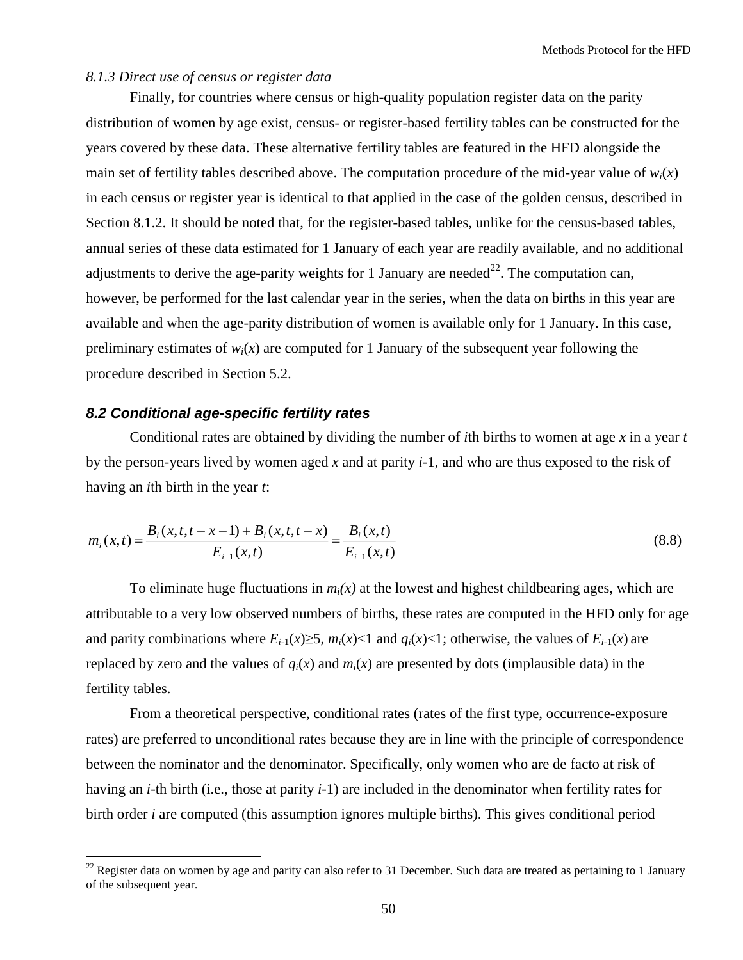#### <span id="page-49-0"></span>*8.1.3 Direct use of census or register data*

Finally, for countries where census or high-quality population register data on the parity distribution of women by age exist, census- or register-based fertility tables can be constructed for the years covered by these data. These alternative fertility tables are featured in the HFD alongside the main set of fertility tables described above. The computation procedure of the mid-year value of  $w_i(x)$ in each census or register year is identical to that applied in the case of the golden census, described in Section 8.1.2. It should be noted that, for the register-based tables, unlike for the census-based tables, annual series of these data estimated for 1 January of each year are readily available, and no additional adjustments to derive the age-parity weights for 1 January are needed<sup>22</sup>. The computation can, however, be performed for the last calendar year in the series, when the data on births in this year are available and when the age-parity distribution of women is available only for 1 January. In this case, preliminary estimates of  $w_i(x)$  are computed for 1 January of the subsequent year following the procedure described in Section 5.2.

## <span id="page-49-1"></span>*8.2 Conditional age-specific fertility rates*

 $\overline{a}$ 

Conditional rates are obtained by dividing the number of *i*th births to women at age *x* in a year *t* by the person-years lived by women aged *x* and at parity *i*-1, and who are thus exposed to the risk of having an *i*th birth in the year *t*:

$$
m_i(x,t) = \frac{B_i(x,t,t-x-1) + B_i(x,t,t-x)}{E_{i-1}(x,t)} = \frac{B_i(x,t)}{E_{i-1}(x,t)}
$$
(8.8)

To eliminate huge fluctuations in  $m<sub>i</sub>(x)$  at the lowest and highest childbearing ages, which are attributable to a very low observed numbers of births, these rates are computed in the HFD only for age and parity combinations where  $E_{i-1}(x) \geq 5$ ,  $m_i(x) < 1$  and  $q_i(x) < 1$ ; otherwise, the values of  $E_{i-1}(x)$  are replaced by zero and the values of  $q_i(x)$  and  $m_i(x)$  are presented by dots (implausible data) in the fertility tables.

From a theoretical perspective, conditional rates (rates of the first type, occurrence-exposure rates) are preferred to unconditional rates because they are in line with the principle of correspondence between the nominator and the denominator. Specifically, only women who are de facto at risk of having an *i*-th birth (i.e., those at parity *i-*1) are included in the denominator when fertility rates for birth order *i* are computed (this assumption ignores multiple births). This gives conditional period

 $22$  Register data on women by age and parity can also refer to 31 December. Such data are treated as pertaining to 1 January of the subsequent year.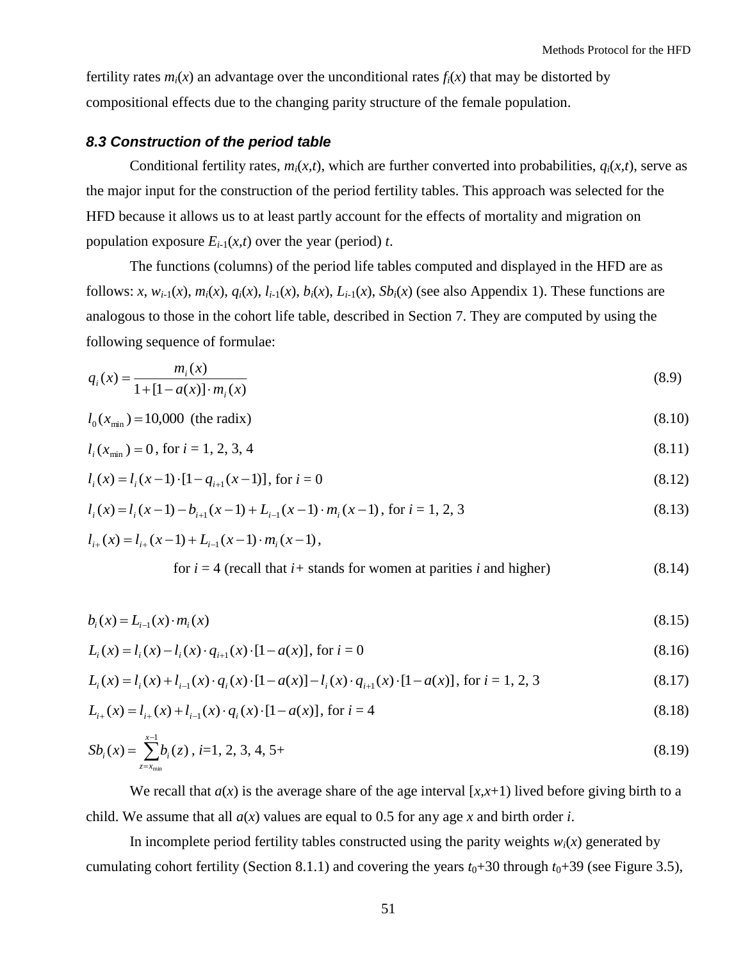fertility rates  $m_i(x)$  an advantage over the unconditional rates  $f_i(x)$  that may be distorted by compositional effects due to the changing parity structure of the female population.

#### <span id="page-50-0"></span>*8.3 Construction of the period table*

Conditional fertility rates,  $m_i(x,t)$ , which are further converted into probabilities,  $q_i(x,t)$ , serve as the major input for the construction of the period fertility tables. This approach was selected for the HFD because it allows us to at least partly account for the effects of mortality and migration on population exposure  $E_{i-1}(x,t)$  over the year (period) *t*.

The functions (columns) of the period life tables computed and displayed in the HFD are as follows: x,  $w_{i-1}(x)$ ,  $m_i(x)$ ,  $q_i(x)$ ,  $l_{i-1}(x)$ ,  $b_i(x)$ ,  $L_{i-1}(x)$ ,  $Sb_i(x)$  (see also Appendix 1). These functions are analogous to those in the cohort life table, described in Section 7. They are computed by using the following sequence of formulae:

$$
q_i(x) = \frac{m_i(x)}{1 + [1 - a(x)] \cdot m_i(x)}
$$
(8.9)

$$
l_0(x_{\min}) = 10,000 \text{ (the radix)}\tag{8.10}
$$

$$
l_i(x_{\min}) = 0, \text{ for } i = 1, 2, 3, 4 \tag{8.11}
$$

$$
l_i(x) = l_i(x-1) \cdot [1 - q_{i+1}(x-1)], \text{ for } i = 0
$$
\n(8.12)

$$
l_i(x) = l_i(x-1) - b_{i+1}(x-1) + L_{i-1}(x-1) \cdot m_i(x-1), \text{ for } i = 1, 2, 3
$$
\n(8.13)

$$
l_{i+}(x) = l_{i+}(x-1) + L_{i-1}(x-1) \cdot m_i(x-1),
$$

for 
$$
i = 4
$$
 (recall that  $i+$  stands for women at parities  $i$  and higher) \t\t(8.14)

$$
b_i(x) = L_{i-1}(x) \cdot m_i(x) \tag{8.15}
$$

$$
L_i(x) = l_i(x) - l_i(x) \cdot q_{i+1}(x) \cdot [1 - a(x)], \text{ for } i = 0
$$
\n(8.16)

$$
L_i(x) = l_i(x) + l_{i-1}(x) \cdot q_i(x) \cdot [1 - a(x)] - l_i(x) \cdot q_{i+1}(x) \cdot [1 - a(x)], \text{ for } i = 1, 2, 3
$$
\n(8.17)

$$
L_{i+}(x) = l_{i+}(x) + l_{i-1}(x) \cdot q_i(x) \cdot [1 - a(x)], \text{ for } i = 4
$$
\n(8.18)

$$
Sb_i(x) = \sum_{z=x_{\min}}^{x-1} b_i(z), \ i=1, 2, 3, 4, 5+(8.19)
$$

We recall that  $a(x)$  is the average share of the age interval  $[x, x+1)$  lived before giving birth to a child. We assume that all *a*(*x*) values are equal to 0.5 for any age *x* and birth order *i*.

In incomplete period fertility tables constructed using the parity weights  $w_i(x)$  generated by cumulating cohort fertility (Section 8.1.1) and covering the years  $t_0+30$  through  $t_0+39$  (see Figure 3.5),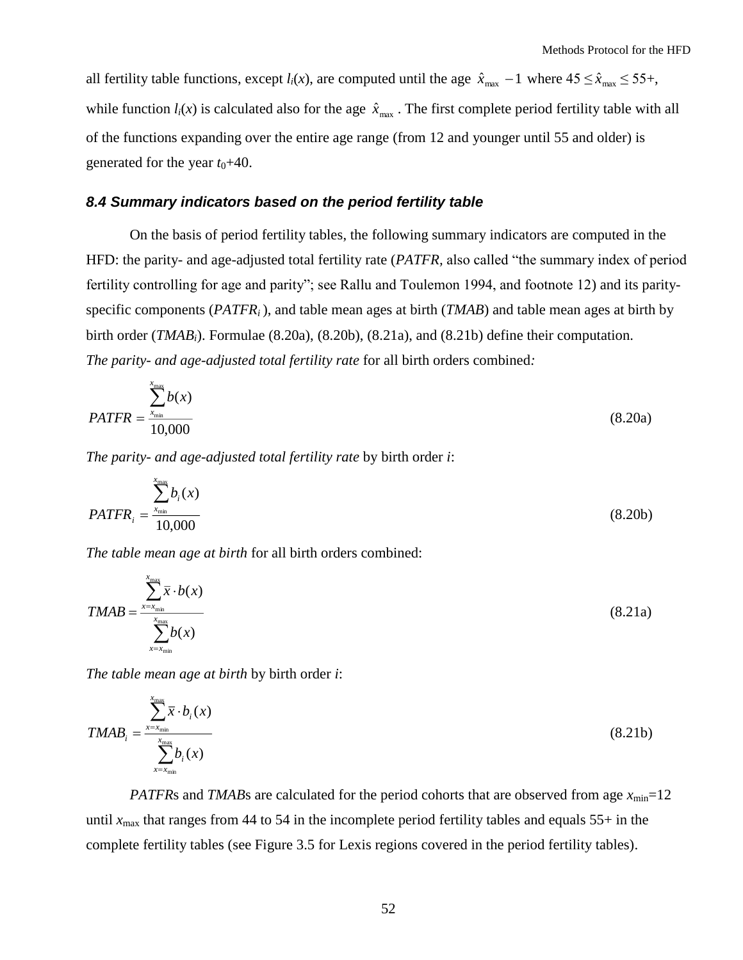all fertility table functions, except  $l_i(x)$ , are computed until the age  $\hat{x}_{max} - 1$  where  $45 \le \hat{x}_{max} \le 55 +$ , while function  $l_i(x)$  is calculated also for the age  $\hat{x}_{\text{max}}$ . The first complete period fertility table with all of the functions expanding over the entire age range (from 12 and younger until 55 and older) is generated for the year  $t_0+40$ .

#### <span id="page-51-0"></span>*8.4 Summary indicators based on the period fertility table*

On the basis of period fertility tables, the following summary indicators are computed in the HFD: the parity- and age-adjusted total fertility rate (*PATFR*, also called "the summary index of period fertility controlling for age and parity"; see Rallu and Toulemon 1994, and footnote 12) and its parityspecific components (*PATFR<sub>i</sub>*), and table mean ages at birth (*TMAB*) and table mean ages at birth by birth order (*TMABi*). Formulae (8.20a), (8.20b), (8.21a), and (8.21b) define their computation. *The parity- and age-adjusted total fertility rate* for all birth orders combined*:*

$$
PATFR = \frac{\sum_{x_{\min}}^{x_{\max}} b(x)}{10,000}
$$
 (8.20a)

*The parity- and age-adjusted total fertility rate* by birth order *i*:

$$
PATFR_i = \frac{\sum_{x_{\text{min}}}^{x_{\text{max}}} b_i(x)}{10,000}
$$
 (8.20b)

*The table mean age at birth* for all birth orders combined:

$$
TMAB = \frac{\sum_{x=x_{\min}}^{x_{\max}} \overline{x} \cdot b(x)}{\sum_{x=x_{\min}}^{x_{\max}} b(x)}
$$
(8.21a)

*The table mean age at birth* by birth order *i*:

$$
TMAB_i = \frac{\sum_{x=x_{\min}}^{x_{\max}} \overline{x} \cdot b_i(x)}{\sum_{x=x_{\min}}^{x_{\max}} b_i(x)}
$$
(8.21b)

*PATFRs* and *TMABs* are calculated for the period cohorts that are observed from age  $x_{\text{min}}=12$ until  $x_{\text{max}}$  that ranges from 44 to 54 in the incomplete period fertility tables and equals 55+ in the complete fertility tables (see Figure 3.5 for Lexis regions covered in the period fertility tables).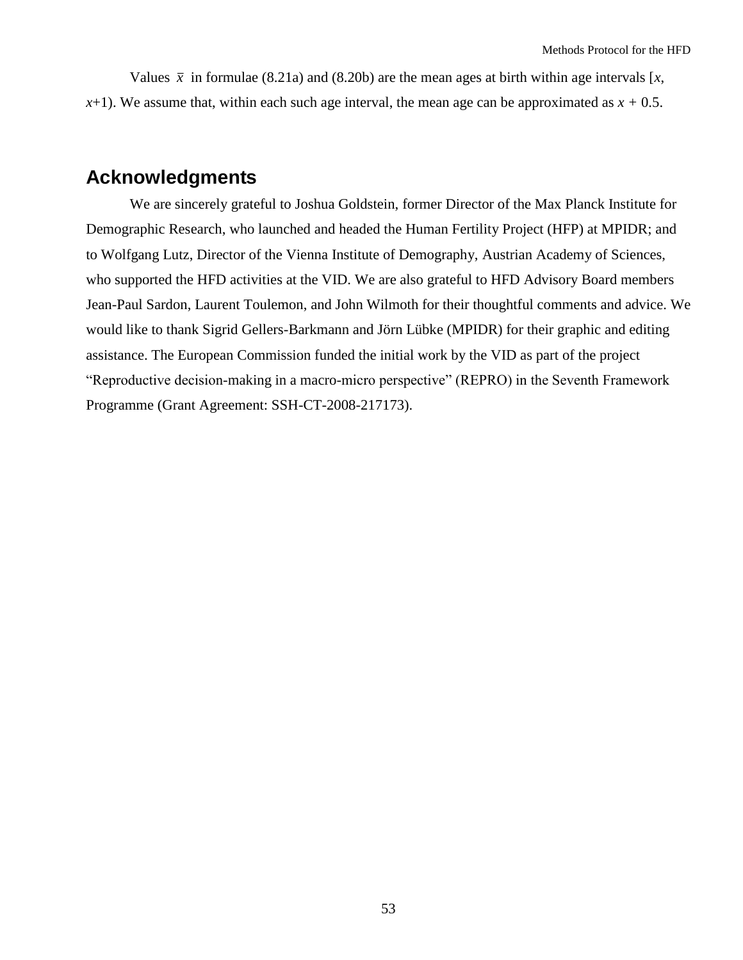Values  $\bar{x}$  in formulae (8.21a) and (8.20b) are the mean ages at birth within age intervals [x, *). We assume that, within each such age interval, the mean age can be approximated as*  $*x* + 0.5$ *.* 

## <span id="page-52-0"></span>**Acknowledgments**

We are sincerely grateful to Joshua Goldstein, former Director of the Max Planck Institute for Demographic Research, who launched and headed the Human Fertility Project (HFP) at MPIDR; and to Wolfgang Lutz, Director of the Vienna Institute of Demography, Austrian Academy of Sciences, who supported the HFD activities at the VID. We are also grateful to HFD Advisory Board members Jean-Paul Sardon, Laurent Toulemon, and John Wilmoth for their thoughtful comments and advice. We would like to thank Sigrid Gellers-Barkmann and Jörn Lübke (MPIDR) for their graphic and editing assistance. The European Commission funded the initial work by the VID as part of the project "Reproductive decision-making in a macro-micro perspective" (REPRO) in the Seventh Framework Programme (Grant Agreement: SSH-CT-2008-217173).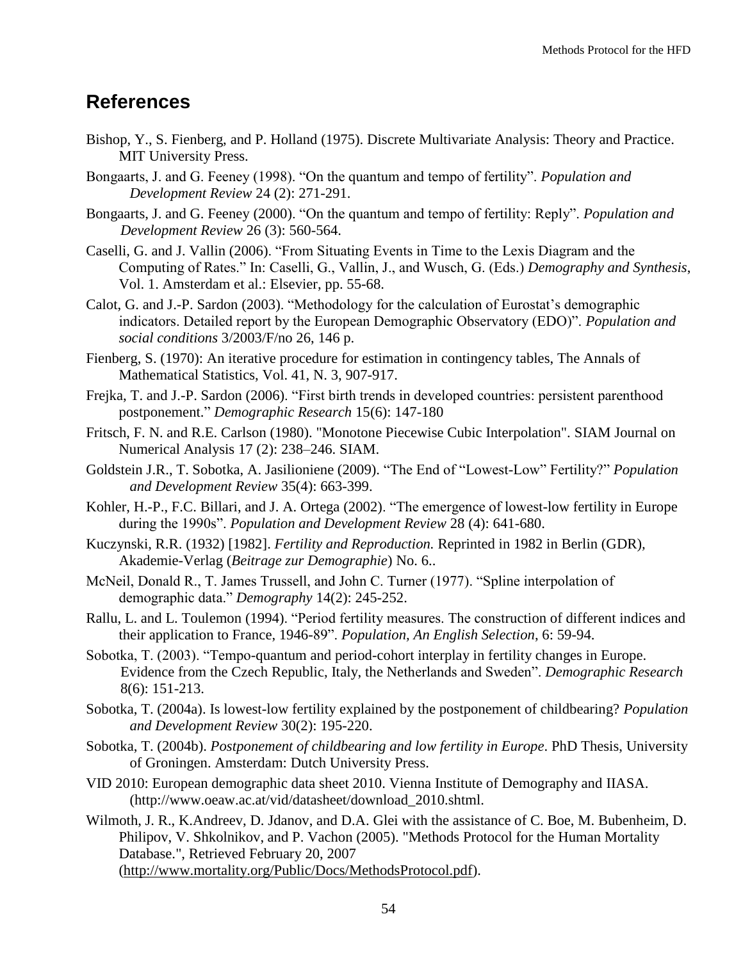## <span id="page-53-0"></span>**References**

- Bishop, Y., S. Fienberg, and P. Holland (1975). Discrete Multivariate Analysis: Theory and Practice. MIT University Press.
- Bongaarts, J. and G. Feeney (1998). "On the quantum and tempo of fertility". *Population and Development Review* 24 (2): 271-291.
- Bongaarts, J. and G. Feeney (2000). "On the quantum and tempo of fertility: Reply". *Population and Development Review* 26 (3): 560-564.
- Caselli, G. and J. Vallin (2006). "From Situating Events in Time to the Lexis Diagram and the Computing of Rates.‖ In: Caselli, G., Vallin, J., and Wusch, G. (Eds.) *Demography and Synthesis*, Vol. 1. Amsterdam et al.: Elsevier, pp. 55-68.
- Calot. G. and J.-P. Sardon (2003). "Methodology for the calculation of Eurostat's demographic indicators. Detailed report by the European Demographic Observatory (EDO)". *Population and social conditions* 3/2003/F/no 26, 146 p.
- Fienberg, S. (1970): An iterative procedure for estimation in contingency tables, The Annals of Mathematical Statistics, Vol. 41, N. 3, 907-917.
- Frejka, T. and J.-P. Sardon (2006). "First birth trends in developed countries: persistent parenthood postponement.‖ *Demographic Research* 15(6): 147-180
- Fritsch, F. N. and R.E. Carlson (1980). "Monotone Piecewise Cubic Interpolation". [SIAM Journal on](http://en.wikipedia.org/w/index.php?title=SIAM_Journal_on_Numerical_Analysis&action=edit&redlink=1)  [Numerical Analysis](http://en.wikipedia.org/w/index.php?title=SIAM_Journal_on_Numerical_Analysis&action=edit&redlink=1) 17 (2): 238–246. SIAM.
- Goldstein J.R., T. Sobotka, A. Jasilioniene (2009). "The End of "Lowest-Low" Fertility?" *Population and Development Review* 35(4): 663-399.
- Kohler, H.-P., F.C. Billari, and J. A. Ortega (2002). "The emergence of lowest-low fertility in Europe during the 1990s". *Population and Development Review 28 (4)*: 641-680.
- Kuczynski, R.R. (1932) [1982]. *Fertility and Reproduction.* Reprinted in 1982 in Berlin (GDR)*,*  Akademie-Verlag (*Beitrage zur Demographie*) No. 6..
- McNeil, Donald R., T. James Trussell, and John C. Turner (1977). "Spline interpolation of demographic data." *Demography* 14(2): 245-252.
- Rallu, L. and L. Toulemon (1994). "Period fertility measures. The construction of different indices and their application to France, 1946-89". *Population, An English Selection*, 6: 59-94.
- Sobotka, T. (2003). "Tempo-quantum and period-cohort interplay in fertility changes in Europe. Evidence from the Czech Republic, Italy, the Netherlands and Sweden‖. *Demographic Research* 8(6): 151-213.
- Sobotka, T. (2004a). Is lowest-low fertility explained by the postponement of childbearing? *Population and Development Review* 30(2): 195-220.
- Sobotka, T. (2004b). *Postponement of childbearing and low fertility in Europe*. PhD Thesis, University of Groningen. Amsterdam: Dutch University Press.
- VID 2010: European demographic data sheet 2010. Vienna Institute of Demography and IIASA. (http://www.oeaw.ac.at/vid/datasheet/download\_2010.shtml.
- Wilmoth, J. R., K.Andreev, D. Jdanov, and D.A. Glei with the assistance of C. Boe, M. Bubenheim, D. Philipov, V. Shkolnikov, and P. Vachon (2005). "Methods Protocol for the Human Mortality Database.", Retrieved February 20, 2007 [\(http://www.mortality.org/Public/Docs/MethodsProtocol.pdf\)](http://www.mortality.org/Public/Docs/MethodsProtocol.pdf).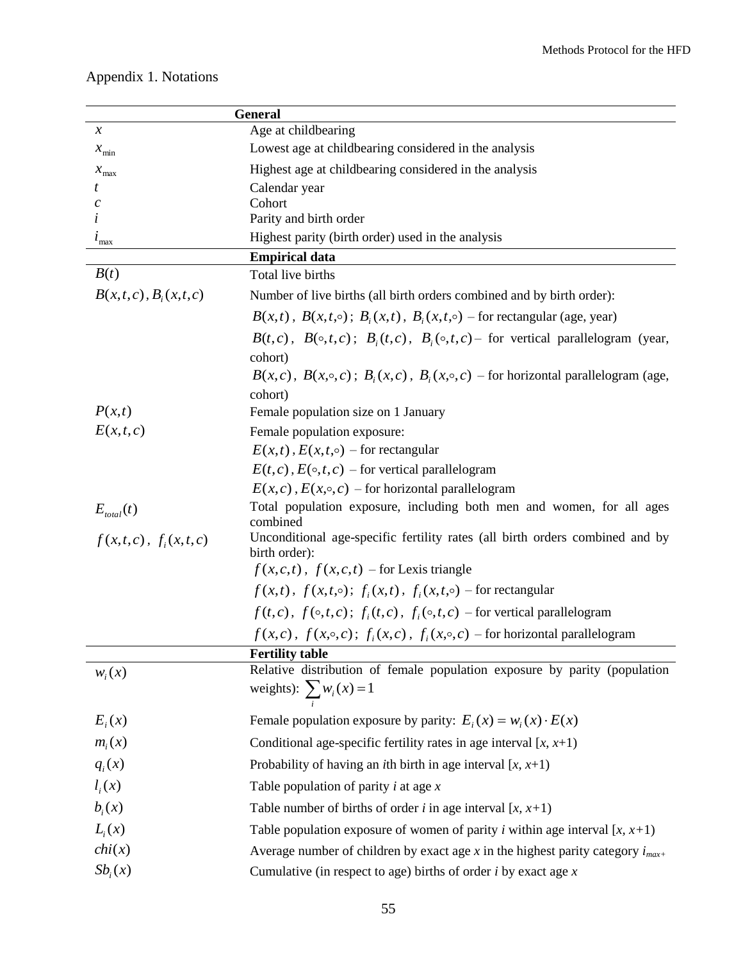| <b>General</b>                          |                                                                                                              |  |  |
|-----------------------------------------|--------------------------------------------------------------------------------------------------------------|--|--|
| $\boldsymbol{\chi}$                     | Age at childbearing                                                                                          |  |  |
| $x_{\min}$                              | Lowest age at childbearing considered in the analysis                                                        |  |  |
| $x_{\text{max}}$                        | Highest age at childbearing considered in the analysis                                                       |  |  |
| t                                       | Calendar year                                                                                                |  |  |
|                                         | Cohort<br>Parity and birth order                                                                             |  |  |
|                                         | Highest parity (birth order) used in the analysis                                                            |  |  |
| $\iota_{\max}$<br><b>Empirical data</b> |                                                                                                              |  |  |
| B(t)                                    | Total live births                                                                                            |  |  |
| $B(x,t,c)$ , $B_i(x,t,c)$               | Number of live births (all birth orders combined and by birth order):                                        |  |  |
|                                         | $B(x,t)$ , $B(x,t,\circ)$ ; $B_i(x,t)$ , $B_i(x,t,\circ)$ – for rectangular (age, year)                      |  |  |
|                                         | $B(t, c)$ , $B(\circ, t, c)$ ; $B_i(t, c)$ , $B_i(\circ, t, c)$ for vertical parallelogram (year,<br>cohort) |  |  |
|                                         | $B(x, c)$ , $B(x, \circ, c)$ ; $B_i(x, c)$ , $B_i(x, \circ, c)$ – for horizontal parallelogram (age,         |  |  |
|                                         | cohort)                                                                                                      |  |  |
| P(x,t)                                  | Female population size on 1 January                                                                          |  |  |
| E(x,t,c)                                | Female population exposure:                                                                                  |  |  |
|                                         | $E(x,t)$ , $E(x,t,\circ)$ – for rectangular                                                                  |  |  |
|                                         | $E(t, c)$ , $E(\circ, t, c)$ – for vertical parallelogram                                                    |  |  |
|                                         | $E(x, c)$ , $E(x, \circ, c)$ – for horizontal parallelogram                                                  |  |  |
| $E_{total}(t)$                          | Total population exposure, including both men and women, for all ages<br>combined                            |  |  |
| $f(x,t,c), f_i(x,t,c)$                  | Unconditional age-specific fertility rates (all birth orders combined and by<br>birth order):                |  |  |
|                                         | $f(x, c, t)$ , $f(x, c, t)$ – for Lexis triangle                                                             |  |  |
|                                         | $f(x,t)$ , $f(x,t,\circ)$ ; $f(x,t)$ , $f(x,t,\circ)$ – for rectangular                                      |  |  |
|                                         | $f(t,c)$ , $f(\circ,t,c)$ ; $f_i(t,c)$ , $f_i(\circ,t,c)$ – for vertical parallelogram                       |  |  |
|                                         | $f(x,c)$ , $f(x,\circ,c)$ ; $f_i(x,c)$ , $f_i(x,\circ,c)$ – for horizontal parallelogram                     |  |  |
|                                         | <b>Fertility table</b>                                                                                       |  |  |
| $W_i(x)$                                | Relative distribution of female population exposure by parity (population<br>weights): $\sum w_i(x) = 1$     |  |  |
| $E_i(x)$                                | Female population exposure by parity: $E_i(x) = w_i(x) \cdot E(x)$                                           |  |  |
| $m_i(x)$                                | Conditional age-specific fertility rates in age interval $[x, x+1)$                                          |  |  |
| $q_i(x)$                                | Probability of having an <i>i</i> th birth in age interval $[x, x+1)$                                        |  |  |
| $l_i(x)$                                | Table population of parity $i$ at age $x$                                                                    |  |  |
| $b_i(x)$                                | Table number of births of order <i>i</i> in age interval $[x, x+1)$                                          |  |  |
| $L_i(x)$                                | Table population exposure of women of parity <i>i</i> within age interval $[x, x+1)$                         |  |  |
| chi(x)                                  | Average number of children by exact age x in the highest parity category $i_{max+}$                          |  |  |
| $Sb_i(x)$                               | Cumulative (in respect to age) births of order $i$ by exact age $x$                                          |  |  |